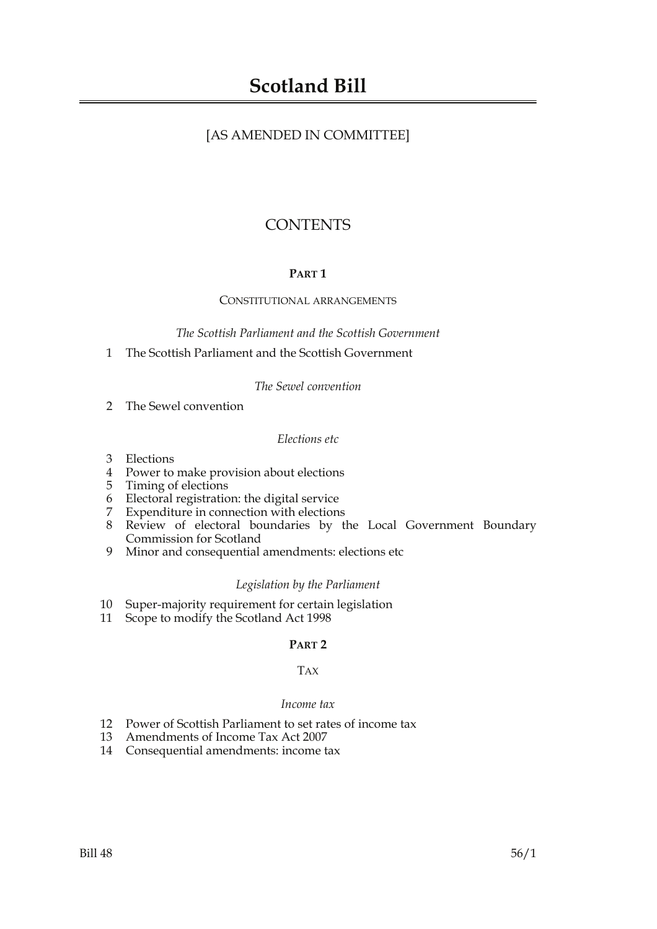### [AS AMENDED IN COMMITTEE]

## **CONTENTS**

### **PART 1**

#### CONSTITUTIONAL ARRANGEMENTS

*The Scottish Parliament and the Scottish Government*

1 The Scottish Parliament and the Scottish Government

*The Sewel convention*

2 The Sewel convention

#### *Elections etc*

- 3 Elections
- 4 Power to make provision about elections
- 5 Timing of elections
- 6 Electoral registration: the digital service
- 7 Expenditure in connection with elections
- 8 Review of electoral boundaries by the Local Government Boundary Commission for Scotland
- 9 Minor and consequential amendments: elections etc

#### *Legislation by the Parliament*

- 10 Super-majority requirement for certain legislation
- 11 Scope to modify the Scotland Act 1998

#### **PART 2**

### TAX

#### *Income tax*

- 12 Power of Scottish Parliament to set rates of income tax
- 13 Amendments of Income Tax Act 2007
- 14 Consequential amendments: income tax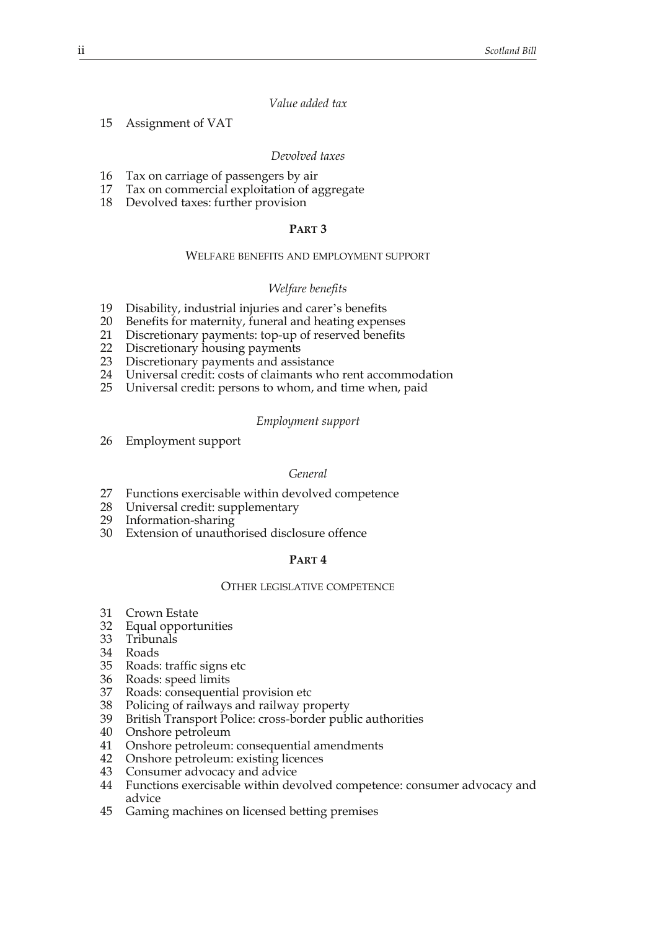#### *Value added tax*

15 Assignment of VAT

#### *Devolved taxes*

- 16 Tax on carriage of passengers by air
- 17 Tax on commercial exploitation of aggregate
- 18 Devolved taxes: further provision

#### **PART 3**

#### WELFARE BENEFITS AND EMPLOYMENT SUPPORT

#### *Welfare benefits*

- 19 Disability, industrial injuries and carer's benefits
- 20 Benefits for maternity, funeral and heating expenses
- 21 Discretionary payments: top-up of reserved benefits
- 22 Discretionary housing payments
- 23 Discretionary payments and assistance
- 24 Universal credit: costs of claimants who rent accommodation
- 25 Universal credit: persons to whom, and time when, paid

#### *Employment support*

26 Employment support

#### *General*

- 27 Functions exercisable within devolved competence
- 28 Universal credit: supplementary
- 29 Information-sharing
- 30 Extension of unauthorised disclosure offence

#### **PART 4**

#### OTHER LEGISLATIVE COMPETENCE

- 31 Crown Estate
- 32 Equal opportunities
- 33 Tribunals
- 34 Roads
- 35 Roads: traffic signs etc
- 36 Roads: speed limits<br>37 Roads: consequentia
- Roads: consequential provision etc
- 38 Policing of railways and railway property<br>39 British Transport Police: cross-border publ
- British Transport Police: cross-border public authorities
- 40 Onshore petroleum
- 41 Onshore petroleum: consequential amendments
- 42 Onshore petroleum: existing licences
- 43 Consumer advocacy and advice
- 44 Functions exercisable within devolved competence: consumer advocacy and advice
- 45 Gaming machines on licensed betting premises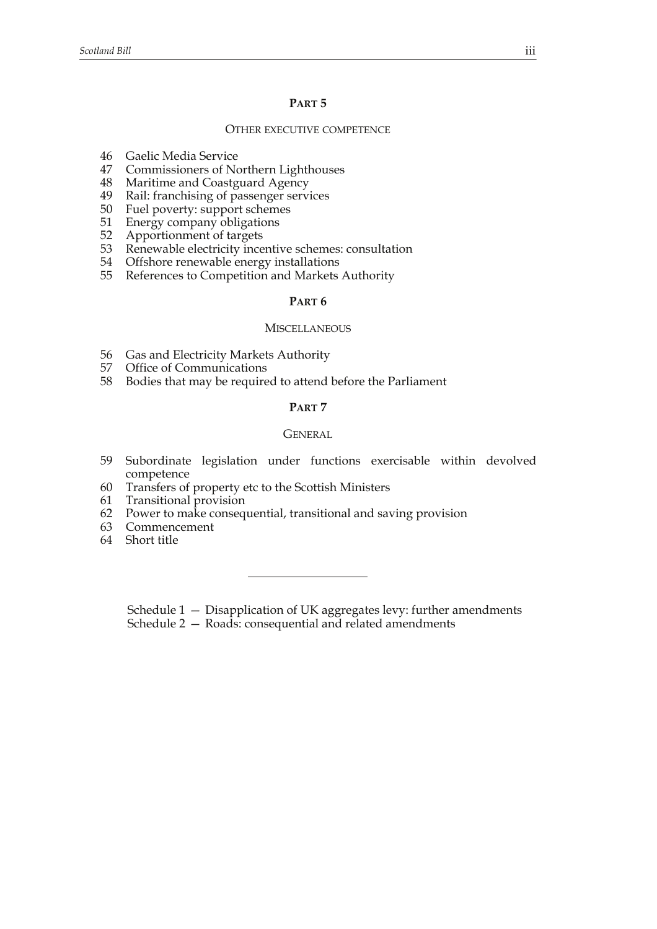#### **PART 5**

#### OTHER EXECUTIVE COMPETENCE

- 46 Gaelic Media Service
- 47 Commissioners of Northern Lighthouses
- 48 Maritime and Coastguard Agency
- 49 Rail: franchising of passenger services
- 50 Fuel poverty: support schemes
- 51 Energy company obligations<br>52 Apportionment of targets
- 52 Apportionment of targets<br>53 Renewable electricity ince
- Renewable electricity incentive schemes: consultation
- 54 Offshore renewable energy installations
- 55 References to Competition and Markets Authority

#### **PART 6**

#### **MISCELLANEOUS**

- 56 Gas and Electricity Markets Authority
- 57 Office of Communications
- 58 Bodies that may be required to attend before the Parliament

#### **PART 7**

#### **GENERAL**

- 59 Subordinate legislation under functions exercisable within devolved competence
- 60 Transfers of property etc to the Scottish Ministers
- 61 Transitional provision
- 62 Power to make consequential, transitional and saving provision
- 63 Commencement
- 64 Short title

Schedule 1 — Disapplication of UK aggregates levy: further amendments

Schedule 2 - Roads: consequential and related amendments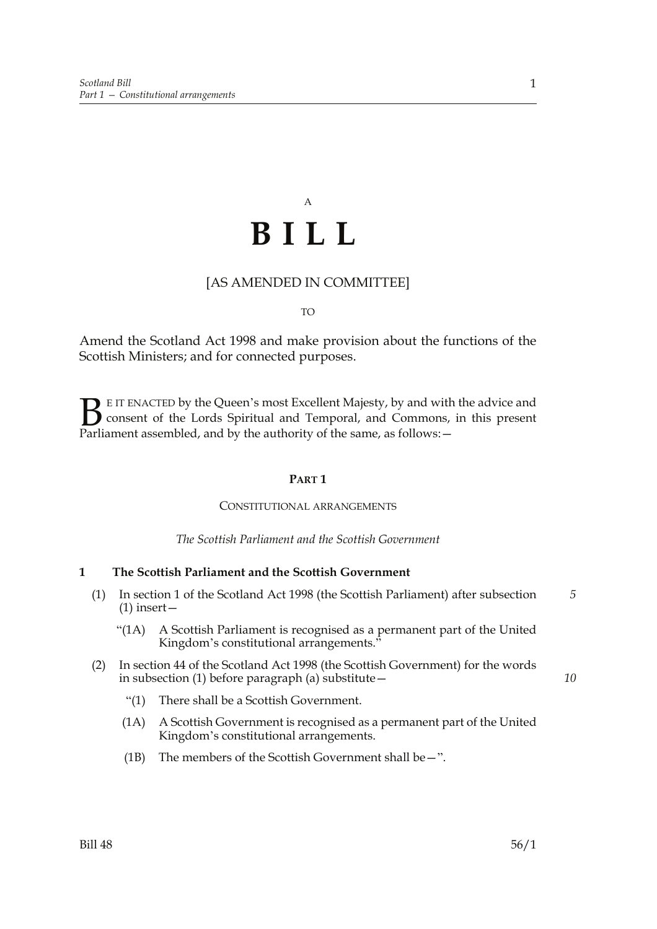# A **BILL**

### [AS AMENDED IN COMMITTEE]

TO

Amend the Scotland Act 1998 and make provision about the functions of the Scottish Ministers; and for connected purposes.

E IT ENACTED by the Queen's most Excellent Majesty, by and with the advice and consent of the Lords Spiritual and Temporal, and Commons, in this present Parliament assembled, and by the authority of the same, as follows: - $\mathbf{B}_{\text{rel}}$ 

#### **PART 1**

#### CONSTITUTIONAL ARRANGEMENTS

*The Scottish Parliament and the Scottish Government*

#### **1 The Scottish Parliament and the Scottish Government**

- (1) In section 1 of the Scotland Act 1998 (the Scottish Parliament) after subsection (1) insert— *5*
	- "(1A) A Scottish Parliament is recognised as a permanent part of the United Kingdom's constitutional arrangements."
- (2) In section 44 of the Scotland Act 1998 (the Scottish Government) for the words in subsection (1) before paragraph (a) substitute—
	- "(1) There shall be a Scottish Government.
	- (1A) A Scottish Government is recognised as a permanent part of the United Kingdom's constitutional arrangements.
	- (1B) The members of the Scottish Government shall be  $-$ ".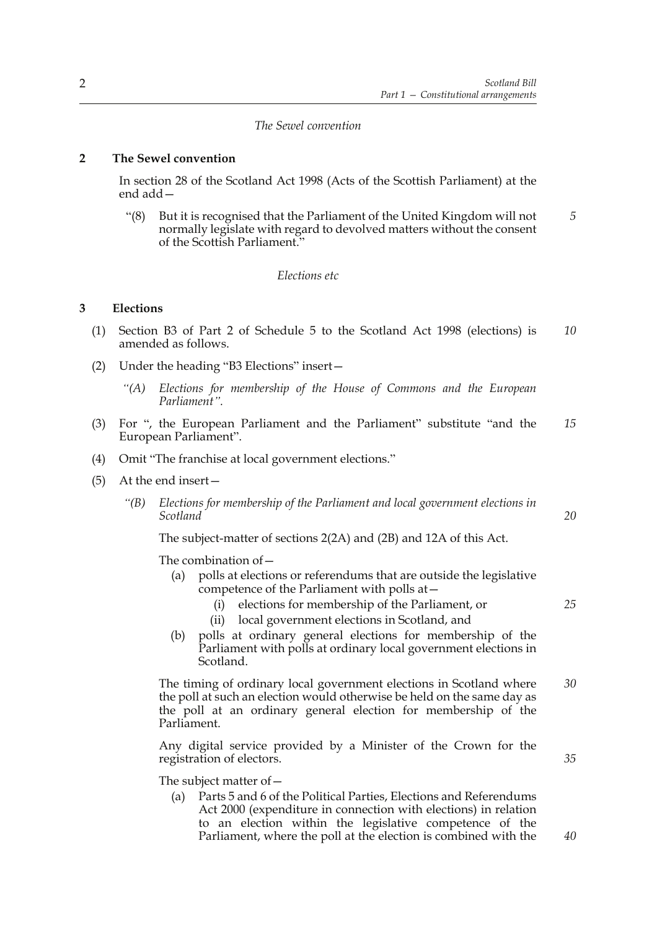#### *The Sewel convention*

#### **2 The Sewel convention**

In section 28 of the Scotland Act 1998 (Acts of the Scottish Parliament) at the end add—

"(8) But it is recognised that the Parliament of the United Kingdom will not normally legislate with regard to devolved matters without the consent of the Scottish Parliament." *5*

#### *Elections etc*

#### **3 Elections**

- (1) Section B3 of Part 2 of Schedule 5 to the Scotland Act 1998 (elections) is amended as follows. *10*
- (2) Under the heading "B3 Elections" insert—
	- *"(A) Elections for membership of the House of Commons and the European Parliament".*
- (3) For ", the European Parliament and the Parliament" substitute "and the European Parliament". *15*
- (4) Omit "The franchise at local government elections."
- (5) At the end insert—
	- *"(B) Elections for membership of the Parliament and local government elections in Scotland*

The subject-matter of sections 2(2A) and (2B) and 12A of this Act.

The combination of—

- (a) polls at elections or referendums that are outside the legislative competence of the Parliament with polls at—
	- (i) elections for membership of the Parliament, or
	- (ii) local government elections in Scotland, and
- (b) polls at ordinary general elections for membership of the Parliament with polls at ordinary local government elections in Scotland.

 The timing of ordinary local government elections in Scotland where the poll at such an election would otherwise be held on the same day as the poll at an ordinary general election for membership of the Parliament. *30*

 Any digital service provided by a Minister of the Crown for the registration of electors.

The subject matter of—

(a) Parts 5 and 6 of the Political Parties, Elections and Referendums Act 2000 (expenditure in connection with elections) in relation to an election within the legislative competence of the Parliament, where the poll at the election is combined with the *20*

*25*

*35*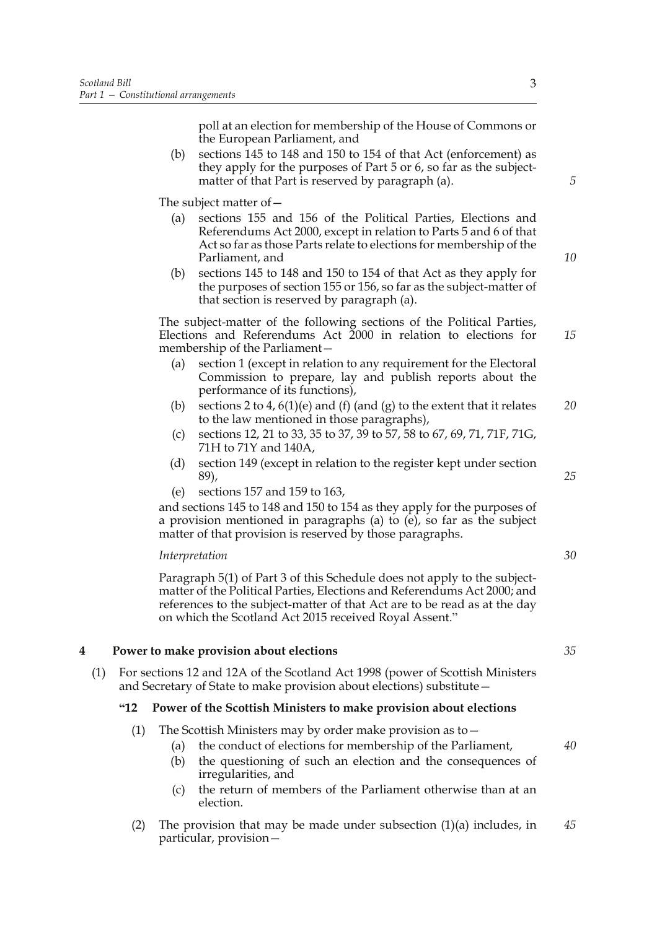poll at an election for membership of the House of Commons or the European Parliament, and

(b) sections 145 to 148 and 150 to 154 of that Act (enforcement) as they apply for the purposes of Part 5 or 6, so far as the subjectmatter of that Part is reserved by paragraph (a).

The subject matter of—

- (a) sections 155 and 156 of the Political Parties, Elections and Referendums Act 2000, except in relation to Parts 5 and 6 of that Act so far as those Parts relate to elections for membership of the Parliament, and
- (b) sections 145 to 148 and 150 to 154 of that Act as they apply for the purposes of section 155 or 156, so far as the subject-matter of that section is reserved by paragraph (a).

 The subject-matter of the following sections of the Political Parties, Elections and Referendums Act 2000 in relation to elections for membership of the Parliament—

- (a) section 1 (except in relation to any requirement for the Electoral Commission to prepare, lay and publish reports about the performance of its functions),
- (b) sections 2 to 4,  $6(1)(e)$  and (f) (and (g) to the extent that it relates to the law mentioned in those paragraphs), *20*
- (c) sections 12, 21 to 33, 35 to 37, 39 to 57, 58 to 67, 69, 71, 71F, 71G, 71H to 71Y and 140A,
- (d) section 149 (except in relation to the register kept under section 89),
- (e) sections 157 and 159 to 163,

and sections 145 to 148 and 150 to 154 as they apply for the purposes of a provision mentioned in paragraphs (a) to (e), so far as the subject matter of that provision is reserved by those paragraphs.

#### *Interpretation*

 Paragraph 5(1) of Part 3 of this Schedule does not apply to the subjectmatter of the Political Parties, Elections and Referendums Act 2000; and references to the subject-matter of that Act are to be read as at the day on which the Scotland Act 2015 received Royal Assent."

#### **4 Power to make provision about elections**

(1) For sections 12 and 12A of the Scotland Act 1998 (power of Scottish Ministers and Secretary of State to make provision about elections) substitute—

#### **"12 Power of the Scottish Ministers to make provision about elections**

- (1) The Scottish Ministers may by order make provision as to—
	- (a) the conduct of elections for membership of the Parliament, (b) the questioning of such an election and the consequences of irregularities, and
	- (c) the return of members of the Parliament otherwise than at an election.
- (2) The provision that may be made under subsection  $(1)(a)$  includes, in particular, provision— *45*

3

*10*

*15*

*5*

*25*

*30*

*35*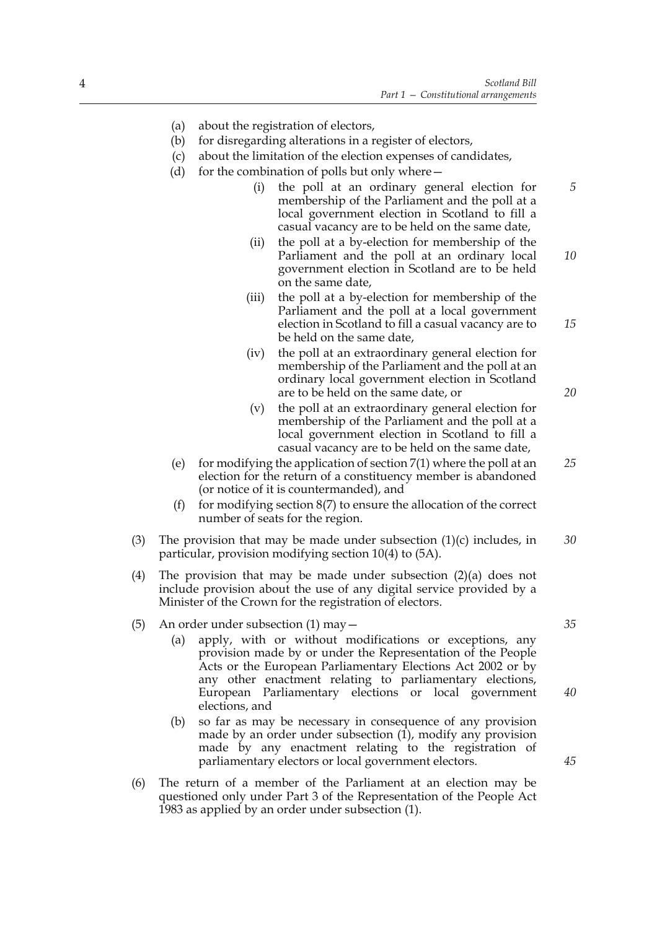- (a) about the registration of electors,
- (b) for disregarding alterations in a register of electors,
- (c) about the limitation of the election expenses of candidates,
- (d) for the combination of polls but only where  $-$ 
	- (i) the poll at an ordinary general election for membership of the Parliament and the poll at a local government election in Scotland to fill a casual vacancy are to be held on the same date,
	- (ii) the poll at a by-election for membership of the Parliament and the poll at an ordinary local government election in Scotland are to be held on the same date, *10*
	- (iii) the poll at a by-election for membership of the Parliament and the poll at a local government election in Scotland to fill a casual vacancy are to be held on the same date,
	- (iv) the poll at an extraordinary general election for membership of the Parliament and the poll at an ordinary local government election in Scotland are to be held on the same date, or
	- (v) the poll at an extraordinary general election for membership of the Parliament and the poll at a local government election in Scotland to fill a casual vacancy are to be held on the same date,
- (e) for modifying the application of section  $7(1)$  where the poll at an election for the return of a constituency member is abandoned (or notice of it is countermanded), and
- (f) for modifying section  $8(7)$  to ensure the allocation of the correct number of seats for the region.
- (3) The provision that may be made under subsection  $(1)(c)$  includes, in particular, provision modifying section 10(4) to (5A). *30*
- (4) The provision that may be made under subsection (2)(a) does not include provision about the use of any digital service provided by a Minister of the Crown for the registration of electors.
- (5) An order under subsection (1) may—
	- (a) apply, with or without modifications or exceptions, any provision made by or under the Representation of the People Acts or the European Parliamentary Elections Act 2002 or by any other enactment relating to parliamentary elections, European Parliamentary elections or local government elections, and
	- (b) so far as may be necessary in consequence of any provision made by an order under subsection (1), modify any provision made by any enactment relating to the registration of parliamentary electors or local government electors.
- (6) The return of a member of the Parliament at an election may be questioned only under Part 3 of the Representation of the People Act 1983 as applied by an order under subsection (1).

*35*

*5*

*15*

*20*

*25*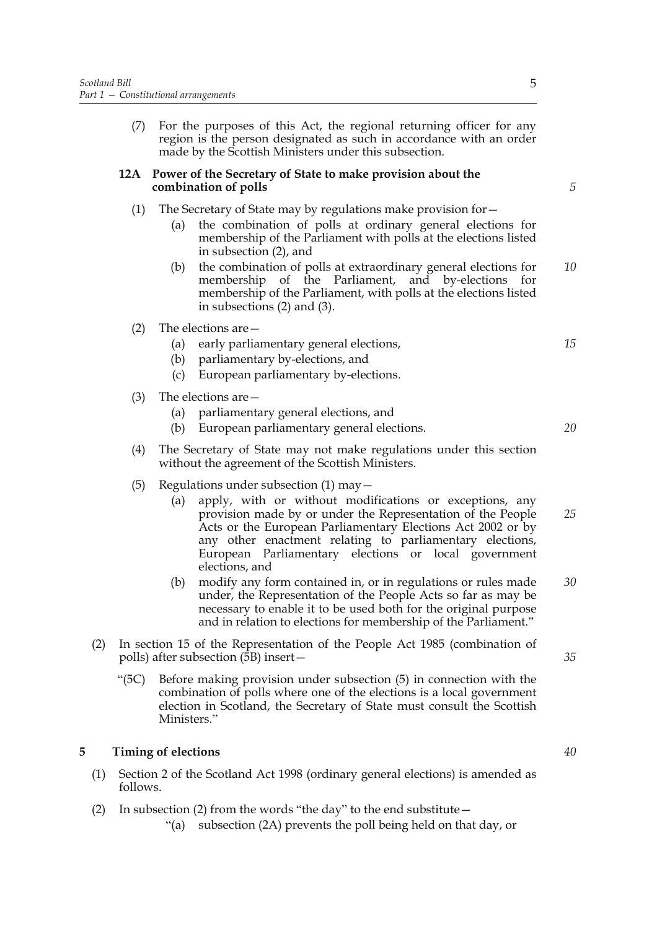(7) For the purposes of this Act, the regional returning officer for any region is the person designated as such in accordance with an order made by the Scottish Ministers under this subsection.

#### **12A Power of the Secretary of State to make provision about the combination of polls**

- (1) The Secretary of State may by regulations make provision for
	- the combination of polls at ordinary general elections for membership of the Parliament with polls at the elections listed in subsection (2), and
	- (b) the combination of polls at extraordinary general elections for membership of the Parliament, and by-elections for membership of the Parliament, with polls at the elections listed in subsections (2) and (3). *10*
- (2) The elections are—
	- (a) early parliamentary general elections,
	- (b) parliamentary by-elections, and
	- (c) European parliamentary by-elections.
- (3) The elections are—
	- (a) parliamentary general elections, and
	- (b) European parliamentary general elections.
- (4) The Secretary of State may not make regulations under this section without the agreement of the Scottish Ministers.
- (5) Regulations under subsection  $(1)$  may  $$ 
	- apply, with or without modifications or exceptions, any provision made by or under the Representation of the People Acts or the European Parliamentary Elections Act 2002 or by any other enactment relating to parliamentary elections, European Parliamentary elections or local government elections, and *25*
	- (b) modify any form contained in, or in regulations or rules made under, the Representation of the People Acts so far as may be necessary to enable it to be used both for the original purpose and in relation to elections for membership of the Parliament." *30*
- (2) In section 15 of the Representation of the People Act 1985 (combination of polls) after subsection  $(5B)$  insert –
	- "(5C) Before making provision under subsection (5) in connection with the combination of polls where one of the elections is a local government election in Scotland, the Secretary of State must consult the Scottish Ministers."

#### **5 Timing of elections**

- (1) Section 2 of the Scotland Act 1998 (ordinary general elections) is amended as follows.
- (2) In subsection (2) from the words "the day" to the end substitute  $-$

"(a) subsection (2A) prevents the poll being held on that day, or

*15*

*5*

5

*20*

*35*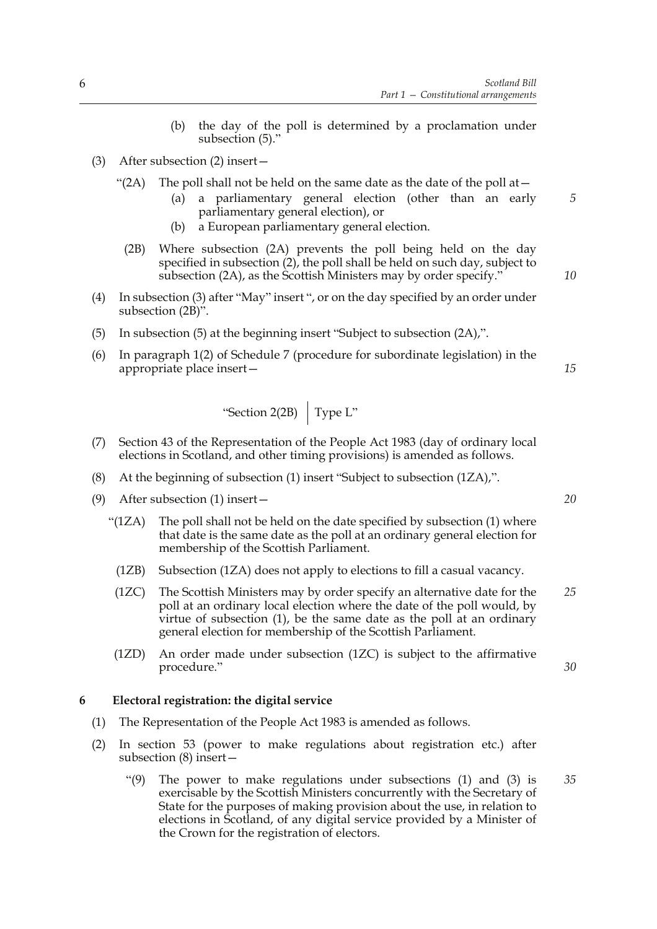- (b) the day of the poll is determined by a proclamation under subsection (5)."
- (3) After subsection (2) insert—
	- "(2A) The poll shall not be held on the same date as the date of the poll at  $-$ 
		- (a) a parliamentary general election (other than an early parliamentary general election), or
		- (b) a European parliamentary general election.
	- (2B) Where subsection (2A) prevents the poll being held on the day specified in subsection (2), the poll shall be held on such day, subject to subsection (2A), as the Scottish Ministers may by order specify."
- (4) In subsection (3) after "May" insert ", or on the day specified by an order under subsection (2B)".
- (5) In subsection (5) at the beginning insert "Subject to subsection (2A),".
- (6) In paragraph 1(2) of Schedule 7 (procedure for subordinate legislation) in the appropriate place insert—

"Section 2(2B) 
$$
\int
$$
 Type L"

- (7) Section 43 of the Representation of the People Act 1983 (day of ordinary local elections in Scotland, and other timing provisions) is amended as follows.
- (8) At the beginning of subsection (1) insert "Subject to subsection (1ZA),".
- (9) After subsection (1) insert—
	- "(1ZA) The poll shall not be held on the date specified by subsection (1) where that date is the same date as the poll at an ordinary general election for membership of the Scottish Parliament.
		- (1ZB) Subsection (1ZA) does not apply to elections to fill a casual vacancy.
		- (1ZC) The Scottish Ministers may by order specify an alternative date for the poll at an ordinary local election where the date of the poll would, by virtue of subsection (1), be the same date as the poll at an ordinary general election for membership of the Scottish Parliament. *25*
	- (1ZD) An order made under subsection (1ZC) is subject to the affirmative procedure."

*30*

*35*

#### **6 Electoral registration: the digital service**

- (1) The Representation of the People Act 1983 is amended as follows.
- (2) In section 53 (power to make regulations about registration etc.) after subsection (8) insert—
	- "(9) The power to make regulations under subsections (1) and (3) is exercisable by the Scottish Ministers concurrently with the Secretary of State for the purposes of making provision about the use, in relation to elections in Scotland, of any digital service provided by a Minister of the Crown for the registration of electors.

*5*

*10*

*15*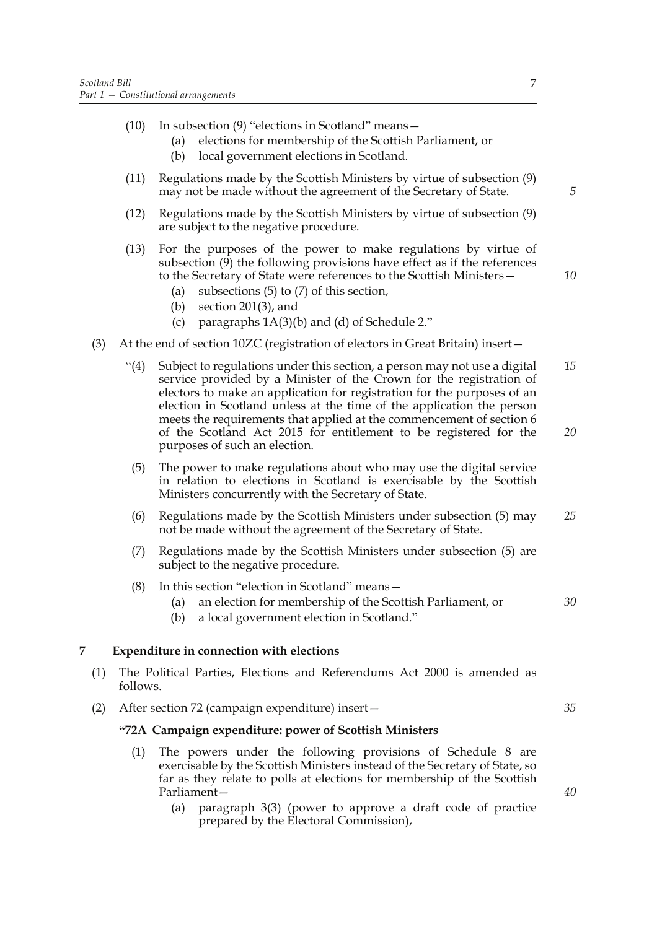- (10) In subsection (9) "elections in Scotland" means—
	- (a) elections for membership of the Scottish Parliament, or
	- (b) local government elections in Scotland.
- (11) Regulations made by the Scottish Ministers by virtue of subsection (9) may not be made without the agreement of the Secretary of State.
- (12) Regulations made by the Scottish Ministers by virtue of subsection (9) are subject to the negative procedure.
- (13) For the purposes of the power to make regulations by virtue of subsection (9) the following provisions have effect as if the references to the Secretary of State were references to the Scottish Ministers—
	- (a) subsections (5) to (7) of this section,
	- (b) section 201(3), and
	- (c) paragraphs 1A(3)(b) and (d) of Schedule 2."
- (3) At the end of section 10ZC (registration of electors in Great Britain) insert—
	- "(4) Subject to regulations under this section, a person may not use a digital service provided by a Minister of the Crown for the registration of electors to make an application for registration for the purposes of an election in Scotland unless at the time of the application the person meets the requirements that applied at the commencement of section 6 of the Scotland Act 2015 for entitlement to be registered for the purposes of such an election. *15 20*
	- (5) The power to make regulations about who may use the digital service in relation to elections in Scotland is exercisable by the Scottish Ministers concurrently with the Secretary of State.
	- (6) Regulations made by the Scottish Ministers under subsection (5) may not be made without the agreement of the Secretary of State. *25*
	- (7) Regulations made by the Scottish Ministers under subsection (5) are subject to the negative procedure.
	- (8) In this section "election in Scotland" means—
		- (a) an election for membership of the Scottish Parliament, or
		- (b) a local government election in Scotland."

#### **7 Expenditure in connection with elections**

- (1) The Political Parties, Elections and Referendums Act 2000 is amended as follows.
- (2) After section 72 (campaign expenditure) insert—

#### **"72A Campaign expenditure: power of Scottish Ministers**

- (1) The powers under the following provisions of Schedule 8 are exercisable by the Scottish Ministers instead of the Secretary of State, so far as they relate to polls at elections for membership of the Scottish Parliament—
	- (a) paragraph 3(3) (power to approve a draft code of practice prepared by the Electoral Commission),

*5*

*10*

*40*

*35*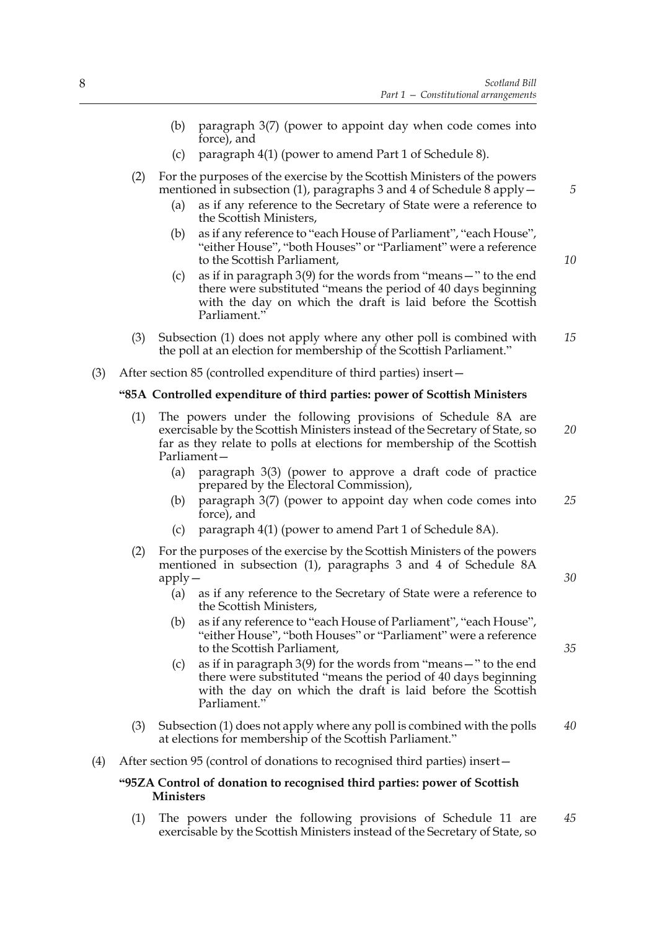- (b) paragraph 3(7) (power to appoint day when code comes into force), and
- (c) paragraph 4(1) (power to amend Part 1 of Schedule 8).
- (2) For the purposes of the exercise by the Scottish Ministers of the powers mentioned in subsection (1), paragraphs 3 and 4 of Schedule 8 apply  $-$ 
	- (a) as if any reference to the Secretary of State were a reference to the Scottish Ministers,
	- (b) as if any reference to "each House of Parliament", "each House", "either House", "both Houses" or "Parliament" were a reference to the Scottish Parliament,
	- (c) as if in paragraph 3(9) for the words from "means—" to the end there were substituted "means the period of 40 days beginning with the day on which the draft is laid before the Scottish Parliament."
- (3) Subsection (1) does not apply where any other poll is combined with the poll at an election for membership of the Scottish Parliament." *15*
- (3) After section 85 (controlled expenditure of third parties) insert—

#### **"85A Controlled expenditure of third parties: power of Scottish Ministers**

- (1) The powers under the following provisions of Schedule 8A are exercisable by the Scottish Ministers instead of the Secretary of State, so far as they relate to polls at elections for membership of the Scottish Parliament— *20*
	- (a) paragraph 3(3) (power to approve a draft code of practice prepared by the Electoral Commission),
	- (b) paragraph 3(7) (power to appoint day when code comes into force), and *25*
	- (c) paragraph 4(1) (power to amend Part 1 of Schedule 8A).
- (2) For the purposes of the exercise by the Scottish Ministers of the powers mentioned in subsection (1), paragraphs 3 and 4 of Schedule 8A apply—
	- (a) as if any reference to the Secretary of State were a reference to the Scottish Ministers,
	- (b) as if any reference to "each House of Parliament", "each House", "either House", "both Houses" or "Parliament" were a reference to the Scottish Parliament,
	- (c) as if in paragraph 3(9) for the words from "means—" to the end there were substituted "means the period of 40 days beginning with the day on which the draft is laid before the Scottish Parliament."
- (3) Subsection (1) does not apply where any poll is combined with the polls at elections for membership of the Scottish Parliament." *40*
- (4) After section 95 (control of donations to recognised third parties) insert—

#### **"95ZA Control of donation to recognised third parties: power of Scottish Ministers**

(1) The powers under the following provisions of Schedule 11 are exercisable by the Scottish Ministers instead of the Secretary of State, so *45*

*10*

*5*

*30*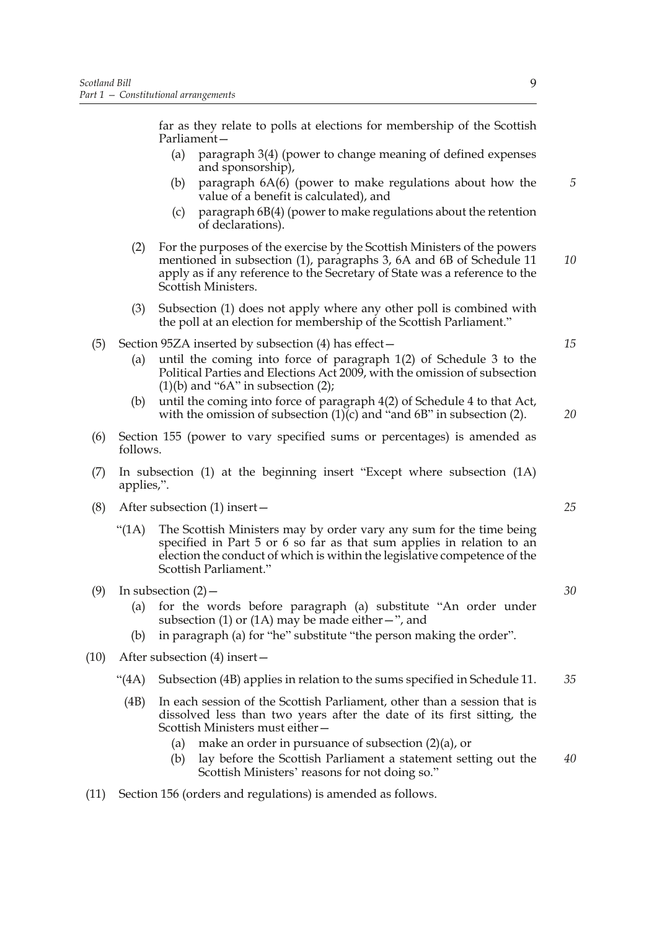far as they relate to polls at elections for membership of the Scottish Parliament—

- (a) paragraph 3(4) (power to change meaning of defined expenses and sponsorship),
- (b) paragraph 6A(6) (power to make regulations about how the value of a benefit is calculated), and
- (c) paragraph 6B(4) (power to make regulations about the retention of declarations).
- (2) For the purposes of the exercise by the Scottish Ministers of the powers mentioned in subsection (1), paragraphs 3, 6A and 6B of Schedule 11 apply as if any reference to the Secretary of State was a reference to the Scottish Ministers. *10*
- (3) Subsection (1) does not apply where any other poll is combined with the poll at an election for membership of the Scottish Parliament."

#### (5) Section 95ZA inserted by subsection (4) has effect—

- (a) until the coming into force of paragraph 1(2) of Schedule 3 to the Political Parties and Elections Act 2009, with the omission of subsection  $(1)(b)$  and "6A" in subsection  $(2)$ ;
- (b) until the coming into force of paragraph 4(2) of Schedule 4 to that Act, with the omission of subsection  $(1)(c)$  and "and 6B" in subsection (2).
- (6) Section 155 (power to vary specified sums or percentages) is amended as follows.
- (7) In subsection (1) at the beginning insert "Except where subsection (1A) applies,".
- (8) After subsection (1) insert—
	- "(1A) The Scottish Ministers may by order vary any sum for the time being specified in Part 5 or 6 so far as that sum applies in relation to an election the conduct of which is within the legislative competence of the Scottish Parliament."
- (9) In subsection  $(2)$ 
	- (a) for the words before paragraph (a) substitute "An order under subsection (1) or (1A) may be made either  $-$ ", and
	- (b) in paragraph (a) for "he" substitute "the person making the order".
- (10) After subsection (4) insert—
	- "(4A) Subsection (4B) applies in relation to the sums specified in Schedule 11. *35*
		- (4B) In each session of the Scottish Parliament, other than a session that is dissolved less than two years after the date of its first sitting, the Scottish Ministers must either—
			- (a) make an order in pursuance of subsection (2)(a), or
			- (b) lay before the Scottish Parliament a statement setting out the Scottish Ministers' reasons for not doing so." *40*
- (11) Section 156 (orders and regulations) is amended as follows.

*5*

*15*

*20*

*25*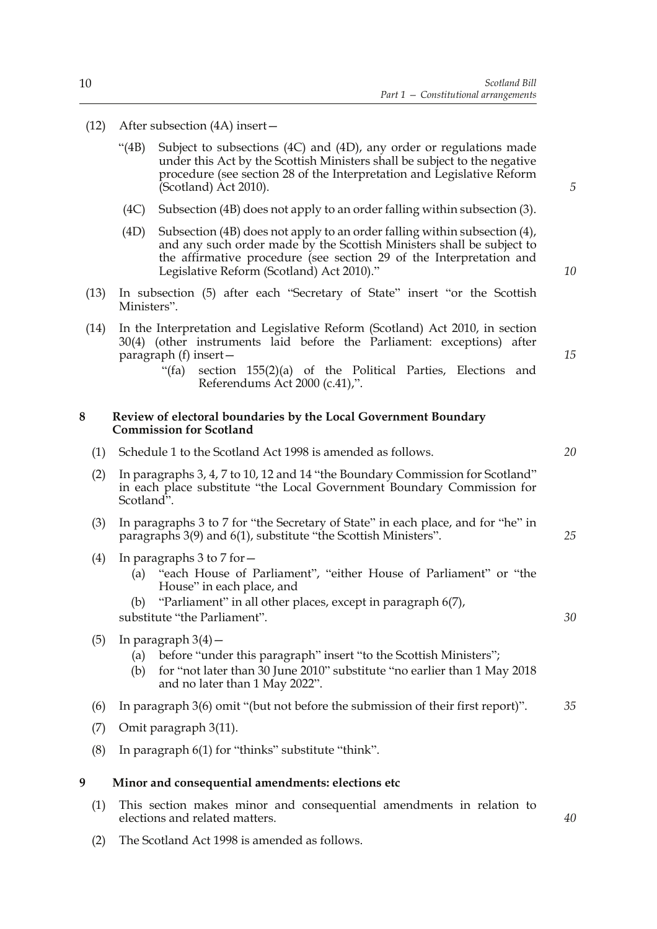- (12) After subsection (4A) insert—
	- "(4B) Subject to subsections (4C) and (4D), any order or regulations made under this Act by the Scottish Ministers shall be subject to the negative procedure (see section 28 of the Interpretation and Legislative Reform (Scotland) Act 2010).
	- (4C) Subsection (4B) does not apply to an order falling within subsection (3).
	- (4D) Subsection (4B) does not apply to an order falling within subsection (4), and any such order made by the Scottish Ministers shall be subject to the affirmative procedure (see section 29 of the Interpretation and Legislative Reform (Scotland) Act 2010)."
- (13) In subsection (5) after each "Secretary of State" insert "or the Scottish Ministers".
- (14) In the Interpretation and Legislative Reform (Scotland) Act 2010, in section 30(4) (other instruments laid before the Parliament: exceptions) after paragraph (f) insert—
	- "(fa) section 155(2)(a) of the Political Parties, Elections and Referendums Act 2000 (c.41),".

#### **8 Review of electoral boundaries by the Local Government Boundary Commission for Scotland**

(1) Schedule 1 to the Scotland Act 1998 is amended as follows.

|   | (2) | In paragraphs 3, 4, 7 to 10, 12 and 14 "the Boundary Commission for Scotland"<br>in each place substitute "the Local Government Boundary Commission for<br>Scotland".                                                                    |    |  |  |
|---|-----|------------------------------------------------------------------------------------------------------------------------------------------------------------------------------------------------------------------------------------------|----|--|--|
|   | (3) | In paragraphs 3 to 7 for "the Secretary of State" in each place, and for "he" in<br>paragraphs 3(9) and 6(1), substitute "the Scottish Ministers".                                                                                       |    |  |  |
|   | (4) | In paragraphs 3 to 7 for -<br>"each House of Parliament", "either House of Parliament" or "the<br>(a)<br>House" in each place, and<br>"Parliament" in all other places, except in paragraph 6(7),<br>(b)<br>substitute "the Parliament". | 30 |  |  |
|   | (5) | In paragraph $3(4)$ –<br>before "under this paragraph" insert "to the Scottish Ministers";<br>(a)<br>for "not later than 30 June 2010" substitute "no earlier than 1 May 2018<br>(b)<br>and no later than 1 May 2022".                   |    |  |  |
|   | (6) | In paragraph $3(6)$ omit "(but not before the submission of their first report)".                                                                                                                                                        | 35 |  |  |
|   | (7) | Omit paragraph 3(11).                                                                                                                                                                                                                    |    |  |  |
|   | (8) | In paragraph 6(1) for "thinks" substitute "think".                                                                                                                                                                                       |    |  |  |
| 9 |     | Minor and consequential amendments: elections etc                                                                                                                                                                                        |    |  |  |
|   | (1) | This section makes minor and consequential amendments in relation to<br>elections and related matters.                                                                                                                                   |    |  |  |
|   | (2) | The Scotland Act 1998 is amended as follows.                                                                                                                                                                                             |    |  |  |

*5*

*10*

*15*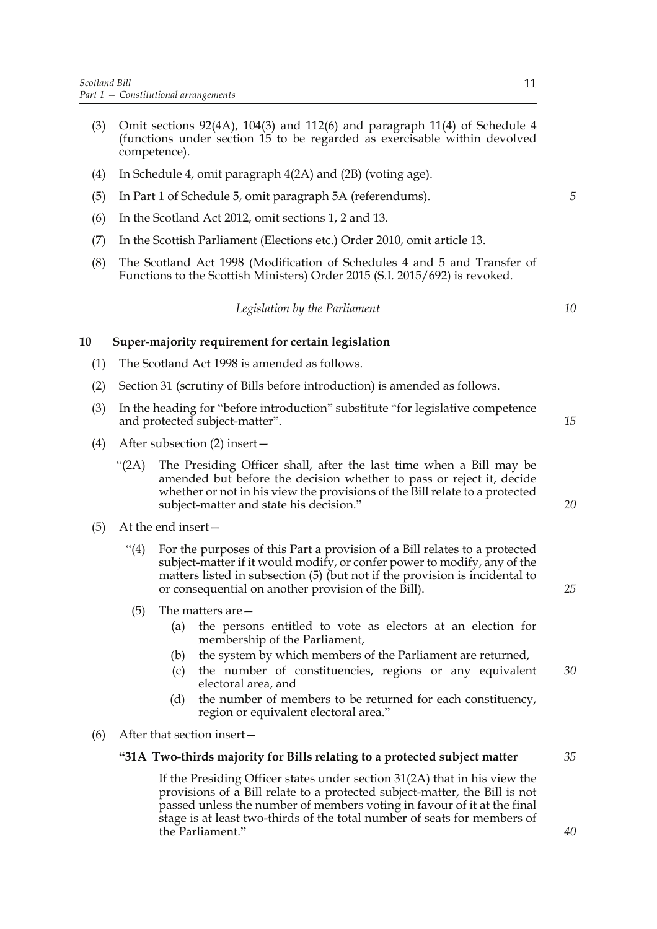- (3) Omit sections 92(4A), 104(3) and 112(6) and paragraph 11(4) of Schedule 4 (functions under section 15 to be regarded as exercisable within devolved competence).
- (4) In Schedule 4, omit paragraph 4(2A) and (2B) (voting age).
- (5) In Part 1 of Schedule 5, omit paragraph 5A (referendums).
- (6) In the Scotland Act 2012, omit sections 1, 2 and 13.
- (7) In the Scottish Parliament (Elections etc.) Order 2010, omit article 13.
- (8) The Scotland Act 1998 (Modification of Schedules 4 and 5 and Transfer of Functions to the Scottish Ministers) Order 2015 (S.I. 2015/692) is revoked.

*Legislation by the Parliament*

#### **10 Super-majority requirement for certain legislation**

- (1) The Scotland Act 1998 is amended as follows.
- (2) Section 31 (scrutiny of Bills before introduction) is amended as follows.
- (3) In the heading for "before introduction" substitute "for legislative competence and protected subject-matter". *15*
- (4) After subsection (2) insert—
	- "(2A) The Presiding Officer shall, after the last time when a Bill may be amended but before the decision whether to pass or reject it, decide whether or not in his view the provisions of the Bill relate to a protected subject-matter and state his decision."
- (5) At the end insert—
	- "(4) For the purposes of this Part a provision of a Bill relates to a protected subject-matter if it would modify, or confer power to modify, any of the matters listed in subsection (5) (but not if the provision is incidental to or consequential on another provision of the Bill).
	- (5) The matters are—
		- (a) the persons entitled to vote as electors at an election for membership of the Parliament,
		- (b) the system by which members of the Parliament are returned,
		- (c) the number of constituencies, regions or any equivalent electoral area, and *30*
		- (d) the number of members to be returned for each constituency, region or equivalent electoral area."
- (6) After that section insert—

#### **"31A Two-thirds majority for Bills relating to a protected subject matter** *35*

If the Presiding Officer states under section 31(2A) that in his view the provisions of a Bill relate to a protected subject-matter, the Bill is not passed unless the number of members voting in favour of it at the final stage is at least two-thirds of the total number of seats for members of the Parliament."

*5*

*10*

*20*

*25*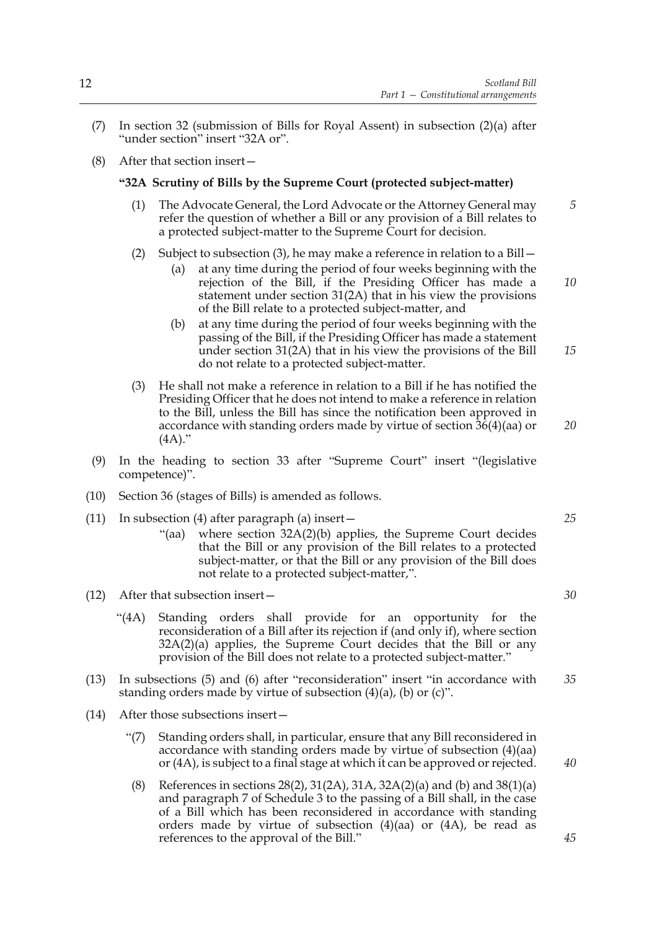- (7) In section 32 (submission of Bills for Royal Assent) in subsection (2)(a) after "under section" insert "32A or".
- (8) After that section insert—

#### **"32A Scrutiny of Bills by the Supreme Court (protected subject-matter)**

- (1) The Advocate General, the Lord Advocate or the Attorney General may refer the question of whether a Bill or any provision of a Bill relates to a protected subject-matter to the Supreme Court for decision. *5*
- (2) Subject to subsection (3), he may make a reference in relation to a Bill—
	- (a) at any time during the period of four weeks beginning with the rejection of the Bill, if the Presiding Officer has made a statement under section 31(2A) that in his view the provisions of the Bill relate to a protected subject-matter, and
	- (b) at any time during the period of four weeks beginning with the passing of the Bill, if the Presiding Officer has made a statement under section 31(2A) that in his view the provisions of the Bill do not relate to a protected subject-matter. *15*
- (3) He shall not make a reference in relation to a Bill if he has notified the Presiding Officer that he does not intend to make a reference in relation to the Bill, unless the Bill has since the notification been approved in accordance with standing orders made by virtue of section 36(4)(aa) or  $(4A)$ ."
- (9) In the heading to section 33 after "Supreme Court" insert "(legislative competence)".
- (10) Section 36 (stages of Bills) is amended as follows.
- (11) In subsection (4) after paragraph (a) insert—
	- "(aa) where section 32A(2)(b) applies, the Supreme Court decides that the Bill or any provision of the Bill relates to a protected subject-matter, or that the Bill or any provision of the Bill does not relate to a protected subject-matter,".
- (12) After that subsection insert—
	- "(4A) Standing orders shall provide for an opportunity for the reconsideration of a Bill after its rejection if (and only if), where section 32A(2)(a) applies, the Supreme Court decides that the Bill or any provision of the Bill does not relate to a protected subject-matter."
- (13) In subsections (5) and (6) after "reconsideration" insert "in accordance with standing orders made by virtue of subsection  $(4)(a)$ ,  $(b)$  or  $(c)$ ". *35*
- (14) After those subsections insert—
	- "(7) Standing orders shall, in particular, ensure that any Bill reconsidered in accordance with standing orders made by virtue of subsection (4)(aa) or (4A), is subject to a final stage at which it can be approved or rejected.
	- (8) References in sections  $28(2)$ ,  $31(2A)$ ,  $31A$ ,  $32A(2)(a)$  and (b) and  $38(1)(a)$ and paragraph 7 of Schedule 3 to the passing of a Bill shall, in the case of a Bill which has been reconsidered in accordance with standing orders made by virtue of subsection (4)(aa) or (4A), be read as references to the approval of the Bill."

*25*

*20*

*10*

*30*

*40*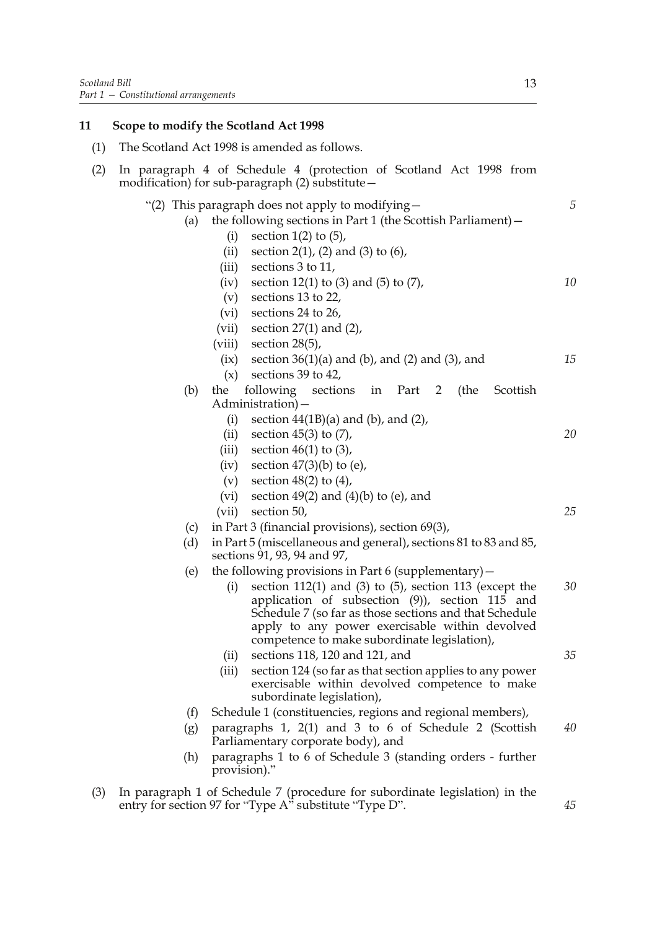### **11 Scope to modify the Scotland Act 1998**

| (1) |            | The Scotland Act 1998 is amended as follows.                                                                                                                                                                                                                                                                                                       |    |
|-----|------------|----------------------------------------------------------------------------------------------------------------------------------------------------------------------------------------------------------------------------------------------------------------------------------------------------------------------------------------------------|----|
| (2) |            | In paragraph 4 of Schedule 4 (protection of Scotland Act 1998 from<br>modification) for sub-paragraph (2) substitute -                                                                                                                                                                                                                             |    |
|     | (a)        | "(2) This paragraph does not apply to modifying $-$<br>the following sections in Part 1 (the Scottish Parliament) -<br>section $1(2)$ to $(5)$ ,<br>(i)<br>section $2(1)$ , $(2)$ and $(3)$ to $(6)$ ,<br>(ii)                                                                                                                                     | 5  |
|     |            | (iii)<br>sections 3 to 11,<br>section 12(1) to (3) and (5) to $(7)$ ,<br>(iv)<br>(v)<br>sections 13 to 22,<br>(vi)<br>sections 24 to 26,<br>section $27(1)$ and $(2)$ ,<br>(vii)<br>section $28(5)$ ,                                                                                                                                              | 10 |
|     |            | (viii)<br>section $36(1)(a)$ and $(b)$ , and $(2)$ and $(3)$ , and<br>(ix)<br>(x)<br>sections 39 to 42,                                                                                                                                                                                                                                            | 15 |
|     | (b)        | following sections<br>the<br>Part 2 (the<br>Scottish<br>in<br>Administration) –<br>section $44(1B)(a)$ and (b), and (2),<br>(i)                                                                                                                                                                                                                    |    |
|     |            | section $45(3)$ to $(7)$ ,<br>(ii)<br>section $46(1)$ to $(3)$ ,<br>(iii)<br>section $47(3)(b)$ to (e),<br>(iv)<br>section $48(2)$ to $(4)$ ,<br>(v)                                                                                                                                                                                               | 20 |
|     |            | section $49(2)$ and $(4)(b)$ to (e), and<br>(vi)<br>(vii)<br>section 50,                                                                                                                                                                                                                                                                           | 25 |
|     | (c)<br>(d) | in Part 3 (financial provisions), section $69(3)$ ,<br>in Part 5 (miscellaneous and general), sections 81 to 83 and 85,<br>sections 91, 93, 94 and 97,                                                                                                                                                                                             |    |
|     | (e)        | the following provisions in Part $6$ (supplementary) $-$<br>section $112(1)$ and $(3)$ to $(5)$ , section 113 (except the<br>(i)<br>application of subsection $(9)$ ), section 115 and<br>Schedule 7 (so far as those sections and that Schedule<br>apply to any power exercisable within devolved<br>competence to make subordinate legislation), | 30 |
|     |            | sections 118, 120 and 121, and<br>(ii)<br>(iii)<br>section 124 (so far as that section applies to any power<br>exercisable within devolved competence to make<br>subordinate legislation),                                                                                                                                                         | 35 |
|     | (f)        | Schedule 1 (constituencies, regions and regional members),                                                                                                                                                                                                                                                                                         |    |
|     | (g)        | paragraphs 1, 2(1) and 3 to 6 of Schedule 2 (Scottish<br>Parliamentary corporate body), and                                                                                                                                                                                                                                                        | 40 |
|     | (h)        | paragraphs 1 to 6 of Schedule 3 (standing orders - further<br>provision)."                                                                                                                                                                                                                                                                         |    |
| (3) |            | In paragraph 1 of Schedule 7 (procedure for subordinate legislation) in the<br>entry for section 97 for "Type A" substitute "Type D".                                                                                                                                                                                                              | 45 |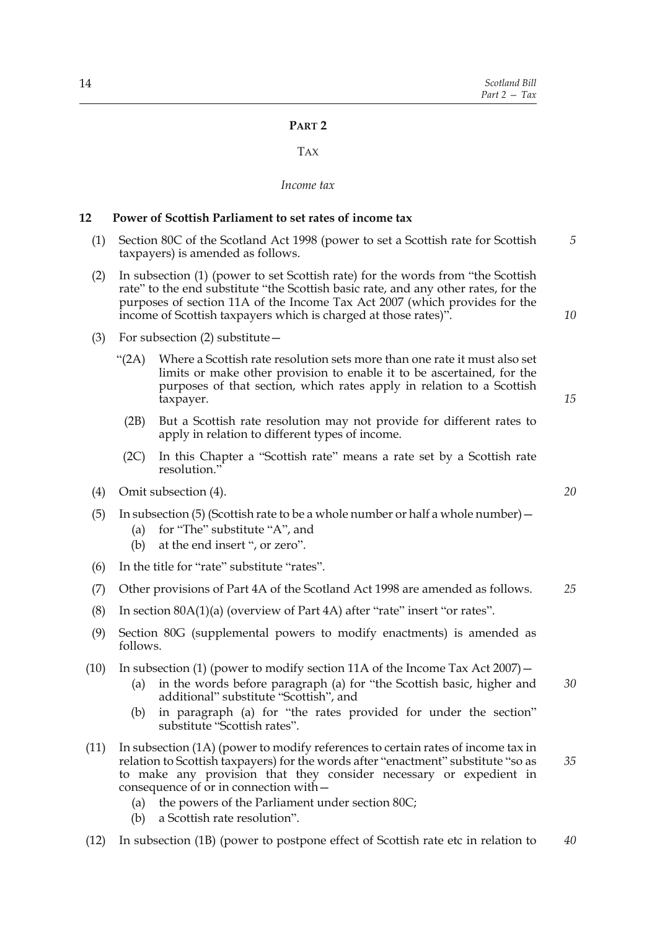### **PART 2**

#### TAX

#### *Income tax*

#### **12 Power of Scottish Parliament to set rates of income tax**

- (1) Section 80C of the Scotland Act 1998 (power to set a Scottish rate for Scottish taxpayers) is amended as follows. *5*
- (2) In subsection (1) (power to set Scottish rate) for the words from "the Scottish rate" to the end substitute "the Scottish basic rate, and any other rates, for the purposes of section 11A of the Income Tax Act 2007 (which provides for the income of Scottish taxpayers which is charged at those rates)".
- (3) For subsection (2) substitute—
	- "(2A) Where a Scottish rate resolution sets more than one rate it must also set limits or make other provision to enable it to be ascertained, for the purposes of that section, which rates apply in relation to a Scottish taxpayer.
		- (2B) But a Scottish rate resolution may not provide for different rates to apply in relation to different types of income.
	- (2C) In this Chapter a "Scottish rate" means a rate set by a Scottish rate resolution."
- (4) Omit subsection (4).
- (5) In subsection (5) (Scottish rate to be a whole number or half a whole number)—
	- (a) for "The" substitute "A", and
	- (b) at the end insert ", or zero".
- (6) In the title for "rate" substitute "rates".
- (7) Other provisions of Part 4A of the Scotland Act 1998 are amended as follows. *25*
- (8) In section 80A(1)(a) (overview of Part 4A) after "rate" insert "or rates".
- (9) Section 80G (supplemental powers to modify enactments) is amended as follows.
- (10) In subsection (1) (power to modify section 11A of the Income Tax Act 2007)—
	- (a) in the words before paragraph (a) for "the Scottish basic, higher and additional" substitute "Scottish", and *30*
	- (b) in paragraph (a) for "the rates provided for under the section" substitute "Scottish rates".
- (11) In subsection (1A) (power to modify references to certain rates of income tax in relation to Scottish taxpayers) for the words after "enactment" substitute "so as to make any provision that they consider necessary or expedient in consequence of or in connection with— *35*
	- (a) the powers of the Parliament under section 80C;
	- (b) a Scottish rate resolution".
- (12) In subsection (1B) (power to postpone effect of Scottish rate etc in relation to *40*

*20*

*10*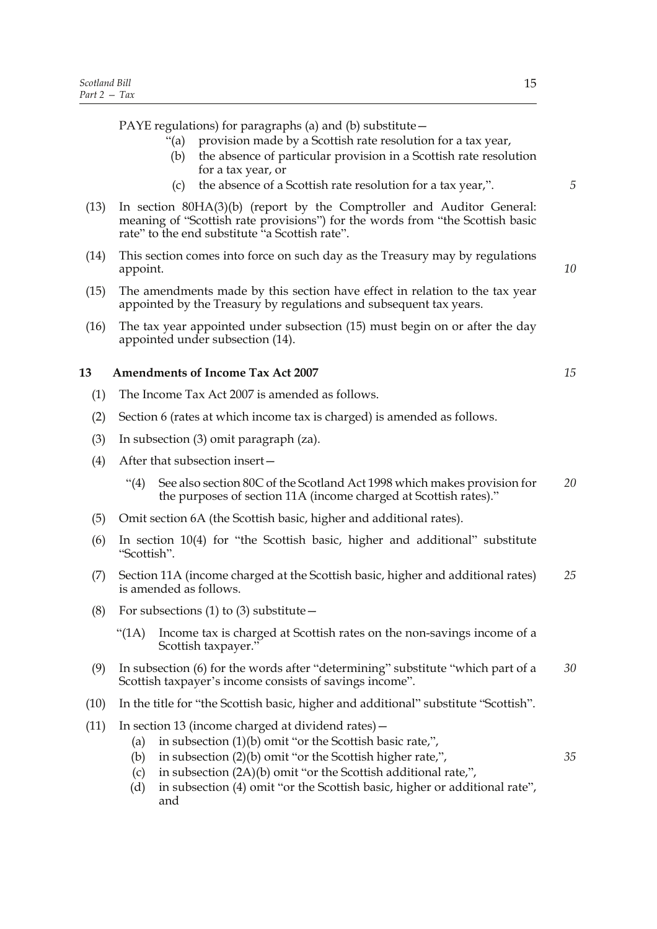PAYE regulations) for paragraphs (a) and (b) substitute—

- "(a) provision made by a Scottish rate resolution for a tax year,
- (b) the absence of particular provision in a Scottish rate resolution for a tax year, or
- (c) the absence of a Scottish rate resolution for a tax year,".
- (13) In section 80HA(3)(b) (report by the Comptroller and Auditor General: meaning of "Scottish rate provisions") for the words from "the Scottish basic rate" to the end substitute "a Scottish rate".
- (14) This section comes into force on such day as the Treasury may by regulations appoint.
- (15) The amendments made by this section have effect in relation to the tax year appointed by the Treasury by regulations and subsequent tax years.
- (16) The tax year appointed under subsection (15) must begin on or after the day appointed under subsection (14).

#### **13 Amendments of Income Tax Act 2007**

- (1) The Income Tax Act 2007 is amended as follows.
- (2) Section 6 (rates at which income tax is charged) is amended as follows.
- (3) In subsection (3) omit paragraph (za).
- (4) After that subsection insert—
	- "(4) See also section 80C of the Scotland Act 1998 which makes provision for the purposes of section 11A (income charged at Scottish rates)." *20*
- (5) Omit section 6A (the Scottish basic, higher and additional rates).
- (6) In section 10(4) for "the Scottish basic, higher and additional" substitute "Scottish".
- (7) Section 11A (income charged at the Scottish basic, higher and additional rates) is amended as follows. *25*
- (8) For subsections (1) to (3) substitute  $-$ 
	- "(1A) Income tax is charged at Scottish rates on the non-savings income of a Scottish taxpayer."
- (9) In subsection (6) for the words after "determining" substitute "which part of a Scottish taxpayer's income consists of savings income". *30*
- (10) In the title for "the Scottish basic, higher and additional" substitute "Scottish".
- (11) In section 13 (income charged at dividend rates)—
	- (a) in subsection (1)(b) omit "or the Scottish basic rate,",
	- (b) in subsection (2)(b) omit "or the Scottish higher rate,",
	- (c) in subsection (2A)(b) omit "or the Scottish additional rate,",
	- (d) in subsection (4) omit "or the Scottish basic, higher or additional rate", and

*10*

*5*

*15*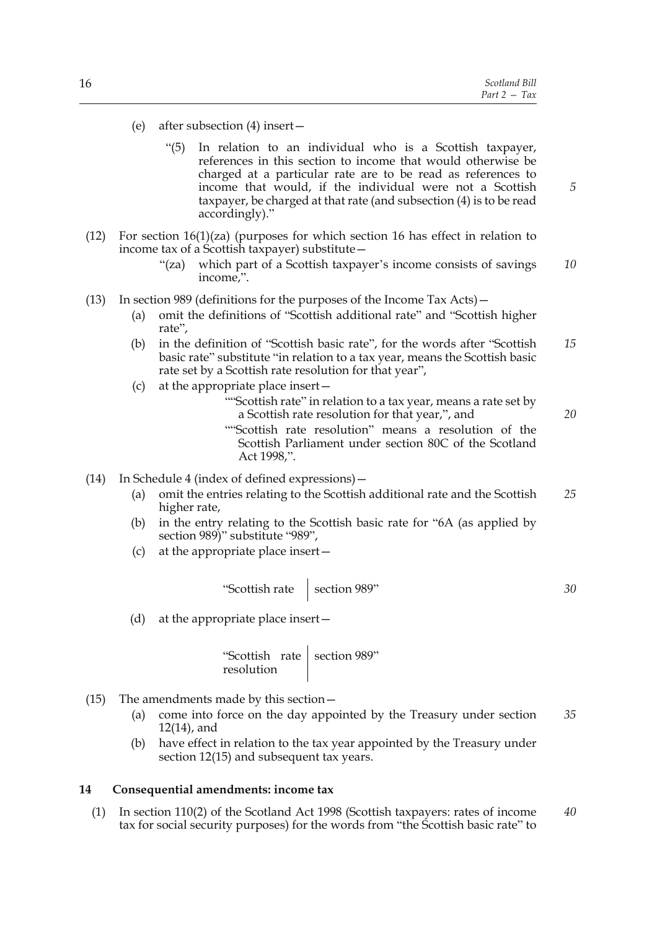- (e) after subsection (4) insert—
	- "(5) In relation to an individual who is a Scottish taxpayer, references in this section to income that would otherwise be charged at a particular rate are to be read as references to income that would, if the individual were not a Scottish taxpayer, be charged at that rate (and subsection (4) is to be read accordingly)."
- (12) For section  $16(1)(za)$  (purposes for which section 16 has effect in relation to income tax of a Scottish taxpayer) substitute—
	- "(za) which part of a Scottish taxpayer's income consists of savings income,". *10*
- (13) In section 989 (definitions for the purposes of the Income Tax Acts)—
	- (a) omit the definitions of "Scottish additional rate" and "Scottish higher rate",
	- (b) in the definition of "Scottish basic rate", for the words after "Scottish basic rate" substitute "in relation to a tax year, means the Scottish basic rate set by a Scottish rate resolution for that year", *15*
	- (c) at the appropriate place insert—
		- ""Scottish rate" in relation to a tax year, means a rate set by a Scottish rate resolution for that year,", and
		- ""Scottish rate resolution" means a resolution of the Scottish Parliament under section 80C of the Scotland Act 1998,".
- (14) In Schedule 4 (index of defined expressions)—
	- (a) omit the entries relating to the Scottish additional rate and the Scottish higher rate, *25*
	- (b) in the entry relating to the Scottish basic rate for "6A (as applied by section 989)" substitute "989",
	- (c) at the appropriate place insert—

"Scottish rate  $\Big|$  section 989"

(d) at the appropriate place insert—

"Scottish rate resolution section 989"

- (15) The amendments made by this section—
	- (a) come into force on the day appointed by the Treasury under section 12(14), and *35*
	- (b) have effect in relation to the tax year appointed by the Treasury under section 12(15) and subsequent tax years.

#### **14 Consequential amendments: income tax**

(1) In section 110(2) of the Scotland Act 1998 (Scottish taxpayers: rates of income tax for social security purposes) for the words from "the Scottish basic rate" to *40*

*20*

*5*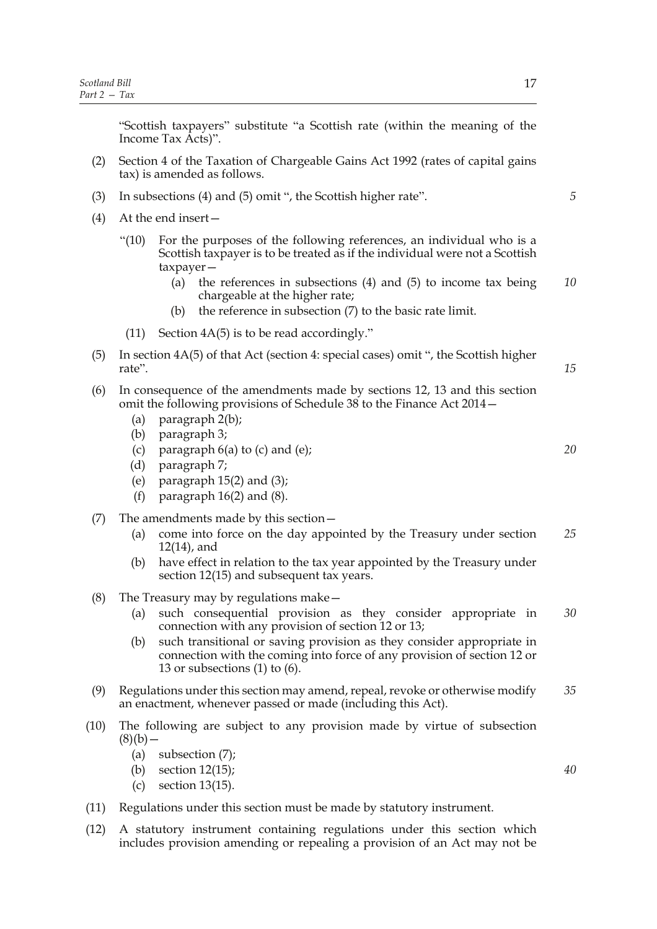"Scottish taxpayers" substitute "a Scottish rate (within the meaning of the Income Tax Acts)".

- (2) Section 4 of the Taxation of Chargeable Gains Act 1992 (rates of capital gains tax) is amended as follows.
- (3) In subsections (4) and (5) omit ", the Scottish higher rate".
- (4) At the end insert—
	- "(10) For the purposes of the following references, an individual who is a Scottish taxpayer is to be treated as if the individual were not a Scottish taxpayer—
		- (a) the references in subsections (4) and (5) to income tax being chargeable at the higher rate; *10*
		- (b) the reference in subsection (7) to the basic rate limit.
	- (11) Section 4A(5) is to be read accordingly."
- (5) In section 4A(5) of that Act (section 4: special cases) omit ", the Scottish higher rate".
- (6) In consequence of the amendments made by sections 12, 13 and this section omit the following provisions of Schedule 38 to the Finance Act 2014—
	- (a) paragraph 2(b);
	- (b) paragraph 3;
	- (c) paragraph  $6(a)$  to (c) and (e);
	- (d) paragraph 7;
	- (e) paragraph  $15(2)$  and  $(3)$ ;
	- (f) paragraph  $16(2)$  and  $(8)$ .
- (7) The amendments made by this section—
	- (a) come into force on the day appointed by the Treasury under section 12(14), and *25*
	- (b) have effect in relation to the tax year appointed by the Treasury under section 12(15) and subsequent tax years.
- (8) The Treasury may by regulations make—
	- (a) such consequential provision as they consider appropriate in connection with any provision of section 12 or 13; *30*
	- (b) such transitional or saving provision as they consider appropriate in connection with the coming into force of any provision of section 12 or 13 or subsections  $(1)$  to  $(6)$ .
- (9) Regulations under this section may amend, repeal, revoke or otherwise modify an enactment, whenever passed or made (including this Act). *35*
- (10) The following are subject to any provision made by virtue of subsection  $(8)(b)$  —
	- (a) subsection (7);
	- (b) section 12(15);
	- (c) section 13(15).
- (11) Regulations under this section must be made by statutory instrument.
- (12) A statutory instrument containing regulations under this section which includes provision amending or repealing a provision of an Act may not be

*5*

*15*

*20*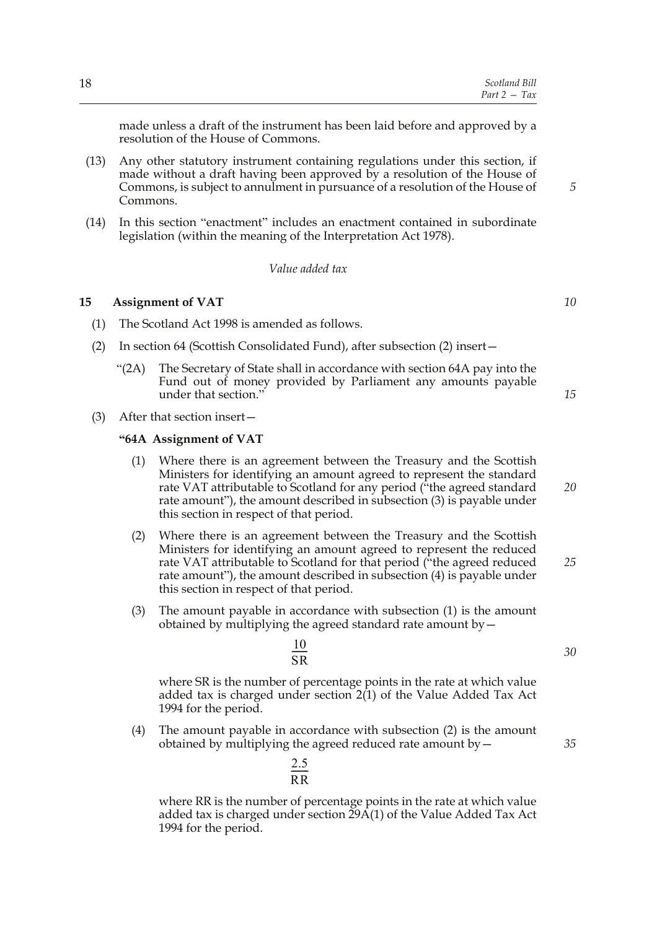made unless a draft of the instrument has been laid before and approved by a resolution of the House of Commons.

- (13) Any other statutory instrument containing regulations under this section, if made without a draft having been approved by a resolution of the House of Commons, is subject to annulment in pursuance of a resolution of the House of Commons.
- (14) In this section "enactment" includes an enactment contained in subordinate legislation (within the meaning of the Interpretation Act 1978).

#### *Value added tax*

#### **15 Assignment of VAT**

- (1) The Scotland Act 1998 is amended as follows.
- (2) In section 64 (Scottish Consolidated Fund), after subsection (2) insert—
	- " $(2A)$  The Secretary of State shall in accordance with section 64A pay into the Fund out of money provided by Parliament any amounts payable under that section."
		-

(3) After that section insert—

#### **"64A Assignment of VAT**

- (1) Where there is an agreement between the Treasury and the Scottish Ministers for identifying an amount agreed to represent the standard rate VAT attributable to Scotland for any period ("the agreed standard rate amount"), the amount described in subsection (3) is payable under this section in respect of that period.
- (2) Where there is an agreement between the Treasury and the Scottish Ministers for identifying an amount agreed to represent the reduced rate VAT attributable to Scotland for that period ("the agreed reduced rate amount"), the amount described in subsection (4) is payable under this section in respect of that period. *25*
- (3) The amount payable in accordance with subsection (1) is the amount obtained by multiplying the agreed standard rate amount  $by$   $-$

$$
\frac{10}{\text{SR}}
$$

2.5 RR  $\frac{2.5}{\sqrt{2}}$ 

where SR is the number of percentage points in the rate at which value added tax is charged under section  $2(1)$  of the Value Added Tax Act 1994 for the period.

(4) The amount payable in accordance with subsection (2) is the amount obtained by multiplying the agreed reduced rate amount by—

where RR is the number of percentage points in the rate at which value added tax is charged under section 29A(1) of the Value Added Tax Act 1994 for the period.

*10*

*15*

*5*

*20*

*30*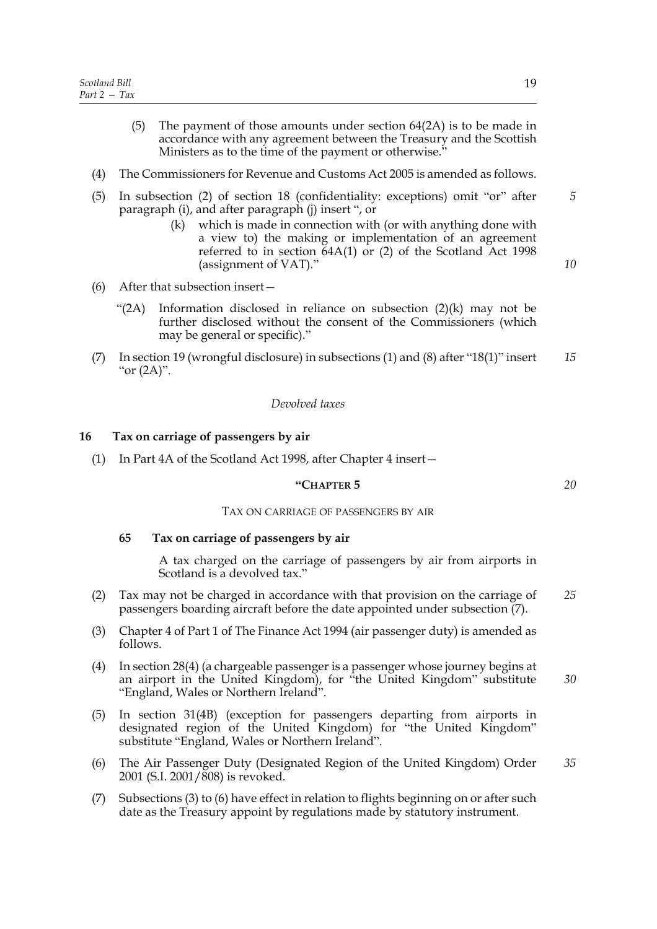- (5) The payment of those amounts under section 64(2A) is to be made in accordance with any agreement between the Treasury and the Scottish Ministers as to the time of the payment or otherwise."
- (4) The Commissioners for Revenue and Customs Act 2005 is amended as follows.
- (5) In subsection (2) of section 18 (confidentiality: exceptions) omit "or" after paragraph (i), and after paragraph (j) insert ", or
	- (k) which is made in connection with (or with anything done with a view to) the making or implementation of an agreement referred to in section 64A(1) or (2) of the Scotland Act 1998 (assignment of VAT)."
- (6) After that subsection insert—
	- "(2A) Information disclosed in reliance on subsection  $(2)(k)$  may not be further disclosed without the consent of the Commissioners (which may be general or specific)."
- (7) In section 19 (wrongful disclosure) in subsections (1) and (8) after "18(1)" insert " $or (2A)$ ". *15*

#### *Devolved taxes*

#### **16 Tax on carriage of passengers by air**

(1) In Part 4A of the Scotland Act 1998, after Chapter 4 insert—

#### **"CHAPTER 5**

#### TAX ON CARRIAGE OF PASSENGERS BY AIR

#### **65 Tax on carriage of passengers by air**

A tax charged on the carriage of passengers by air from airports in Scotland is a devolved tax."

- (2) Tax may not be charged in accordance with that provision on the carriage of passengers boarding aircraft before the date appointed under subsection (7). *25*
- (3) Chapter 4 of Part 1 of The Finance Act 1994 (air passenger duty) is amended as follows.
- (4) In section 28(4) (a chargeable passenger is a passenger whose journey begins at an airport in the United Kingdom), for "the United Kingdom" substitute "England, Wales or Northern Ireland".
- (5) In section 31(4B) (exception for passengers departing from airports in designated region of the United Kingdom) for "the United Kingdom" substitute "England, Wales or Northern Ireland".
- (6) The Air Passenger Duty (Designated Region of the United Kingdom) Order 2001 (S.I. 2001/808) is revoked. *35*
- (7) Subsections (3) to (6) have effect in relation to flights beginning on or after such date as the Treasury appoint by regulations made by statutory instrument.

*20*

*5*

*10*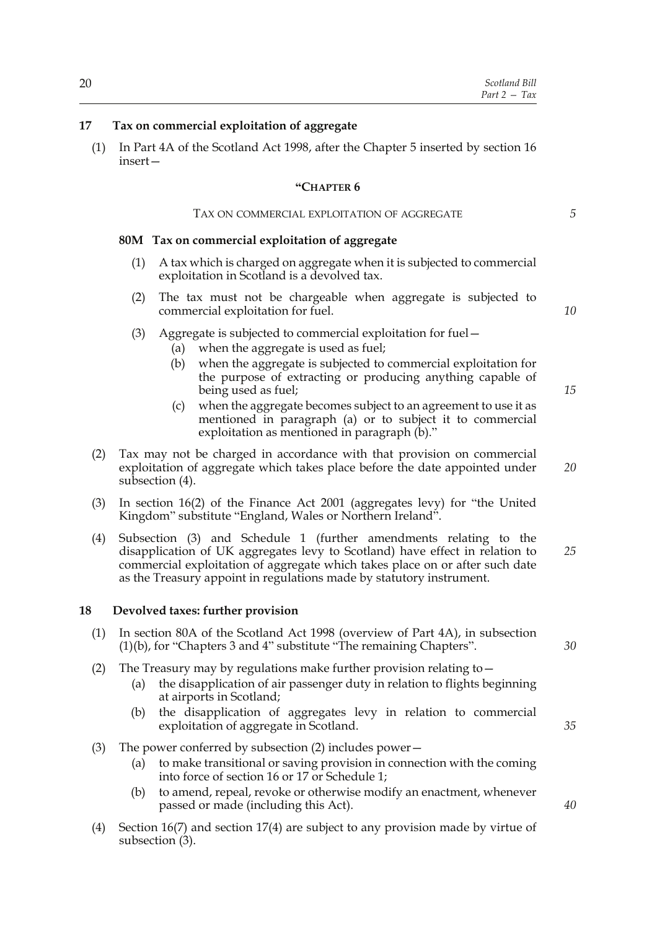#### **17 Tax on commercial exploitation of aggregate**

(1) In Part 4A of the Scotland Act 1998, after the Chapter 5 inserted by section 16 insert—

#### **"CHAPTER 6**

#### TAX ON COMMERCIAL EXPLOITATION OF AGGREGATE

#### **80M Tax on commercial exploitation of aggregate**

- (1) A tax which is charged on aggregate when it is subjected to commercial exploitation in Scotland is a devolved tax.
- (2) The tax must not be chargeable when aggregate is subjected to commercial exploitation for fuel.
- (3) Aggregate is subjected to commercial exploitation for fuel—
	- (a) when the aggregate is used as fuel;
	- (b) when the aggregate is subjected to commercial exploitation for the purpose of extracting or producing anything capable of being used as fuel;
	- (c) when the aggregate becomes subject to an agreement to use it as mentioned in paragraph (a) or to subject it to commercial exploitation as mentioned in paragraph (b)."
- (2) Tax may not be charged in accordance with that provision on commercial exploitation of aggregate which takes place before the date appointed under subsection (4).
- (3) In section 16(2) of the Finance Act 2001 (aggregates levy) for "the United Kingdom" substitute "England, Wales or Northern Ireland".
- (4) Subsection (3) and Schedule 1 (further amendments relating to the disapplication of UK aggregates levy to Scotland) have effect in relation to commercial exploitation of aggregate which takes place on or after such date as the Treasury appoint in regulations made by statutory instrument. *25*

#### **18 Devolved taxes: further provision**

- (1) In section 80A of the Scotland Act 1998 (overview of Part 4A), in subsection (1)(b), for "Chapters 3 and 4" substitute "The remaining Chapters".
- (2) The Treasury may by regulations make further provision relating to—
	- (a) the disapplication of air passenger duty in relation to flights beginning at airports in Scotland;
	- (b) the disapplication of aggregates levy in relation to commercial exploitation of aggregate in Scotland.
- (3) The power conferred by subsection (2) includes power—
	- (a) to make transitional or saving provision in connection with the coming into force of section 16 or 17 or Schedule 1;
	- (b) to amend, repeal, revoke or otherwise modify an enactment, whenever passed or made (including this Act).
- (4) Section 16(7) and section 17(4) are subject to any provision made by virtue of subsection (3).

*15*

*10*

*5*

*20*

*30*

*35*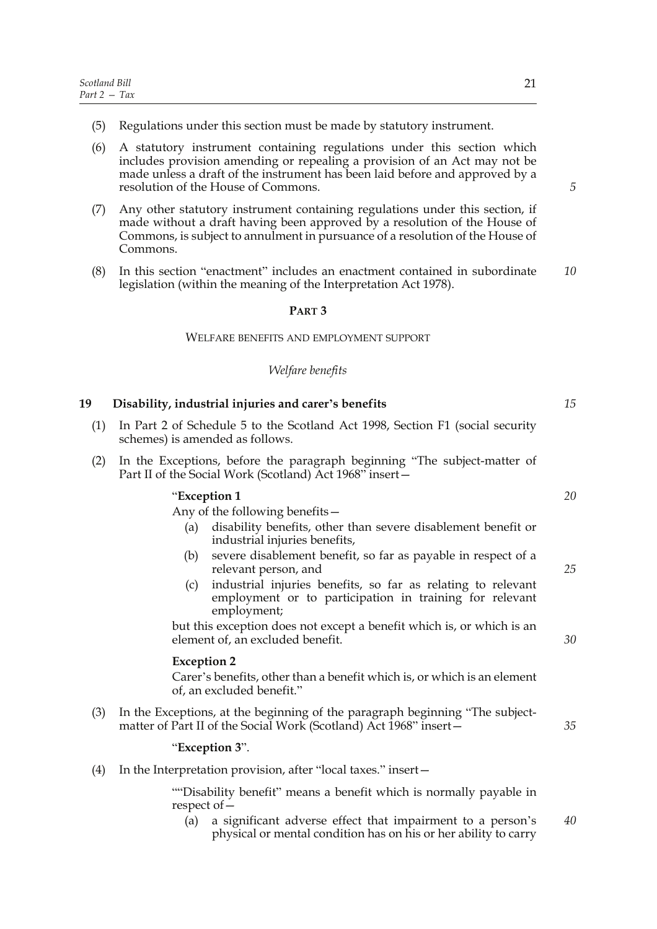- (5) Regulations under this section must be made by statutory instrument.
- (6) A statutory instrument containing regulations under this section which includes provision amending or repealing a provision of an Act may not be made unless a draft of the instrument has been laid before and approved by a resolution of the House of Commons.
- (7) Any other statutory instrument containing regulations under this section, if made without a draft having been approved by a resolution of the House of Commons, is subject to annulment in pursuance of a resolution of the House of Commons.
- (8) In this section "enactment" includes an enactment contained in subordinate legislation (within the meaning of the Interpretation Act 1978). *10*

#### **PART 3**

#### WELFARE BENEFITS AND EMPLOYMENT SUPPORT

#### *Welfare benefits*

| (1) | In Part 2 of Schedule 5 to the Scotland Act 1998, Section F1 (social security<br>schemes) is amended as follows.                              |    |
|-----|-----------------------------------------------------------------------------------------------------------------------------------------------|----|
| (2) | In the Exceptions, before the paragraph beginning "The subject-matter of<br>Part II of the Social Work (Scotland) Act 1968" insert-           |    |
|     | "Exception 1"                                                                                                                                 | 20 |
|     | Any of the following benefits –                                                                                                               |    |
|     | disability benefits, other than severe disablement benefit or<br>(a)<br>industrial injuries benefits,                                         |    |
|     | severe disablement benefit, so far as payable in respect of a<br>(b)<br>relevant person, and                                                  | 25 |
|     | industrial injuries benefits, so far as relating to relevant<br>(c)<br>employment or to participation in training for relevant<br>employment; |    |
|     | but this exception does not except a benefit which is, or which is an                                                                         |    |
|     | element of, an excluded benefit.                                                                                                              | 30 |

#### **Exception 2**

**19 Disability, industrial injuries and carer's benefits**

Carer's benefits, other than a benefit which is, or which is an element of, an excluded benefit."

(3) In the Exceptions, at the beginning of the paragraph beginning "The subjectmatter of Part II of the Social Work (Scotland) Act 1968" insert—

#### "**Exception 3**".

(4) In the Interpretation provision, after "local taxes." insert—

""Disability benefit" means a benefit which is normally payable in respect of—

(a) a significant adverse effect that impairment to a person's physical or mental condition has on his or her ability to carry *40*

*5*

*15*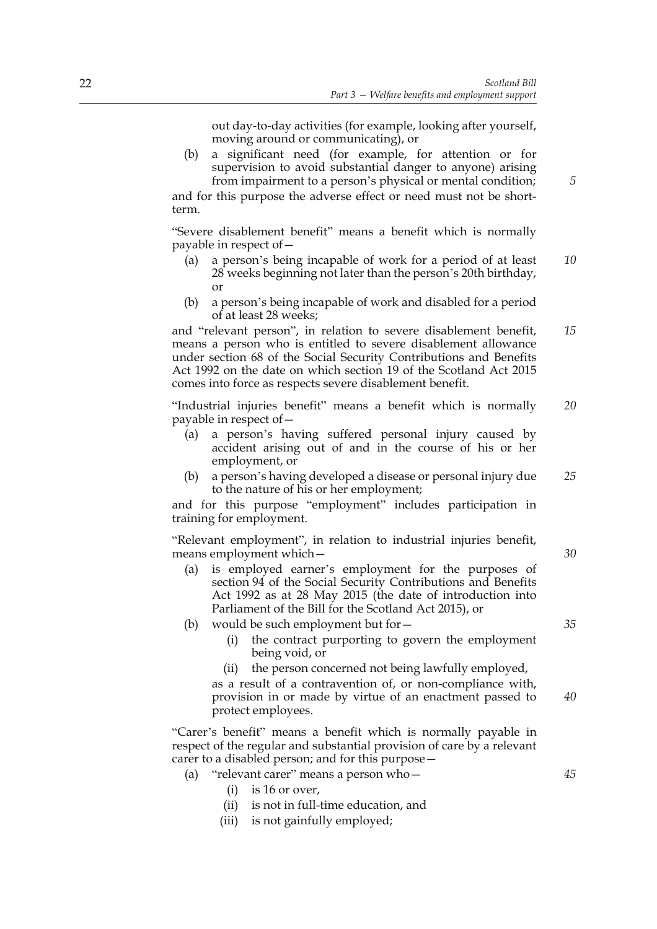out day-to-day activities (for example, looking after yourself, moving around or communicating), or

(b) a significant need (for example, for attention or for supervision to avoid substantial danger to anyone) arising from impairment to a person's physical or mental condition;

and for this purpose the adverse effect or need must not be shortterm.

"Severe disablement benefit" means a benefit which is normally payable in respect of—

- (a) a person's being incapable of work for a period of at least 28 weeks beginning not later than the person's 20th birthday, or *10*
- (b) a person's being incapable of work and disabled for a period of at least 28 weeks;

and "relevant person", in relation to severe disablement benefit, means a person who is entitled to severe disablement allowance under section 68 of the Social Security Contributions and Benefits Act 1992 on the date on which section 19 of the Scotland Act 2015 comes into force as respects severe disablement benefit. *15*

"Industrial injuries benefit" means a benefit which is normally payable in respect of— *20*

- (a) a person's having suffered personal injury caused by accident arising out of and in the course of his or her employment, or
- (b) a person's having developed a disease or personal injury due to the nature of his or her employment; *25*

and for this purpose "employment" includes participation in training for employment.

"Relevant employment", in relation to industrial injuries benefit, means employment which—

- (a) is employed earner's employment for the purposes of section 94 of the Social Security Contributions and Benefits Act 1992 as at 28 May 2015 (the date of introduction into Parliament of the Bill for the Scotland Act 2015), or
- (b) would be such employment but for—
	- (i) the contract purporting to govern the employment being void, or
	- (ii) the person concerned not being lawfully employed, as a result of a contravention of, or non-compliance with, provision in or made by virtue of an enactment passed to protect employees. *40*

"Carer's benefit" means a benefit which is normally payable in respect of the regular and substantial provision of care by a relevant carer to a disabled person; and for this purpose—

- (a) "relevant carer" means a person who—
	- $(i)$  is 16 or over.
	- (ii) is not in full-time education, and
	- (iii) is not gainfully employed;

*30*

*5*

*35*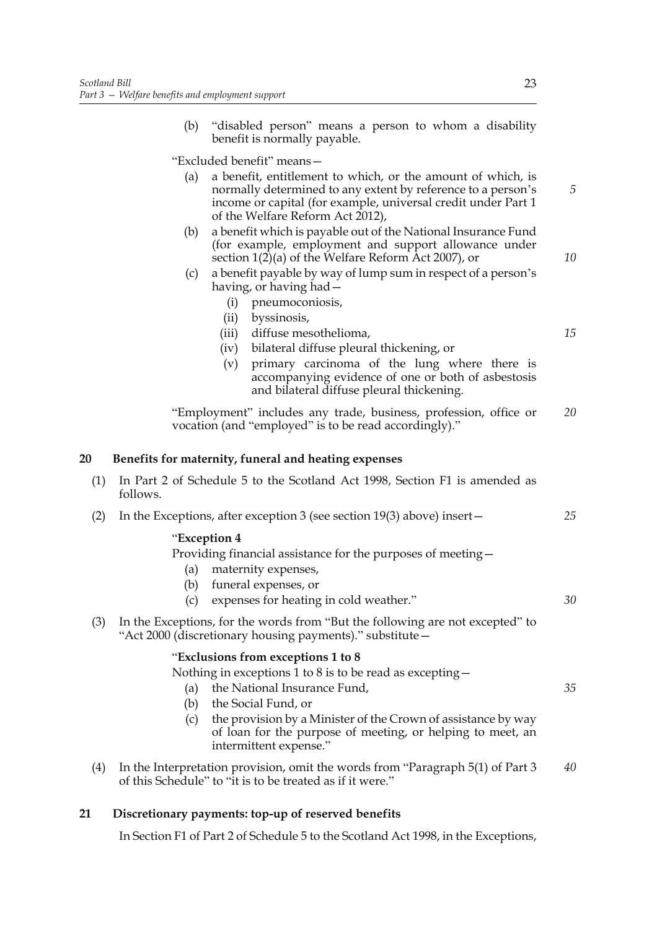(b) "disabled person" means a person to whom a disability benefit is normally payable.

"Excluded benefit" means—

- (a) a benefit, entitlement to which, or the amount of which, is normally determined to any extent by reference to a person's income or capital (for example, universal credit under Part 1 of the Welfare Reform Act 2012),
- (b) a benefit which is payable out of the National Insurance Fund (for example, employment and support allowance under section 1(2)(a) of the Welfare Reform Act 2007), or
- (c) a benefit payable by way of lump sum in respect of a person's having, or having had—
	- (i) pneumoconiosis,
	- (ii) byssinosis,
	- (iii) diffuse mesothelioma,
	- (iv) bilateral diffuse pleural thickening, or
	- (v) primary carcinoma of the lung where there is accompanying evidence of one or both of asbestosis and bilateral diffuse pleural thickening.

"Employment" includes any trade, business, profession, office or vocation (and "employed" is to be read accordingly)." *20*

#### **20 Benefits for maternity, funeral and heating expenses**

- (1) In Part 2 of Schedule 5 to the Scotland Act 1998, Section F1 is amended as follows.
- (2) In the Exceptions, after exception 3 (see section 19(3) above) insert— *25*

#### "**Exception 4**

Providing financial assistance for the purposes of meeting—

- (a) maternity expenses,
- (b) funeral expenses, or
- (c) expenses for heating in cold weather."
- (3) In the Exceptions, for the words from "But the following are not excepted" to "Act 2000 (discretionary housing payments)." substitute—

### "**Exclusions from exceptions 1 to 8**

(a) the National Insurance Fund,

Nothing in exceptions 1 to 8 is to be read as excepting—

- (b) the Social Fund, or
- (c) the provision by a Minister of the Crown of assistance by way of loan for the purpose of meeting, or helping to meet, an intermittent expense."
- (4) In the Interpretation provision, omit the words from "Paragraph 5(1) of Part 3 of this Schedule" to "it is to be treated as if it were." *40*

#### **21 Discretionary payments: top-up of reserved benefits**

In Section F1 of Part 2 of Schedule 5 to the Scotland Act 1998, in the Exceptions,

*5*

*10*

*15*

*30*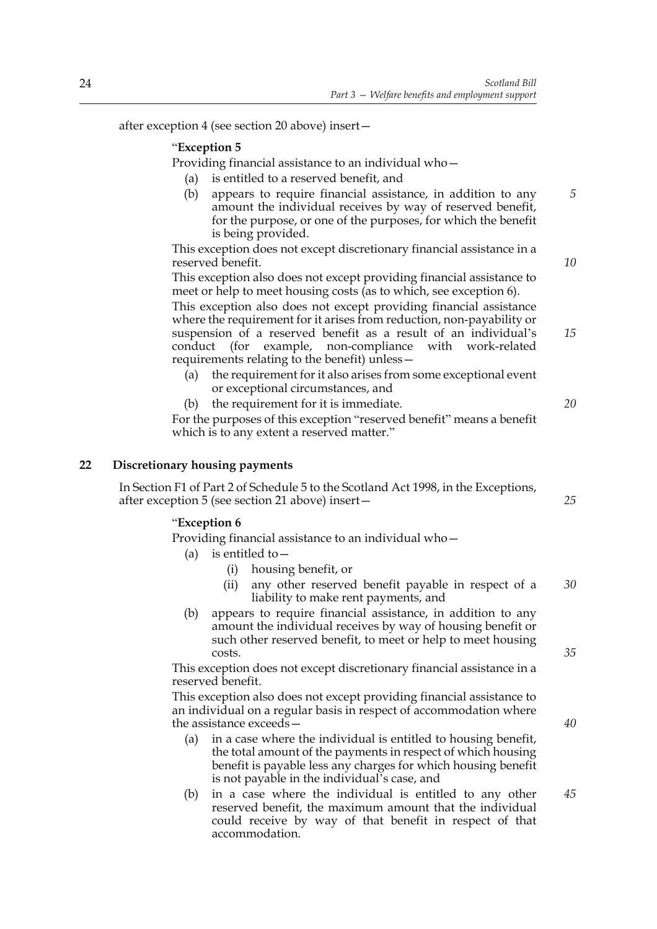after exception 4 (see section 20 above) insert—

#### "**Exception 5**

Providing financial assistance to an individual who—

- (a) is entitled to a reserved benefit, and
- (b) appears to require financial assistance, in addition to any amount the individual receives by way of reserved benefit, for the purpose, or one of the purposes, for which the benefit is being provided.

This exception does not except discretionary financial assistance in a reserved benefit.

This exception also does not except providing financial assistance to meet or help to meet housing costs (as to which, see exception 6).

This exception also does not except providing financial assistance where the requirement for it arises from reduction, non-payability or suspension of a reserved benefit as a result of an individual's conduct (for example, non-compliance with work-related requirements relating to the benefit) unless— *15*

- (a) the requirement for it also arises from some exceptional event or exceptional circumstances, and
- (b) the requirement for it is immediate.

For the purposes of this exception "reserved benefit" means a benefit which is to any extent a reserved matter."

#### **22 Discretionary housing payments**

In Section F1 of Part 2 of Schedule 5 to the Scotland Act 1998, in the Exceptions, after exception 5 (see section 21 above) insert—

#### "**Exception 6**

Providing financial assistance to an individual who—

- (a) is entitled to  $-$ 
	- (i) housing benefit, or
	- (ii) any other reserved benefit payable in respect of a liability to make rent payments, and *30*
- (b) appears to require financial assistance, in addition to any amount the individual receives by way of housing benefit or such other reserved benefit, to meet or help to meet housing costs.

This exception does not except discretionary financial assistance in a reserved benefit.

This exception also does not except providing financial assistance to an individual on a regular basis in respect of accommodation where the assistance exceeds—

- (a) in a case where the individual is entitled to housing benefit, the total amount of the payments in respect of which housing benefit is payable less any charges for which housing benefit is not payable in the individual's case, and
- (b) in a case where the individual is entitled to any other reserved benefit, the maximum amount that the individual could receive by way of that benefit in respect of that accommodation. *45*

*40*

*35*

*5*

*10*

*20*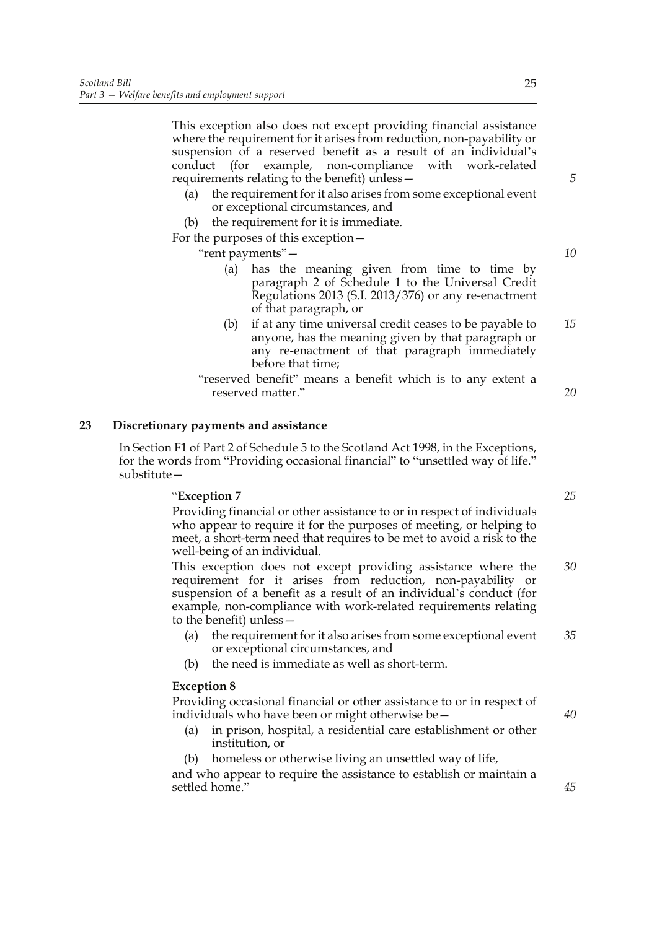This exception also does not except providing financial assistance where the requirement for it arises from reduction, non-payability or suspension of a reserved benefit as a result of an individual's conduct (for example, non-compliance with work-related requirements relating to the benefit) unless—

- (a) the requirement for it also arises from some exceptional event or exceptional circumstances, and
- (b) the requirement for it is immediate.

For the purposes of this exception—

"rent payments"—

- (a) has the meaning given from time to time by paragraph 2 of Schedule 1 to the Universal Credit Regulations 2013 (S.I. 2013/376) or any re-enactment of that paragraph, or
- (b) if at any time universal credit ceases to be payable to anyone, has the meaning given by that paragraph or any re-enactment of that paragraph immediately before that time; *15*
- "reserved benefit" means a benefit which is to any extent a reserved matter."

#### **23 Discretionary payments and assistance**

In Section F1 of Part 2 of Schedule 5 to the Scotland Act 1998, in the Exceptions, for the words from "Providing occasional financial" to "unsettled way of life." substitute—

#### "**Exception 7**

Providing financial or other assistance to or in respect of individuals who appear to require it for the purposes of meeting, or helping to meet, a short-term need that requires to be met to avoid a risk to the well-being of an individual.

This exception does not except providing assistance where the requirement for it arises from reduction, non-payability or suspension of a benefit as a result of an individual's conduct (for example, non-compliance with work-related requirements relating to the benefit) unless— *30*

- (a) the requirement for it also arises from some exceptional event or exceptional circumstances, and *35*
- (b) the need is immediate as well as short-term.

#### **Exception 8**

Providing occasional financial or other assistance to or in respect of individuals who have been or might otherwise be—

- (a) in prison, hospital, a residential care establishment or other institution, or
- (b) homeless or otherwise living an unsettled way of life,

and who appear to require the assistance to establish or maintain a settled home."

*10*

*5*

*20*

*25*

*40*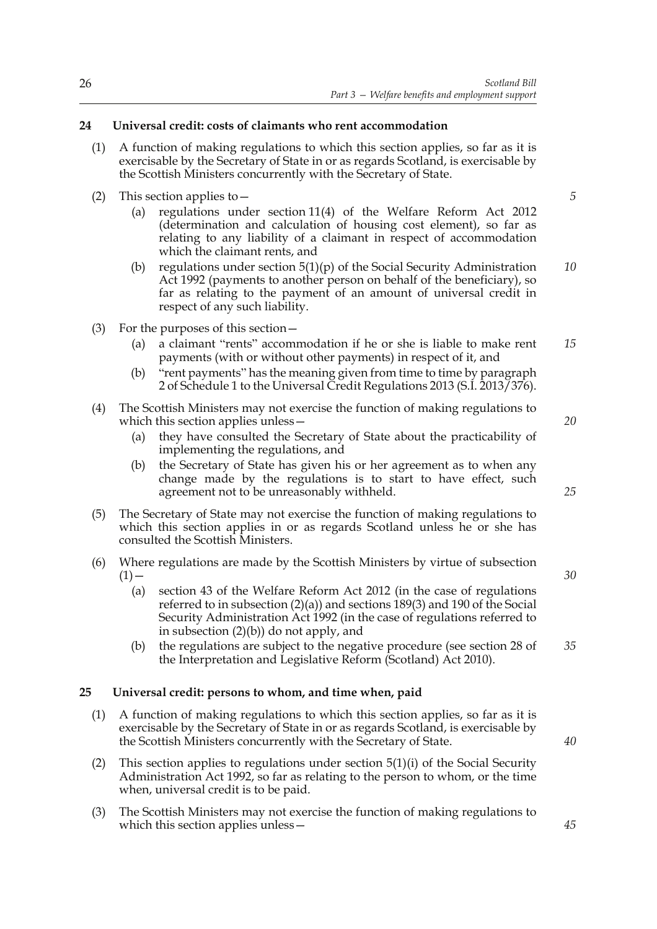#### **24 Universal credit: costs of claimants who rent accommodation**

- (1) A function of making regulations to which this section applies, so far as it is exercisable by the Secretary of State in or as regards Scotland, is exercisable by the Scottish Ministers concurrently with the Secretary of State.
- (2) This section applies to—
	- (a) regulations under section 11(4) of the Welfare Reform Act 2012 (determination and calculation of housing cost element), so far as relating to any liability of a claimant in respect of accommodation which the claimant rents, and
	- (b) regulations under section  $5(1)(p)$  of the Social Security Administration Act 1992 (payments to another person on behalf of the beneficiary), so far as relating to the payment of an amount of universal credit in respect of any such liability. *10*
- (3) For the purposes of this section—
	- (a) a claimant "rents" accommodation if he or she is liable to make rent payments (with or without other payments) in respect of it, and *15*
	- (b) "rent payments" has the meaning given from time to time by paragraph 2 of Schedule 1 to the Universal Credit Regulations 2013 (S.I. 2013/376).
- (4) The Scottish Ministers may not exercise the function of making regulations to which this section applies unless—
	- (a) they have consulted the Secretary of State about the practicability of implementing the regulations, and
	- (b) the Secretary of State has given his or her agreement as to when any change made by the regulations is to start to have effect, such agreement not to be unreasonably withheld.
- (5) The Secretary of State may not exercise the function of making regulations to which this section applies in or as regards Scotland unless he or she has consulted the Scottish Ministers.
- (6) Where regulations are made by the Scottish Ministers by virtue of subsection  $(1)$  —
	- (a) section 43 of the Welfare Reform Act 2012 (in the case of regulations referred to in subsection (2)(a)) and sections 189(3) and 190 of the Social Security Administration Act 1992 (in the case of regulations referred to in subsection (2)(b)) do not apply, and
	- (b) the regulations are subject to the negative procedure (see section 28 of the Interpretation and Legislative Reform (Scotland) Act 2010). *35*

#### **25 Universal credit: persons to whom, and time when, paid**

- (1) A function of making regulations to which this section applies, so far as it is exercisable by the Secretary of State in or as regards Scotland, is exercisable by the Scottish Ministers concurrently with the Secretary of State.
- (2) This section applies to regulations under section 5(1)(i) of the Social Security Administration Act 1992, so far as relating to the person to whom, or the time when, universal credit is to be paid.
- (3) The Scottish Ministers may not exercise the function of making regulations to which this section applies unless—

*5*

*20*

*30*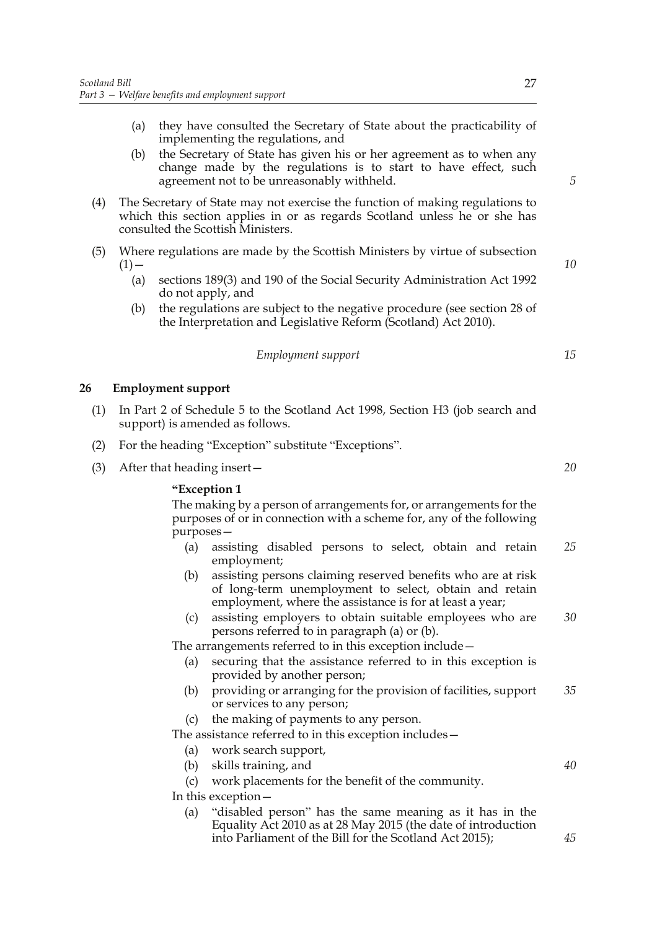- (a) they have consulted the Secretary of State about the practicability of implementing the regulations, and
- (b) the Secretary of State has given his or her agreement as to when any change made by the regulations is to start to have effect, such agreement not to be unreasonably withheld.
- (4) The Secretary of State may not exercise the function of making regulations to which this section applies in or as regards Scotland unless he or she has consulted the Scottish Ministers.
- (5) Where regulations are made by the Scottish Ministers by virtue of subsection  $(1)$  —
	- (a) sections 189(3) and 190 of the Social Security Administration Act 1992 do not apply, and
	- (b) the regulations are subject to the negative procedure (see section 28 of the Interpretation and Legislative Reform (Scotland) Act 2010).

#### *Employment support*

#### **26 Employment support**

- (1) In Part 2 of Schedule 5 to the Scotland Act 1998, Section H3 (job search and support) is amended as follows.
- (2) For the heading "Exception" substitute "Exceptions".
- (3) After that heading insert—

#### **"Exception 1**

The making by a person of arrangements for, or arrangements for the purposes of or in connection with a scheme for, any of the following purposes—

- (a) assisting disabled persons to select, obtain and retain employment; *25*
- (b) assisting persons claiming reserved benefits who are at risk of long-term unemployment to select, obtain and retain employment, where the assistance is for at least a year;
- (c) assisting employers to obtain suitable employees who are persons referred to in paragraph (a) or (b). *30*

The arrangements referred to in this exception include—

- (a) securing that the assistance referred to in this exception is provided by another person;
- (b) providing or arranging for the provision of facilities, support or services to any person; *35*
- (c) the making of payments to any person.

The assistance referred to in this exception includes—

- (a) work search support,
- (b) skills training, and
- (c) work placements for the benefit of the community.

In this exception—

(a) "disabled person" has the same meaning as it has in the Equality Act 2010 as at 28 May 2015 (the date of introduction into Parliament of the Bill for the Scotland Act 2015);

*20*

*40*

*45*

*10*

*15*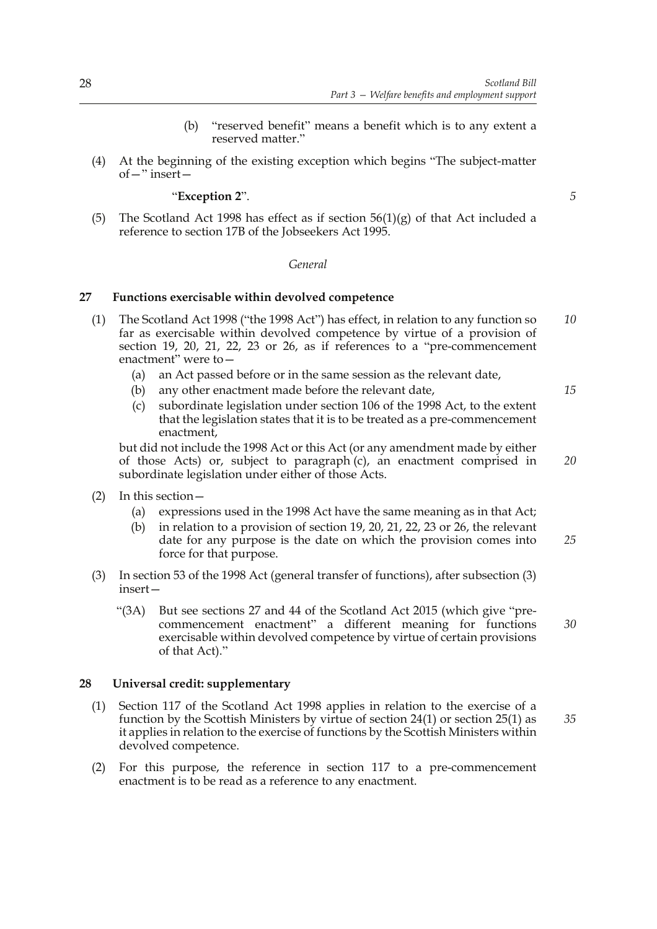- (b) "reserved benefit" means a benefit which is to any extent a reserved matter."
- (4) At the beginning of the existing exception which begins "The subject-matter of—" insert—

#### "**Exception 2**".

*5*

*15*

(5) The Scotland Act 1998 has effect as if section  $56(1)(g)$  of that Act included a reference to section 17B of the Jobseekers Act 1995.

#### *General*

#### **27 Functions exercisable within devolved competence**

- (1) The Scotland Act 1998 ("the 1998 Act") has effect, in relation to any function so far as exercisable within devolved competence by virtue of a provision of section 19, 20, 21, 22, 23 or 26, as if references to a "pre-commencement enactment" were to— *10*
	- (a) an Act passed before or in the same session as the relevant date,
	- (b) any other enactment made before the relevant date,
	- (c) subordinate legislation under section 106 of the 1998 Act, to the extent that the legislation states that it is to be treated as a pre-commencement enactment,

but did not include the 1998 Act or this Act (or any amendment made by either of those Acts) or, subject to paragraph (c), an enactment comprised in subordinate legislation under either of those Acts. *20*

- (2) In this section—
	- (a) expressions used in the 1998 Act have the same meaning as in that Act;
	- (b) in relation to a provision of section 19, 20, 21, 22, 23 or 26, the relevant date for any purpose is the date on which the provision comes into force for that purpose. *25*
- (3) In section 53 of the 1998 Act (general transfer of functions), after subsection (3) insert—
	- "(3A) But see sections 27 and 44 of the Scotland Act 2015 (which give "precommencement enactment" a different meaning for functions exercisable within devolved competence by virtue of certain provisions of that Act)." *30*

#### **28 Universal credit: supplementary**

- (1) Section 117 of the Scotland Act 1998 applies in relation to the exercise of a function by the Scottish Ministers by virtue of section 24(1) or section 25(1) as it applies in relation to the exercise of functions by the Scottish Ministers within devolved competence. *35*
- (2) For this purpose, the reference in section 117 to a pre-commencement enactment is to be read as a reference to any enactment.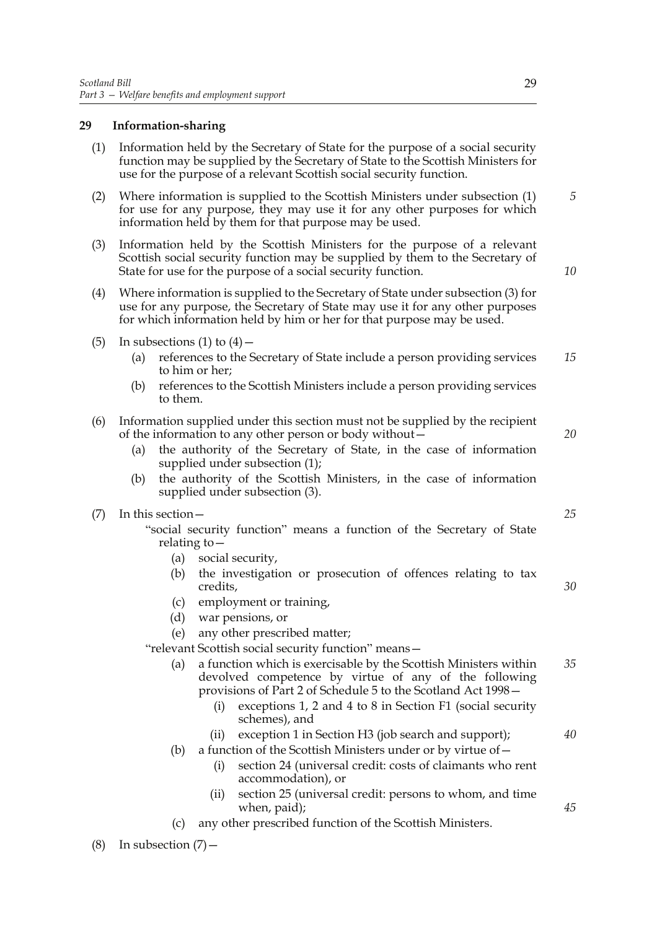#### **29 Information-sharing**

- (1) Information held by the Secretary of State for the purpose of a social security function may be supplied by the Secretary of State to the Scottish Ministers for use for the purpose of a relevant Scottish social security function.
- (2) Where information is supplied to the Scottish Ministers under subsection (1) for use for any purpose, they may use it for any other purposes for which information held by them for that purpose may be used.
- (3) Information held by the Scottish Ministers for the purpose of a relevant Scottish social security function may be supplied by them to the Secretary of State for use for the purpose of a social security function.
- (4) Where information is supplied to the Secretary of State under subsection (3) for use for any purpose, the Secretary of State may use it for any other purposes for which information held by him or her for that purpose may be used.
- (5) In subsections (1) to  $(4)$ 
	- (a) references to the Secretary of State include a person providing services to him or her; *15*
	- (b) references to the Scottish Ministers include a person providing services to them.

#### (6) Information supplied under this section must not be supplied by the recipient of the information to any other person or body without—

- (a) the authority of the Secretary of State, in the case of information supplied under subsection (1);
- (b) the authority of the Scottish Ministers, in the case of information supplied under subsection (3).

#### (7) In this section—

"social security function" means a function of the Secretary of State relating to—

- (a) social security,
- (b) the investigation or prosecution of offences relating to tax credits,
- (c) employment or training,
- (d) war pensions, or
- (e) any other prescribed matter;

"relevant Scottish social security function" means—

- (a) a function which is exercisable by the Scottish Ministers within devolved competence by virtue of any of the following provisions of Part 2 of Schedule 5 to the Scotland Act 1998— *35*
	- (i) exceptions 1, 2 and 4 to 8 in Section F1 (social security schemes), and

(ii) exception 1 in Section H3 (job search and support);

- (b) a function of the Scottish Ministers under or by virtue of  $-$ 
	- (i) section 24 (universal credit: costs of claimants who rent accommodation), or
	- (ii) section 25 (universal credit: persons to whom, and time when, paid);
- any other prescribed function of the Scottish Ministers.

(8) In subsection  $(7)$  –

*5*

*10*

*25*

*20*

*30*

*40*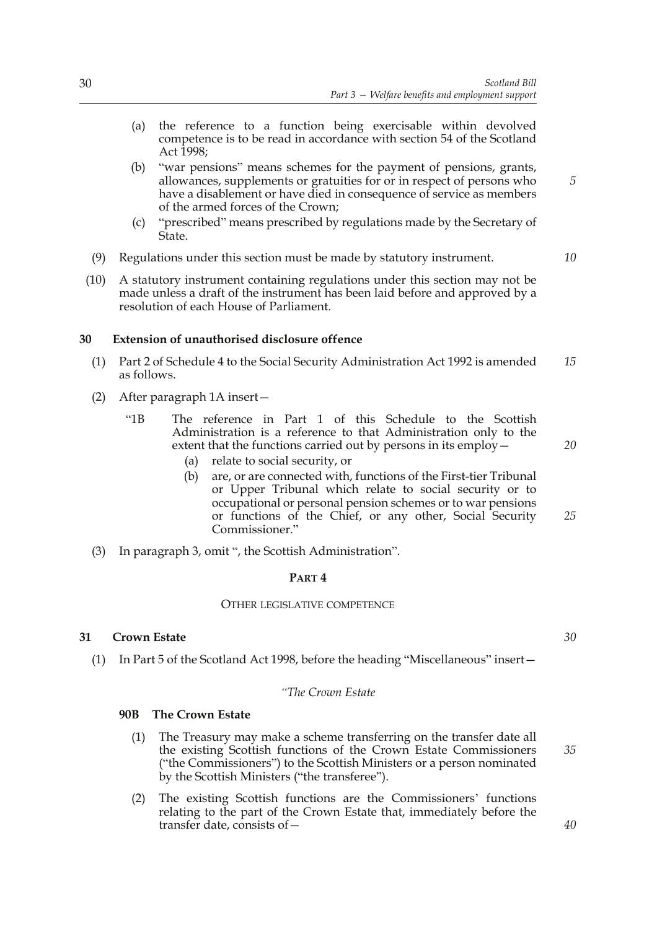- (a) the reference to a function being exercisable within devolved competence is to be read in accordance with section 54 of the Scotland Act 1998;
- (b) "war pensions" means schemes for the payment of pensions, grants, allowances, supplements or gratuities for or in respect of persons who have a disablement or have died in consequence of service as members of the armed forces of the Crown;
- (c) "prescribed" means prescribed by regulations made by the Secretary of State.
- (9) Regulations under this section must be made by statutory instrument.
- (10) A statutory instrument containing regulations under this section may not be made unless a draft of the instrument has been laid before and approved by a resolution of each House of Parliament.

#### **30 Extension of unauthorised disclosure offence**

- (1) Part 2 of Schedule 4 to the Social Security Administration Act 1992 is amended as follows. *15*
- (2) After paragraph 1A insert—
	- "1B The reference in Part 1 of this Schedule to the Scottish Administration is a reference to that Administration only to the extent that the functions carried out by persons in its employ—
		- (a) relate to social security, or
		- (b) are, or are connected with, functions of the First-tier Tribunal or Upper Tribunal which relate to social security or to occupational or personal pension schemes or to war pensions or functions of the Chief, or any other, Social Security Commissioner."
- (3) In paragraph 3, omit ", the Scottish Administration".

### **PART 4**

#### OTHER LEGISLATIVE COMPETENCE

#### **31 Crown Estate**

(1) In Part 5 of the Scotland Act 1998, before the heading "Miscellaneous" insert—

#### *"The Crown Estate*

#### **90B The Crown Estate**

- (1) The Treasury may make a scheme transferring on the transfer date all the existing Scottish functions of the Crown Estate Commissioners ("the Commissioners") to the Scottish Ministers or a person nominated by the Scottish Ministers ("the transferee").
- (2) The existing Scottish functions are the Commissioners' functions relating to the part of the Crown Estate that, immediately before the transfer date, consists of—

*20*

*5*

*10*

*25*

*30*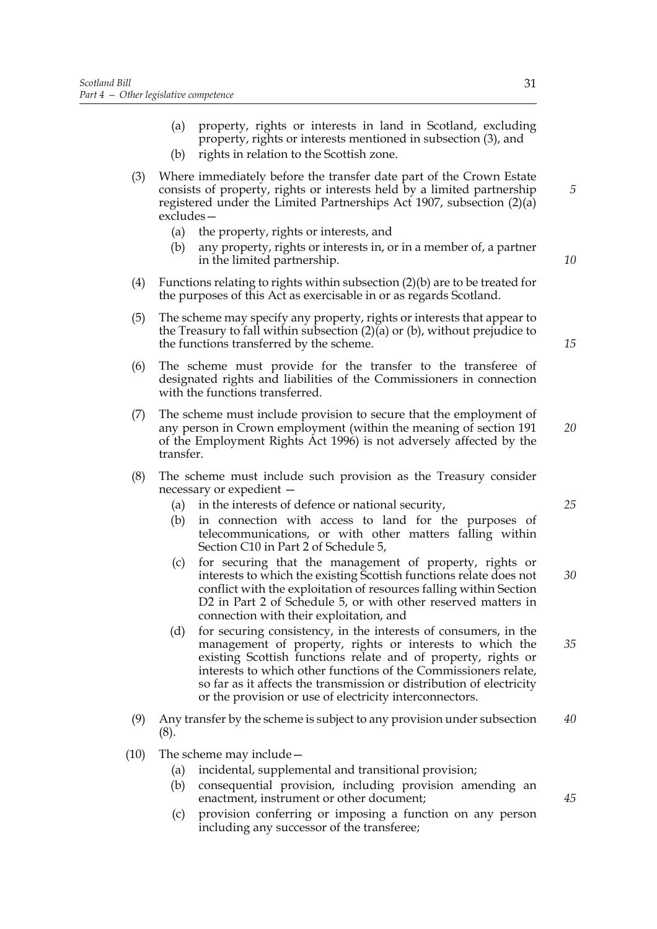- (a) property, rights or interests in land in Scotland, excluding property, rights or interests mentioned in subsection (3), and (b) rights in relation to the Scottish zone.
- (3) Where immediately before the transfer date part of the Crown Estate consists of property, rights or interests held by a limited partnership registered under the Limited Partnerships Act 1907, subsection (2)(a) excludes—
	- (a) the property, rights or interests, and
	- (b) any property, rights or interests in, or in a member of, a partner in the limited partnership.
- (4) Functions relating to rights within subsection (2)(b) are to be treated for the purposes of this Act as exercisable in or as regards Scotland.
- (5) The scheme may specify any property, rights or interests that appear to the Treasury to fall within subsection (2)(a) or (b), without prejudice to the functions transferred by the scheme.
- (6) The scheme must provide for the transfer to the transferee of designated rights and liabilities of the Commissioners in connection with the functions transferred.
- (7) The scheme must include provision to secure that the employment of any person in Crown employment (within the meaning of section 191 of the Employment Rights Act 1996) is not adversely affected by the transfer.
- (8) The scheme must include such provision as the Treasury consider necessary or expedient —
	- (a) in the interests of defence or national security,
	- (b) in connection with access to land for the purposes of telecommunications, or with other matters falling within Section C10 in Part 2 of Schedule 5,
	- (c) for securing that the management of property, rights or interests to which the existing Scottish functions relate does not conflict with the exploitation of resources falling within Section D2 in Part 2 of Schedule 5, or with other reserved matters in connection with their exploitation, and *30*
	- (d) for securing consistency, in the interests of consumers, in the management of property, rights or interests to which the existing Scottish functions relate and of property, rights or interests to which other functions of the Commissioners relate, so far as it affects the transmission or distribution of electricity or the provision or use of electricity interconnectors. *35*
- (9) Any transfer by the scheme is subject to any provision under subsection (8). *40*
- (10) The scheme may include—
	- (a) incidental, supplemental and transitional provision;
	- (b) consequential provision, including provision amending an enactment, instrument or other document;
	- (c) provision conferring or imposing a function on any person including any successor of the transferee;

*5*

*10*

*15*

*25*

*20*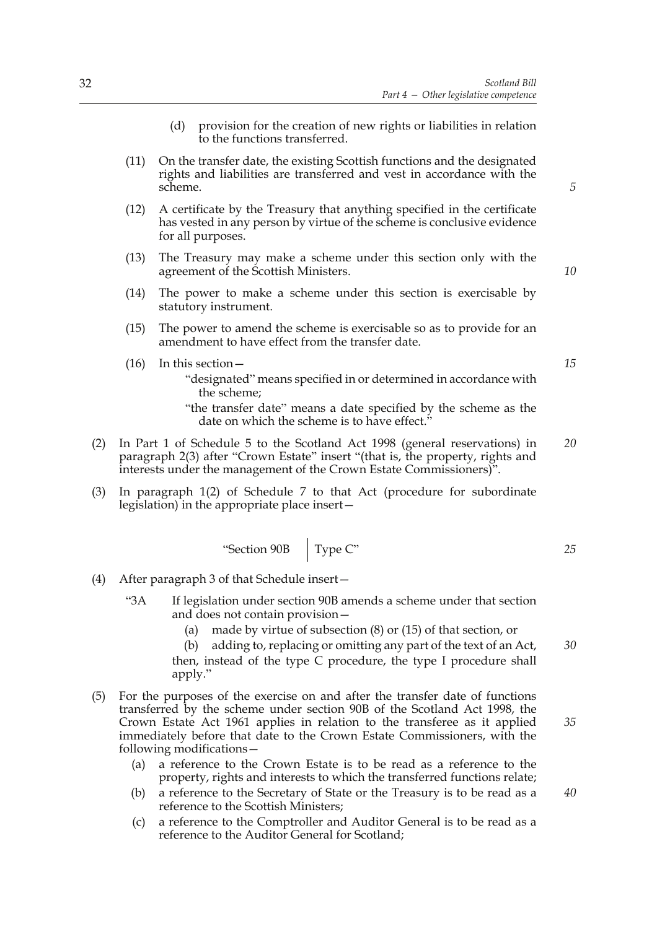- (d) provision for the creation of new rights or liabilities in relation to the functions transferred.
- (11) On the transfer date, the existing Scottish functions and the designated rights and liabilities are transferred and vest in accordance with the scheme.
- (12) A certificate by the Treasury that anything specified in the certificate has vested in any person by virtue of the scheme is conclusive evidence for all purposes.
- (13) The Treasury may make a scheme under this section only with the agreement of the Scottish Ministers.
- (14) The power to make a scheme under this section is exercisable by statutory instrument.
- (15) The power to amend the scheme is exercisable so as to provide for an amendment to have effect from the transfer date.
- (16) In this section— "designated" means specified in or determined in accordance with the scheme;

"the transfer date" means a date specified by the scheme as the date on which the scheme is to have effect.<sup>5</sup>

- (2) In Part 1 of Schedule 5 to the Scotland Act 1998 (general reservations) in paragraph 2(3) after "Crown Estate" insert "(that is, the property, rights and interests under the management of the Crown Estate Commissioners)". *20*
- (3) In paragraph 1(2) of Schedule 7 to that Act (procedure for subordinate legislation) in the appropriate place insert—

 $\mathbf{r}$ 

"Section 90B 
$$
\boxed{\text{Type C}}\tag{25}
$$

- (4) After paragraph 3 of that Schedule insert—
	- "3A If legislation under section 90B amends a scheme under that section and does not contain provision—
		- (a) made by virtue of subsection (8) or (15) of that section, or
		- (b) adding to, replacing or omitting any part of the text of an Act, then, instead of the type C procedure, the type I procedure shall apply."
- (5) For the purposes of the exercise on and after the transfer date of functions transferred by the scheme under section 90B of the Scotland Act 1998, the Crown Estate Act 1961 applies in relation to the transferee as it applied immediately before that date to the Crown Estate Commissioners, with the following modifications—
	- (a) a reference to the Crown Estate is to be read as a reference to the property, rights and interests to which the transferred functions relate;
	- (b) a reference to the Secretary of State or the Treasury is to be read as a reference to the Scottish Ministers;
	- (c) a reference to the Comptroller and Auditor General is to be read as a reference to the Auditor General for Scotland;

*10*

*5*

*30*

*35*

*40*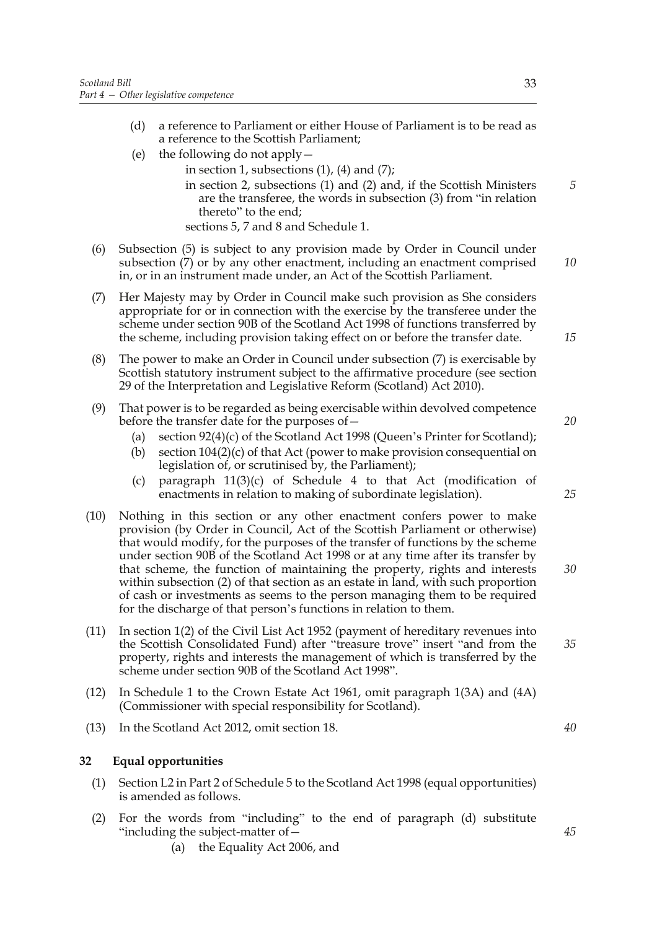- (d) a reference to Parliament or either House of Parliament is to be read as a reference to the Scottish Parliament;
- (e) the following do not apply
	- in section 1, subsections  $(1)$ ,  $(4)$  and  $(7)$ ;
		- in section 2, subsections (1) and (2) and, if the Scottish Ministers are the transferee, the words in subsection (3) from "in relation thereto" to the end;
		- sections 5, 7 and 8 and Schedule 1.
- (6) Subsection (5) is subject to any provision made by Order in Council under subsection (7) or by any other enactment, including an enactment comprised in, or in an instrument made under, an Act of the Scottish Parliament. *10*
- (7) Her Majesty may by Order in Council make such provision as She considers appropriate for or in connection with the exercise by the transferee under the scheme under section 90B of the Scotland Act 1998 of functions transferred by the scheme, including provision taking effect on or before the transfer date.
- (8) The power to make an Order in Council under subsection (7) is exercisable by Scottish statutory instrument subject to the affirmative procedure (see section 29 of the Interpretation and Legislative Reform (Scotland) Act 2010).
- (9) That power is to be regarded as being exercisable within devolved competence before the transfer date for the purposes of—
	- (a) section 92(4)(c) of the Scotland Act 1998 (Queen's Printer for Scotland);
	- (b) section 104(2)(c) of that Act (power to make provision consequential on legislation of, or scrutinised by, the Parliament);
	- (c) paragraph  $11(3)(c)$  of Schedule 4 to that Act (modification of enactments in relation to making of subordinate legislation).
- (10) Nothing in this section or any other enactment confers power to make provision (by Order in Council, Act of the Scottish Parliament or otherwise) that would modify, for the purposes of the transfer of functions by the scheme under section 90B of the Scotland Act 1998 or at any time after its transfer by that scheme, the function of maintaining the property, rights and interests within subsection (2) of that section as an estate in land, with such proportion of cash or investments as seems to the person managing them to be required for the discharge of that person's functions in relation to them.
- (11) In section 1(2) of the Civil List Act 1952 (payment of hereditary revenues into the Scottish Consolidated Fund) after "treasure trove" insert "and from the property, rights and interests the management of which is transferred by the scheme under section 90B of the Scotland Act 1998".
- (12) In Schedule 1 to the Crown Estate Act 1961, omit paragraph 1(3A) and (4A) (Commissioner with special responsibility for Scotland).
- (13) In the Scotland Act 2012, omit section 18.

#### **32 Equal opportunities**

- (1) Section L2 in Part 2 of Schedule 5 to the Scotland Act 1998 (equal opportunities) is amended as follows.
- (2) For the words from "including" to the end of paragraph (d) substitute "including the subject-matter of—
	- (a) the Equality Act 2006, and

*5*

*15*

*20*

*25*

*30*

*35*

*40*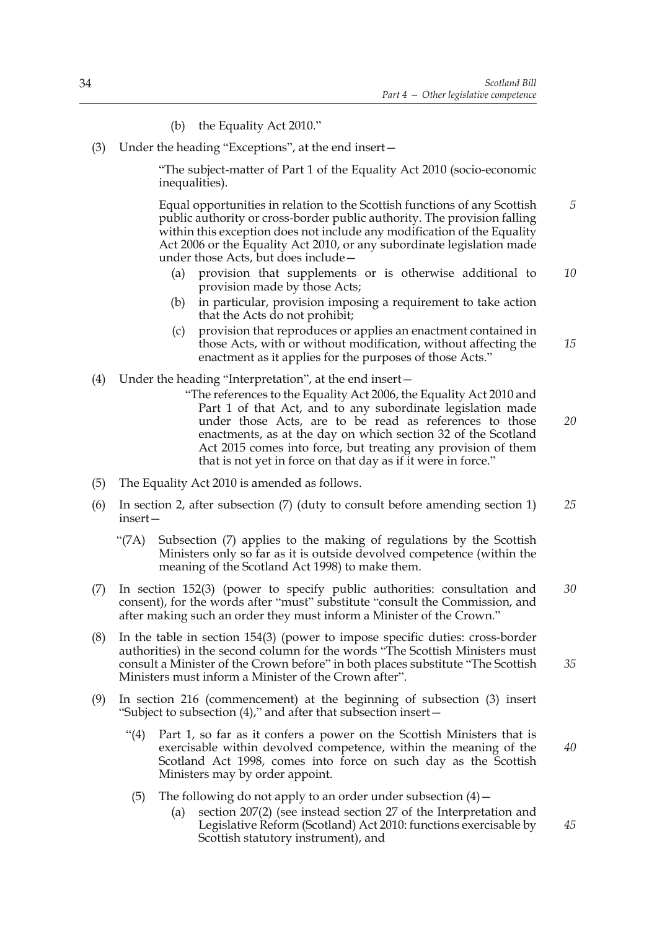- (b) the Equality Act 2010."
- (3) Under the heading "Exceptions", at the end insert—

 "The subject-matter of Part 1 of the Equality Act 2010 (socio-economic inequalities).

 Equal opportunities in relation to the Scottish functions of any Scottish public authority or cross-border public authority. The provision falling within this exception does not include any modification of the Equality Act 2006 or the Equality Act 2010, or any subordinate legislation made under those Acts, but does include— *5*

- (a) provision that supplements or is otherwise additional to provision made by those Acts; *10*
- (b) in particular, provision imposing a requirement to take action that the Acts do not prohibit;
- (c) provision that reproduces or applies an enactment contained in those Acts, with or without modification, without affecting the enactment as it applies for the purposes of those Acts." *15*
- (4) Under the heading "Interpretation", at the end insert—
	- "The references to the Equality Act 2006, the Equality Act 2010 and Part 1 of that Act, and to any subordinate legislation made under those Acts, are to be read as references to those enactments, as at the day on which section 32 of the Scotland Act 2015 comes into force, but treating any provision of them that is not yet in force on that day as if it were in force."
- (5) The Equality Act 2010 is amended as follows.
- (6) In section 2, after subsection (7) (duty to consult before amending section 1) insert— *25*
	- "(7A) Subsection (7) applies to the making of regulations by the Scottish Ministers only so far as it is outside devolved competence (within the meaning of the Scotland Act 1998) to make them.
- (7) In section 152(3) (power to specify public authorities: consultation and consent), for the words after "must" substitute "consult the Commission, and after making such an order they must inform a Minister of the Crown." *30*
- (8) In the table in section 154(3) (power to impose specific duties: cross-border authorities) in the second column for the words "The Scottish Ministers must consult a Minister of the Crown before" in both places substitute "The Scottish Ministers must inform a Minister of the Crown after".
- (9) In section 216 (commencement) at the beginning of subsection (3) insert "Subject to subsection (4)," and after that subsection insert—
	- "(4) Part 1, so far as it confers a power on the Scottish Ministers that is exercisable within devolved competence, within the meaning of the Scotland Act 1998, comes into force on such day as the Scottish Ministers may by order appoint.
		- (5) The following do not apply to an order under subsection  $(4)$  -
			- (a) section 207(2) (see instead section 27 of the Interpretation and Legislative Reform (Scotland) Act 2010: functions exercisable by Scottish statutory instrument), and

34

*20*

*40*

*35*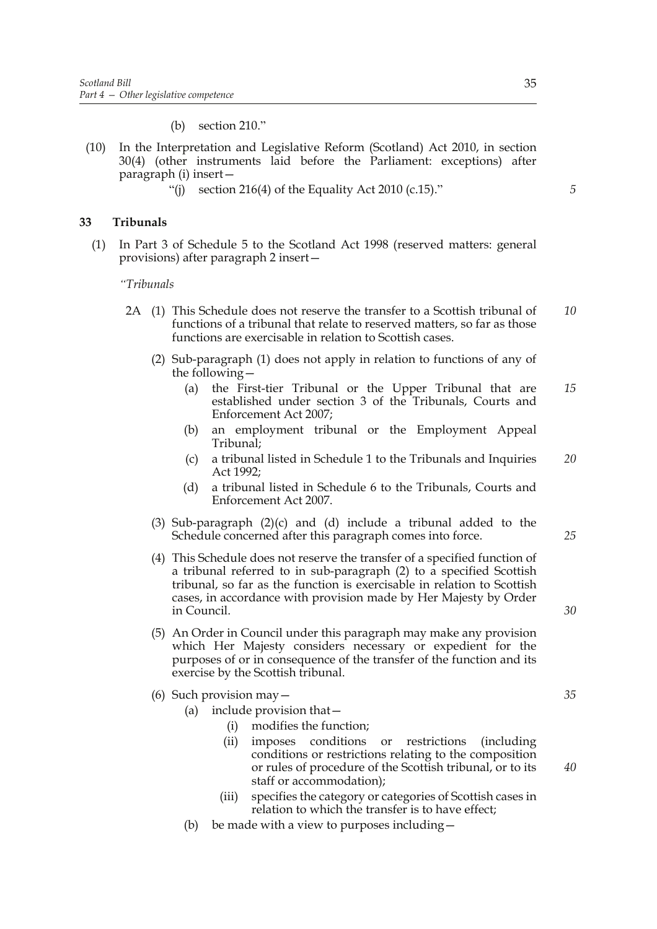(b) section 210."

- (10) In the Interpretation and Legislative Reform (Scotland) Act 2010, in section 30(4) (other instruments laid before the Parliament: exceptions) after paragraph (i) insert—
	- "(i) section 216(4) of the Equality Act 2010 (c.15)."

#### **33 Tribunals**

(1) In Part 3 of Schedule 5 to the Scotland Act 1998 (reserved matters: general provisions) after paragraph 2 insert—

#### *"Tribunals*

- 2A (1) This Schedule does not reserve the transfer to a Scottish tribunal of functions of a tribunal that relate to reserved matters, so far as those functions are exercisable in relation to Scottish cases. *10*
	- (2) Sub-paragraph (1) does not apply in relation to functions of any of the following—
		- (a) the First-tier Tribunal or the Upper Tribunal that are established under section 3 of the Tribunals, Courts and Enforcement Act 2007; *15*
		- (b) an employment tribunal or the Employment Appeal Tribunal;
		- (c) a tribunal listed in Schedule 1 to the Tribunals and Inquiries Act 1992; *20*
		- (d) a tribunal listed in Schedule 6 to the Tribunals, Courts and Enforcement Act 2007.
	- (3) Sub-paragraph (2)(c) and (d) include a tribunal added to the Schedule concerned after this paragraph comes into force.
	- (4) This Schedule does not reserve the transfer of a specified function of a tribunal referred to in sub-paragraph (2) to a specified Scottish tribunal, so far as the function is exercisable in relation to Scottish cases, in accordance with provision made by Her Majesty by Order in Council.
	- (5) An Order in Council under this paragraph may make any provision which Her Majesty considers necessary or expedient for the purposes of or in consequence of the transfer of the function and its exercise by the Scottish tribunal.
	- (6) Such provision may—
		- (a) include provision that—
			- (i) modifies the function;
			- (ii) imposes conditions or restrictions (including conditions or restrictions relating to the composition or rules of procedure of the Scottish tribunal, or to its staff or accommodation);
			- (iii) specifies the category or categories of Scottish cases in relation to which the transfer is to have effect;
		- (b) be made with a view to purposes including—

*5*

*35*

*25*

*30*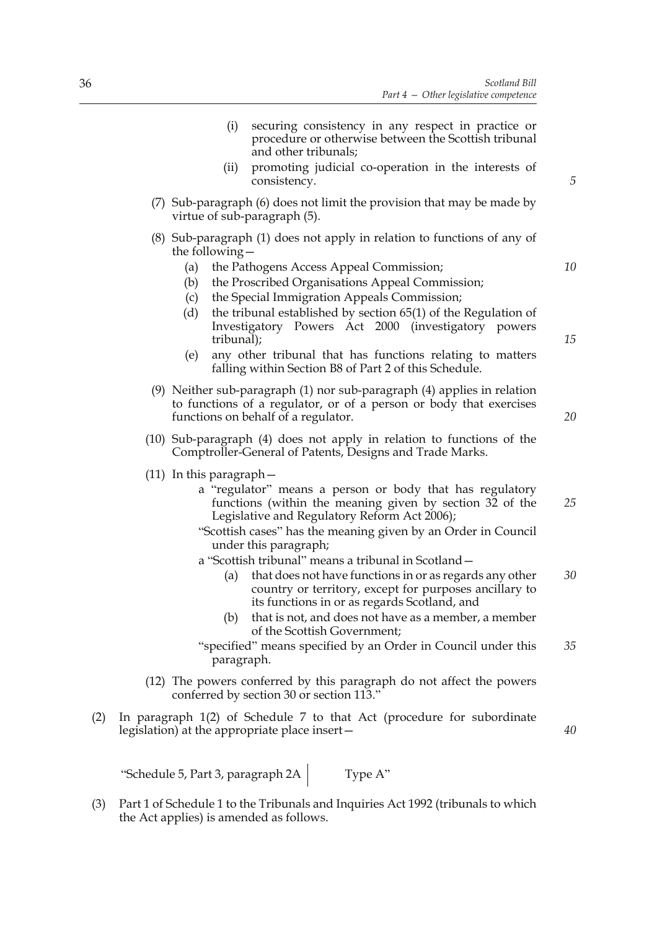- (i) securing consistency in any respect in practice or procedure or otherwise between the Scottish tribunal and other tribunals; (ii) promoting judicial co-operation in the interests of consistency. (7) Sub-paragraph (6) does not limit the provision that may be made by virtue of sub-paragraph (5). (8) Sub-paragraph (1) does not apply in relation to functions of any of the following— (a) the Pathogens Access Appeal Commission; (b) the Proscribed Organisations Appeal Commission; (c) the Special Immigration Appeals Commission; (d) the tribunal established by section 65(1) of the Regulation of Investigatory Powers Act 2000 (investigatory powers tribunal); (e) any other tribunal that has functions relating to matters falling within Section B8 of Part 2 of this Schedule. (9) Neither sub-paragraph (1) nor sub-paragraph (4) applies in relation to functions of a regulator, or of a person or body that exercises functions on behalf of a regulator. (10) Sub-paragraph (4) does not apply in relation to functions of the Comptroller-General of Patents, Designs and Trade Marks. (11) In this paragraph a "regulator" means a person or body that has regulatory functions (within the meaning given by section 32 of the Legislative and Regulatory Reform Act 2006); "Scottish cases" has the meaning given by an Order in Council under this paragraph; a "Scottish tribunal" means a tribunal in Scotland— (a) that does not have functions in or as regards any other country or territory, except for purposes ancillary to its functions in or as regards Scotland, and (b) that is not, and does not have as a member, a member of the Scottish Government; "specified" means specified by an Order in Council under this paragraph. (12) The powers conferred by this paragraph do not affect the powers conferred by section 30 or section 113." *5 10 15 20 25 30 35 40*
- (2) In paragraph 1(2) of Schedule 7 to that Act (procedure for subordinate legislation) at the appropriate place insert—

"Schedule 5, Part 3, paragraph  $2A$  Type A"

(3) Part 1 of Schedule 1 to the Tribunals and Inquiries Act 1992 (tribunals to which the Act applies) is amended as follows.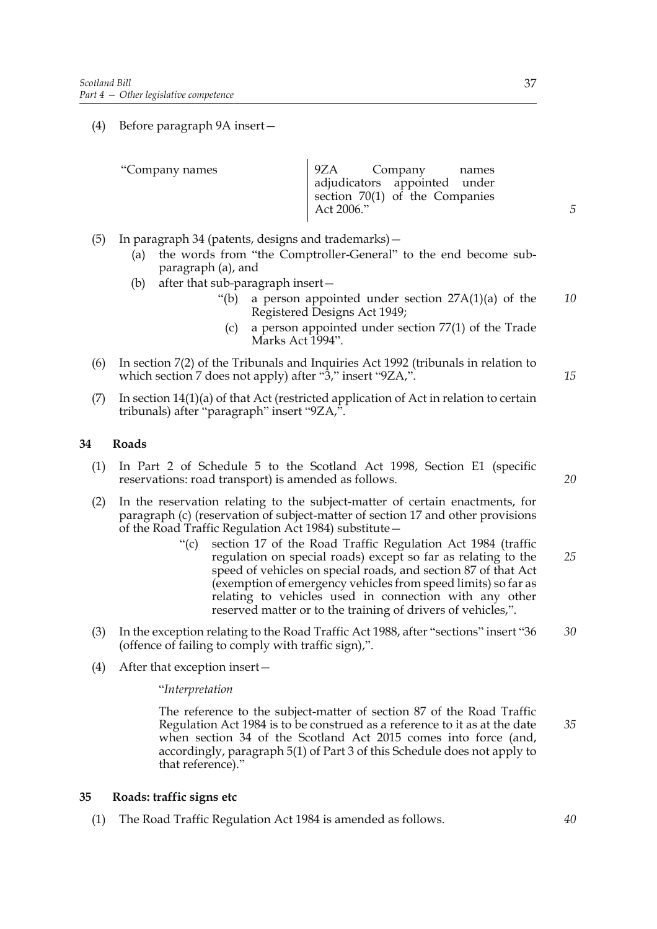(4) Before paragraph 9A insert—

| "Company names | 19ZA Company names             |  |
|----------------|--------------------------------|--|
|                | adjudicators appointed under   |  |
|                | section 70(1) of the Companies |  |
|                | Act 2006."                     |  |
|                |                                |  |

- (5) In paragraph 34 (patents, designs and trademarks)—
	- (a) the words from "the Comptroller-General" to the end become subparagraph (a), and
	- (b) after that sub-paragraph insert—
		- "(b) a person appointed under section  $27A(1)(a)$  of the Registered Designs Act 1949; *10*
			- (c) a person appointed under section 77(1) of the Trade Marks Act 1994".
- (6) In section 7(2) of the Tribunals and Inquiries Act 1992 (tribunals in relation to which section 7 does not apply) after "3," insert "9ZA,".
- (7) In section 14(1)(a) of that Act (restricted application of Act in relation to certain tribunals) after "paragraph" insert "9ZA,".

# **34 Roads**

- (1) In Part 2 of Schedule 5 to the Scotland Act 1998, Section E1 (specific reservations: road transport) is amended as follows.
- (2) In the reservation relating to the subject-matter of certain enactments, for paragraph (c) (reservation of subject-matter of section 17 and other provisions of the Road Traffic Regulation Act 1984) substitute—
	- "(c) section 17 of the Road Traffic Regulation Act 1984 (traffic regulation on special roads) except so far as relating to the speed of vehicles on special roads, and section 87 of that Act (exemption of emergency vehicles from speed limits) so far as relating to vehicles used in connection with any other reserved matter or to the training of drivers of vehicles,". *25*
- (3) In the exception relating to the Road Traffic Act 1988, after "sections" insert "36 (offence of failing to comply with traffic sign),". *30*
- (4) After that exception insert—

"*Interpretation*

 The reference to the subject-matter of section 87 of the Road Traffic Regulation Act 1984 is to be construed as a reference to it as at the date when section 34 of the Scotland Act 2015 comes into force (and, accordingly, paragraph 5(1) of Part 3 of this Schedule does not apply to that reference)." *35*

#### **35 Roads: traffic signs etc**

(1) The Road Traffic Regulation Act 1984 is amended as follows.

*20*

*15*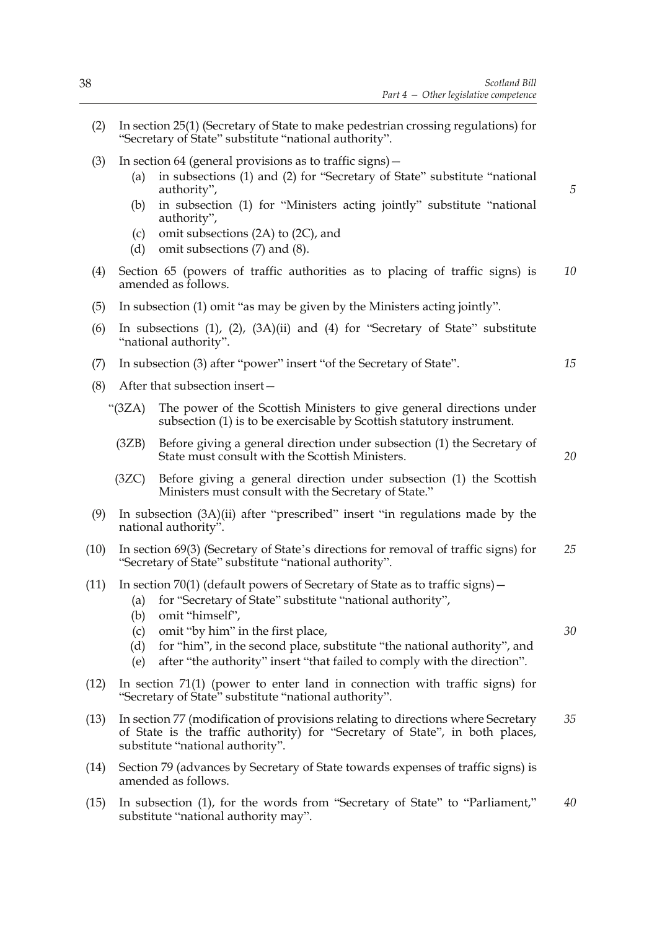- (2) In section 25(1) (Secretary of State to make pedestrian crossing regulations) for "Secretary of State" substitute "national authority".
- (3) In section 64 (general provisions as to traffic signs)—
	- (a) in subsections (1) and (2) for "Secretary of State" substitute "national authority",
	- (b) in subsection (1) for "Ministers acting jointly" substitute "national authority",
	- (c) omit subsections (2A) to (2C), and
	- (d) omit subsections (7) and (8).
- (4) Section 65 (powers of traffic authorities as to placing of traffic signs) is amended as follows. *10*
- (5) In subsection (1) omit "as may be given by the Ministers acting jointly".
- (6) In subsections (1), (2), (3A)(ii) and (4) for "Secretary of State" substitute "national authority".
- (7) In subsection (3) after "power" insert "of the Secretary of State".
- (8) After that subsection insert—
	- "(3ZA) The power of the Scottish Ministers to give general directions under subsection (1) is to be exercisable by Scottish statutory instrument.
		- (3ZB) Before giving a general direction under subsection (1) the Secretary of State must consult with the Scottish Ministers.
		- (3ZC) Before giving a general direction under subsection (1) the Scottish Ministers must consult with the Secretary of State."
- (9) In subsection (3A)(ii) after "prescribed" insert "in regulations made by the national authority".
- (10) In section 69(3) (Secretary of State's directions for removal of traffic signs) for "Secretary of State" substitute "national authority". *25*
- (11) In section 70(1) (default powers of Secretary of State as to traffic signs)—
	- (a) for "Secretary of State" substitute "national authority",
	- (b) omit "himself",
	- (c) omit "by him" in the first place,
	- (d) for "him", in the second place, substitute "the national authority", and
	- (e) after "the authority" insert "that failed to comply with the direction".
- (12) In section 71(1) (power to enter land in connection with traffic signs) for "Secretary of State" substitute "national authority".
- (13) In section 77 (modification of provisions relating to directions where Secretary of State is the traffic authority) for "Secretary of State", in both places, substitute "national authority". *35*
- (14) Section 79 (advances by Secretary of State towards expenses of traffic signs) is amended as follows.
- (15) In subsection (1), for the words from "Secretary of State" to "Parliament," substitute "national authority may". *40*

*15*

*5*

*20*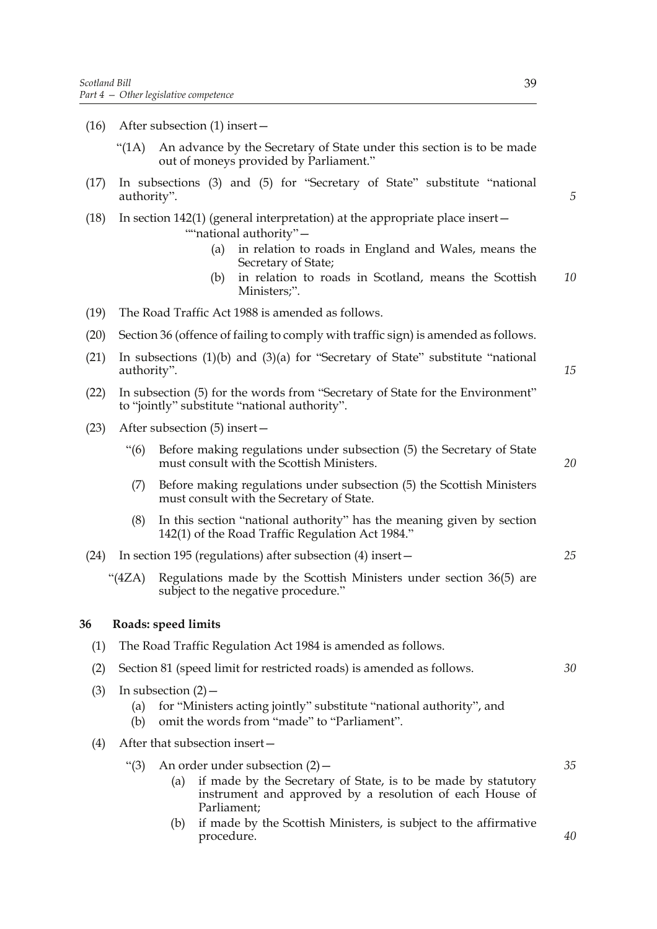- (16) After subsection (1) insert—
	- "(1A) An advance by the Secretary of State under this section is to be made out of moneys provided by Parliament."
- (17) In subsections (3) and (5) for "Secretary of State" substitute "national authority".
- (18) In section 142(1) (general interpretation) at the appropriate place insert— ""national authority"-
	- (a) in relation to roads in England and Wales, means the Secretary of State;
	- (b) in relation to roads in Scotland, means the Scottish Ministers;". *10*
- (19) The Road Traffic Act 1988 is amended as follows.
- (20) Section 36 (offence of failing to comply with traffic sign) is amended as follows.
- (21) In subsections (1)(b) and (3)(a) for "Secretary of State" substitute "national authority".
- (22) In subsection (5) for the words from "Secretary of State for the Environment" to "jointly" substitute "national authority".
- (23) After subsection (5) insert—
	- "(6) Before making regulations under subsection (5) the Secretary of State must consult with the Scottish Ministers.
	- (7) Before making regulations under subsection (5) the Scottish Ministers must consult with the Secretary of State.
	- (8) In this section "national authority" has the meaning given by section 142(1) of the Road Traffic Regulation Act 1984."
- (24) In section 195 (regulations) after subsection (4) insert—
	- "(4ZA) Regulations made by the Scottish Ministers under section 36(5) are subject to the negative procedure."

#### **36 Roads: speed limits**

| (1) |                                                                      |     | The Road Traffic Regulation Act 1984 is amended as follows.                                                                                                                   |    |
|-----|----------------------------------------------------------------------|-----|-------------------------------------------------------------------------------------------------------------------------------------------------------------------------------|----|
| (2) | Section 81 (speed limit for restricted roads) is amended as follows. |     |                                                                                                                                                                               | 30 |
| (3) | In subsection $(2)$ –<br>(a)<br>(b)                                  |     | for "Ministers acting jointly" substitute "national authority", and<br>omit the words from "made" to "Parliament".                                                            |    |
| (4) | After that subsection insert-                                        |     |                                                                                                                                                                               |    |
|     | " $(3)$                                                              | (a) | An order under subsection $(2)$ –<br>if made by the Secretary of State, is to be made by statutory<br>instrument and approved by a resolution of each House of<br>Parliament; | 35 |
|     |                                                                      | (b) | if made by the Scottish Ministers, is subject to the affirmative<br>procedure.                                                                                                | 40 |

*5*

*15*

*20*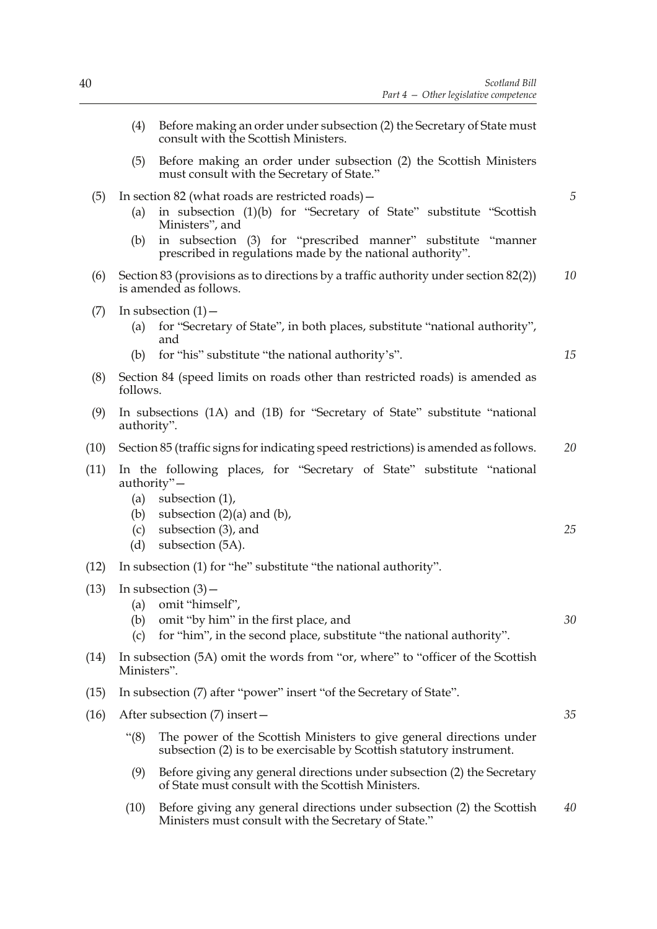- (4) Before making an order under subsection (2) the Secretary of State must consult with the Scottish Ministers. (5) Before making an order under subsection (2) the Scottish Ministers must consult with the Secretary of State." (5) In section 82 (what roads are restricted roads)— (a) in subsection (1)(b) for "Secretary of State" substitute "Scottish Ministers", and (b) in subsection (3) for "prescribed manner" substitute "manner prescribed in regulations made by the national authority". (6) Section 83 (provisions as to directions by a traffic authority under section 82(2)) is amended as follows.  $(7)$  In subsection  $(1)$  – (a) for "Secretary of State", in both places, substitute "national authority", and (b) for "his" substitute "the national authority's". (8) Section 84 (speed limits on roads other than restricted roads) is amended as follows. (9) In subsections (1A) and (1B) for "Secretary of State" substitute "national authority". (10) Section 85 (traffic signs for indicating speed restrictions) is amended as follows. (11) In the following places, for "Secretary of State" substitute "national authority"— (a) subsection (1), (b) subsection  $(2)(a)$  and  $(b)$ , (c) subsection (3), and (d) subsection (5A). (12) In subsection (1) for "he" substitute "the national authority".  $(13)$  In subsection  $(3)$  – (a) omit "himself", (b) omit "by him" in the first place, and (c) for "him", in the second place, substitute "the national authority". (14) In subsection (5A) omit the words from "or, where" to "officer of the Scottish Ministers". (15) In subsection (7) after "power" insert "of the Secretary of State". (16) After subsection (7) insert— "(8) The power of the Scottish Ministers to give general directions under subsection (2) is to be exercisable by Scottish statutory instrument. (9) Before giving any general directions under subsection (2) the Secretary of State must consult with the Scottish Ministers. *5 10 20 25 30 35*
	- (10) Before giving any general directions under subsection (2) the Scottish Ministers must consult with the Secretary of State." *40*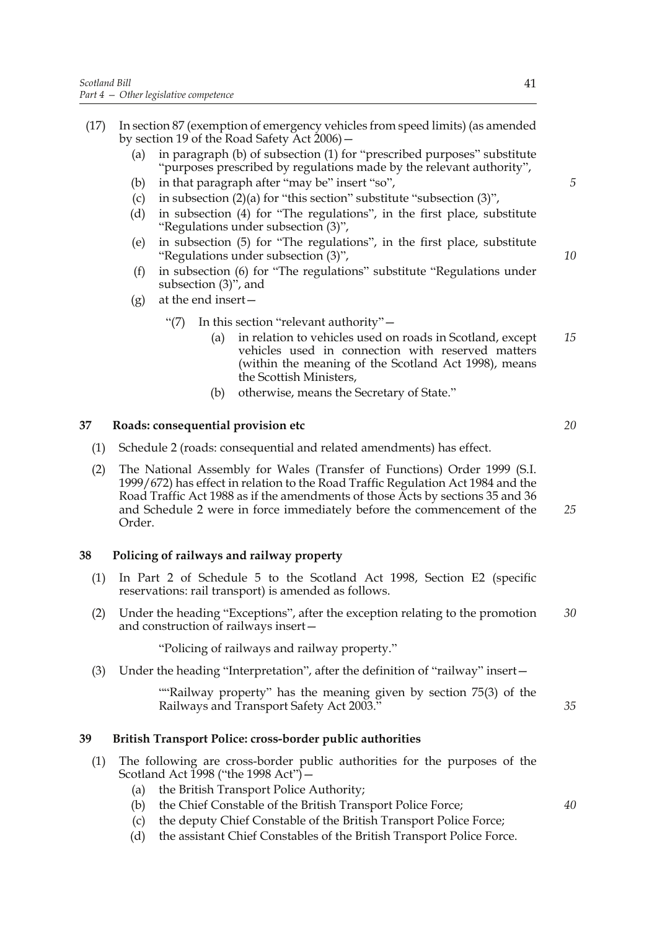- (17) In section 87 (exemption of emergency vehicles from speed limits) (as amended by section 19 of the Road Safety Act 2006)—
	- (a) in paragraph (b) of subsection (1) for "prescribed purposes" substitute "purposes prescribed by regulations made by the relevant authority",
	- (b) in that paragraph after "may be" insert "so",
	- (c) in subsection  $(2)(a)$  for "this section" substitute "subsection  $(3)$ ",
	- (d) in subsection (4) for "The regulations", in the first place, substitute "Regulations under subsection (3)",
	- (e) in subsection (5) for "The regulations", in the first place, substitute "Regulations under subsection (3)",
	- (f) in subsection (6) for "The regulations" substitute "Regulations under subsection (3)", and
	- $(g)$  at the end insert
		- "(7) In this section "relevant authority"—
			- (a) in relation to vehicles used on roads in Scotland, except vehicles used in connection with reserved matters (within the meaning of the Scotland Act 1998), means the Scottish Ministers, *15*
			- (b) otherwise, means the Secretary of State."

#### **37 Roads: consequential provision etc**

- (1) Schedule 2 (roads: consequential and related amendments) has effect.
- (2) The National Assembly for Wales (Transfer of Functions) Order 1999 (S.I. 1999/672) has effect in relation to the Road Traffic Regulation Act 1984 and the Road Traffic Act 1988 as if the amendments of those Acts by sections 35 and 36 and Schedule 2 were in force immediately before the commencement of the Order. *25*

# **38 Policing of railways and railway property**

- (1) In Part 2 of Schedule 5 to the Scotland Act 1998, Section E2 (specific reservations: rail transport) is amended as follows.
- (2) Under the heading "Exceptions", after the exception relating to the promotion and construction of railways insert— *30*

"Policing of railways and railway property."

(3) Under the heading "Interpretation", after the definition of "railway" insert—

 ""Railway property" has the meaning given by section 75(3) of the Railways and Transport Safety Act 2003."

# **39 British Transport Police: cross-border public authorities**

- (1) The following are cross-border public authorities for the purposes of the Scotland Act 1998 ("the 1998 Act")  $-$ 
	- (a) the British Transport Police Authority;
	- (b) the Chief Constable of the British Transport Police Force;
	- (c) the deputy Chief Constable of the British Transport Police Force;
	- (d) the assistant Chief Constables of the British Transport Police Force.

*5*

*10*

*20*

*40*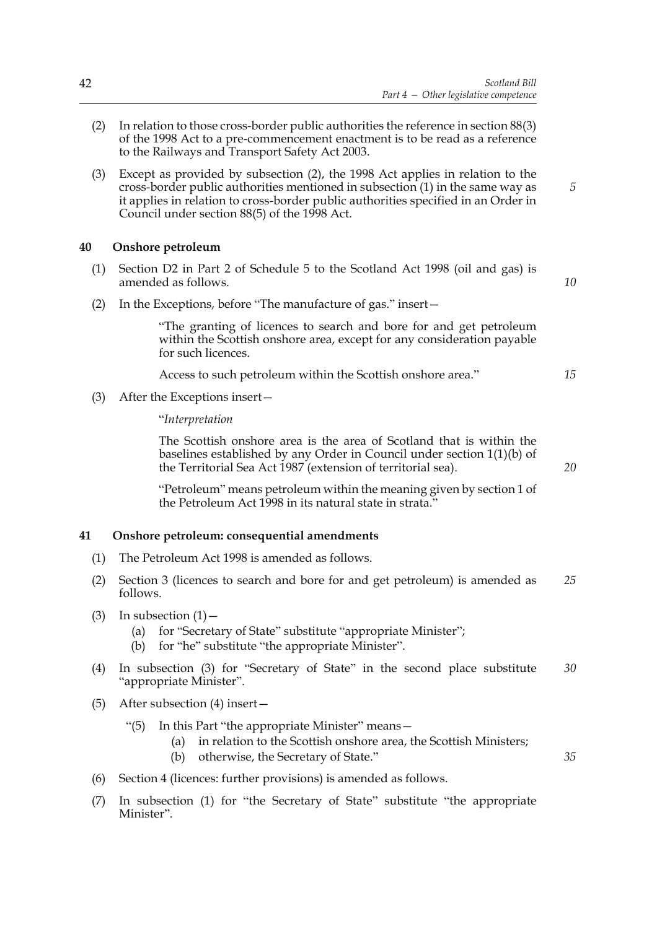- (2) In relation to those cross-border public authorities the reference in section 88(3) of the 1998 Act to a pre-commencement enactment is to be read as a reference to the Railways and Transport Safety Act 2003.
- (3) Except as provided by subsection (2), the 1998 Act applies in relation to the cross-border public authorities mentioned in subsection (1) in the same way as it applies in relation to cross-border public authorities specified in an Order in Council under section 88(5) of the 1998 Act.

### **40 Onshore petroleum**

(1) Section D2 in Part 2 of Schedule 5 to the Scotland Act 1998 (oil and gas) is amended as follows.

*10*

*15*

*20*

*35*

*5*

(2) In the Exceptions, before "The manufacture of gas." insert—

 "The granting of licences to search and bore for and get petroleum within the Scottish onshore area, except for any consideration payable for such licences.

Access to such petroleum within the Scottish onshore area."

(3) After the Exceptions insert—

"*Interpretation*

 The Scottish onshore area is the area of Scotland that is within the baselines established by any Order in Council under section 1(1)(b) of the Territorial Sea Act 1987 (extension of territorial sea).

 "Petroleum" means petroleum within the meaning given by section 1 of the Petroleum Act 1998 in its natural state in strata.'

# **41 Onshore petroleum: consequential amendments**

- (1) The Petroleum Act 1998 is amended as follows.
- (2) Section 3 (licences to search and bore for and get petroleum) is amended as follows. *25*
- $(3)$  In subsection  $(1)$ 
	- (a) for "Secretary of State" substitute "appropriate Minister";
	- (b) for "he" substitute "the appropriate Minister".
- (4) In subsection (3) for "Secretary of State" in the second place substitute "appropriate Minister". *30*
- (5) After subsection (4) insert—
	- "(5) In this Part "the appropriate Minister" means—
		- (a) in relation to the Scottish onshore area, the Scottish Ministers;
		- (b) otherwise, the Secretary of State."
- (6) Section 4 (licences: further provisions) is amended as follows.
- (7) In subsection (1) for "the Secretary of State" substitute "the appropriate Minister".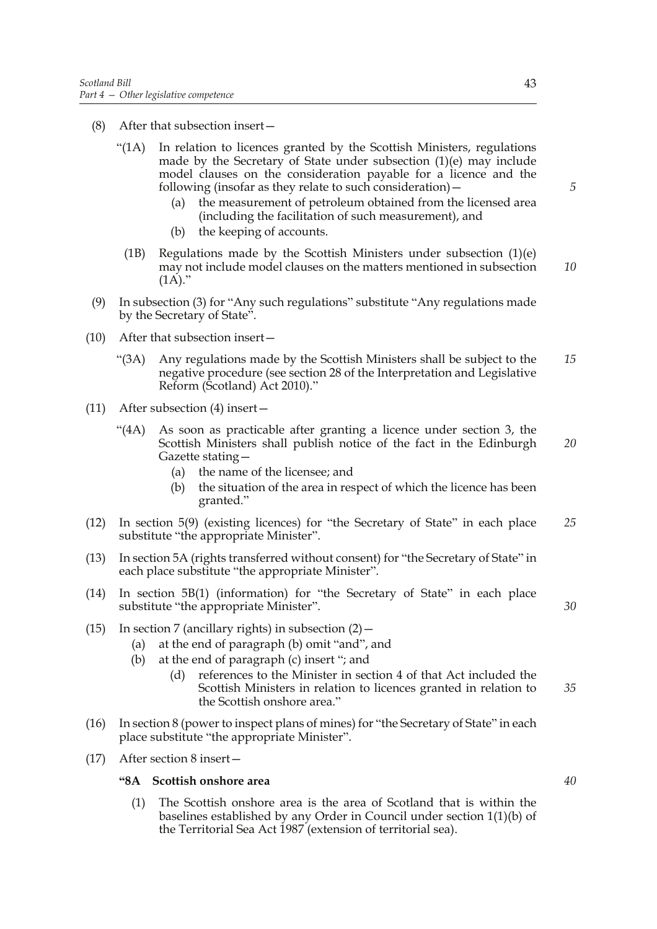- (8) After that subsection insert—
	- "(1A) In relation to licences granted by the Scottish Ministers, regulations made by the Secretary of State under subsection (1)(e) may include model clauses on the consideration payable for a licence and the following (insofar as they relate to such consideration)—
		- (a) the measurement of petroleum obtained from the licensed area (including the facilitation of such measurement), and
		- (b) the keeping of accounts.
	- (1B) Regulations made by the Scottish Ministers under subsection (1)(e) may not include model clauses on the matters mentioned in subsection  $(1A)$ ." *10*
- (9) In subsection (3) for "Any such regulations" substitute "Any regulations made by the Secretary of State".
- (10) After that subsection insert—
	- "(3A) Any regulations made by the Scottish Ministers shall be subject to the negative procedure (see section 28 of the Interpretation and Legislative Reform (Scotland) Act 2010)." *15*
- (11) After subsection (4) insert—
	- "(4A) As soon as practicable after granting a licence under section 3, the Scottish Ministers shall publish notice of the fact in the Edinburgh Gazette stating— *20*
		- (a) the name of the licensee; and
		- (b) the situation of the area in respect of which the licence has been granted."
- (12) In section 5(9) (existing licences) for "the Secretary of State" in each place substitute "the appropriate Minister". *25*
- (13) In section 5A (rights transferred without consent) for "the Secretary of State" in each place substitute "the appropriate Minister".
- (14) In section 5B(1) (information) for "the Secretary of State" in each place substitute "the appropriate Minister".
- (15) In section 7 (ancillary rights) in subsection  $(2)$  -
	- (a) at the end of paragraph (b) omit "and", and
	- (b) at the end of paragraph (c) insert "; and
		- (d) references to the Minister in section 4 of that Act included the Scottish Ministers in relation to licences granted in relation to the Scottish onshore area." *35*
- (16) In section 8 (power to inspect plans of mines) for "the Secretary of State" in each place substitute "the appropriate Minister".
- (17) After section 8 insert—

#### **"8A Scottish onshore area**

(1) The Scottish onshore area is the area of Scotland that is within the baselines established by any Order in Council under section 1(1)(b) of the Territorial Sea Act 1987 (extension of territorial sea).

*5*

*40*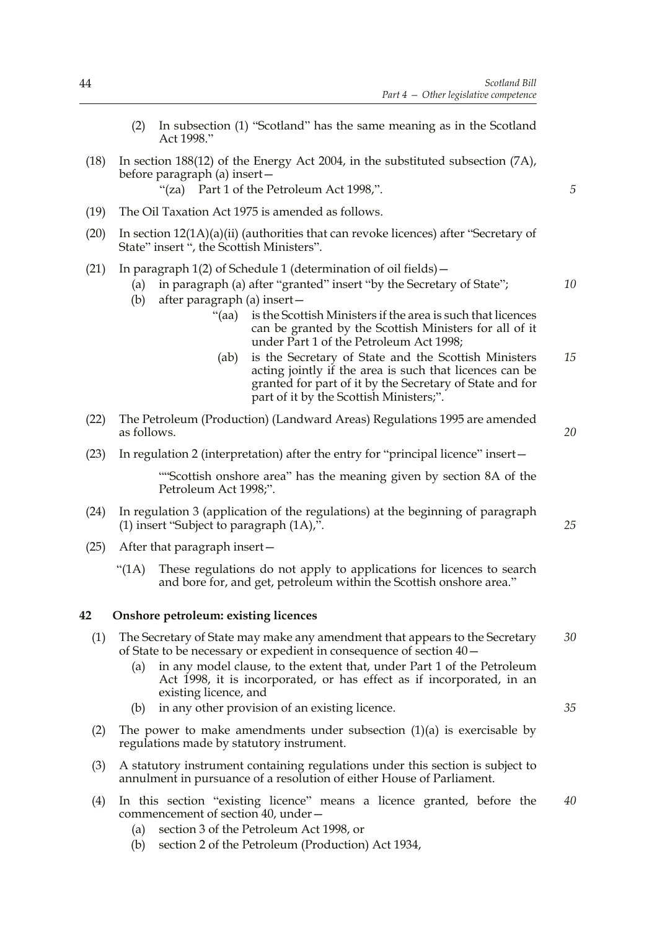- (2) In subsection (1) "Scotland" has the same meaning as in the Scotland Act 1998."
- (18) In section 188(12) of the Energy Act 2004, in the substituted subsection (7A), before paragraph (a) insert—

"(za) Part 1 of the Petroleum Act 1998,".

- (19) The Oil Taxation Act 1975 is amended as follows.
- (20) In section 12(1A)(a)(ii) (authorities that can revoke licences) after "Secretary of State" insert ", the Scottish Ministers".
- (21) In paragraph 1(2) of Schedule 1 (determination of oil fields)—
	- (a) in paragraph (a) after "granted" insert "by the Secretary of State";
	- (b) after paragraph (a) insert—
		- "(aa) is the Scottish Ministers if the area is such that licences can be granted by the Scottish Ministers for all of it under Part 1 of the Petroleum Act 1998;
		- (ab) is the Secretary of State and the Scottish Ministers acting jointly if the area is such that licences can be granted for part of it by the Secretary of State and for part of it by the Scottish Ministers;". *15*
- (22) The Petroleum (Production) (Landward Areas) Regulations 1995 are amended as follows.
- (23) In regulation 2 (interpretation) after the entry for "principal licence" insert—

 ""Scottish onshore area" has the meaning given by section 8A of the Petroleum Act 1998;".

- (24) In regulation 3 (application of the regulations) at the beginning of paragraph (1) insert "Subject to paragraph (1A),".
- (25) After that paragraph insert—
	- "(1A) These regulations do not apply to applications for licences to search and bore for, and get, petroleum within the Scottish onshore area."

#### **42 Onshore petroleum: existing licences**

- (1) The Secretary of State may make any amendment that appears to the Secretary of State to be necessary or expedient in consequence of section 40— *30*
	- (a) in any model clause, to the extent that, under Part 1 of the Petroleum Act 1998, it is incorporated, or has effect as if incorporated, in an existing licence, and
	- (b) in any other provision of an existing licence.
- (2) The power to make amendments under subsection  $(1)(a)$  is exercisable by regulations made by statutory instrument.
- (3) A statutory instrument containing regulations under this section is subject to annulment in pursuance of a resolution of either House of Parliament.
- (4) In this section "existing licence" means a licence granted, before the commencement of section 40, under— *40*
	- (a) section 3 of the Petroleum Act 1998, or
	- (b) section 2 of the Petroleum (Production) Act 1934,

*35*

*5*

*10*

*20*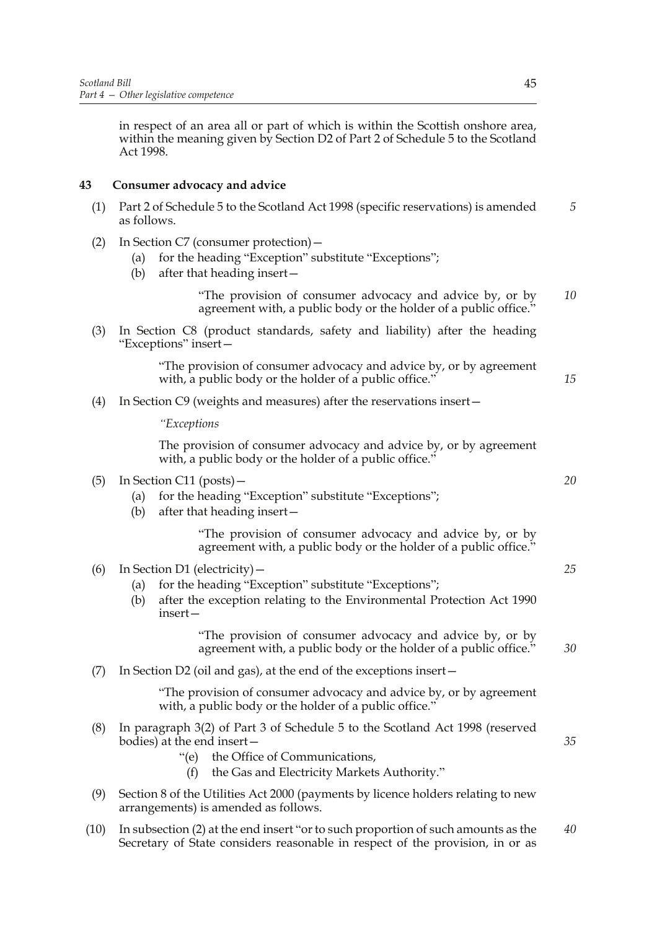in respect of an area all or part of which is within the Scottish onshore area, within the meaning given by Section D2 of Part 2 of Schedule 5 to the Scotland Act 1998.

# **43 Consumer advocacy and advice**

- (1) Part 2 of Schedule 5 to the Scotland Act 1998 (specific reservations) is amended as follows. *5*
- (2) In Section C7 (consumer protection)—
	- (a) for the heading "Exception" substitute "Exceptions";
	- (b) after that heading insert—

 "The provision of consumer advocacy and advice by, or by agreement with, a public body or the holder of a public office." *10*

(3) In Section C8 (product standards, safety and liability) after the heading "Exceptions" insert—

> "The provision of consumer advocacy and advice by, or by agreement with, a public body or the holder of a public office."

(4) In Section C9 (weights and measures) after the reservations insert—

*"Exceptions*

 The provision of consumer advocacy and advice by, or by agreement with, a public body or the holder of a public office."

- (5) In Section C11 (posts)—
	- (a) for the heading "Exception" substitute "Exceptions";
	- (b) after that heading insert—

 "The provision of consumer advocacy and advice by, or by agreement with, a public body or the holder of a public office."

- (6) In Section D1 (electricity)—
	- (a) for the heading "Exception" substitute "Exceptions";
	- (b) after the exception relating to the Environmental Protection Act 1990 insert—

 "The provision of consumer advocacy and advice by, or by agreement with, a public body or the holder of a public office."

(7) In Section D2 (oil and gas), at the end of the exceptions insert—

 "The provision of consumer advocacy and advice by, or by agreement with, a public body or the holder of a public office."

- (8) In paragraph 3(2) of Part 3 of Schedule 5 to the Scotland Act 1998 (reserved bodies) at the end insert—
	- "(e) the Office of Communications,
		- (f) the Gas and Electricity Markets Authority."
- (9) Section 8 of the Utilities Act 2000 (payments by licence holders relating to new arrangements) is amended as follows.
- (10) In subsection (2) at the end insert "or to such proportion of such amounts as the Secretary of State considers reasonable in respect of the provision, in or as *40*

*25*

*30*

*20*

*15*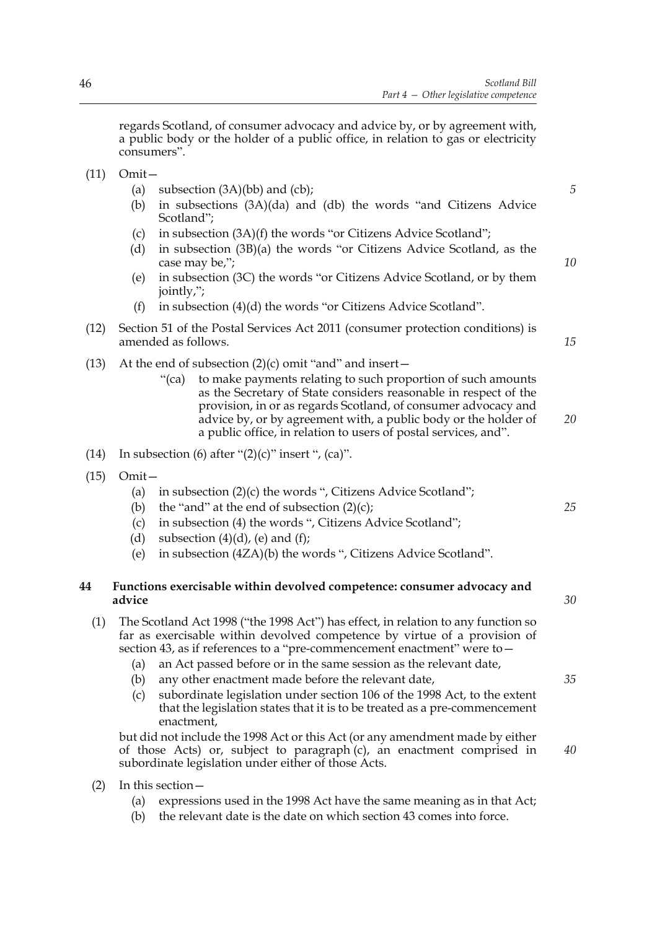regards Scotland, of consumer advocacy and advice by, or by agreement with, a public body or the holder of a public office, in relation to gas or electricity consumers".

- (11) Omit—
	- (a) subsection  $(3A)(bb)$  and  $(cb)$ ;
	- (b) in subsections (3A)(da) and (db) the words "and Citizens Advice Scotland";
	- (c) in subsection (3A)(f) the words "or Citizens Advice Scotland";
	- (d) in subsection (3B)(a) the words "or Citizens Advice Scotland, as the case may be,";
	- (e) in subsection (3C) the words "or Citizens Advice Scotland, or by them jointly,";
	- (f) in subsection (4)(d) the words "or Citizens Advice Scotland".
- (12) Section 51 of the Postal Services Act 2011 (consumer protection conditions) is amended as follows.
- (13) At the end of subsection  $(2)(c)$  omit "and" and insert
	- "(ca) to make payments relating to such proportion of such amounts as the Secretary of State considers reasonable in respect of the provision, in or as regards Scotland, of consumer advocacy and advice by, or by agreement with, a public body or the holder of a public office, in relation to users of postal services, and". *20*
- (14) In subsection (6) after " $(2)(c)$ " insert ",  $(ca)$ ".
- (15) Omit—
	- (a) in subsection (2)(c) the words ", Citizens Advice Scotland";
	- (b) the "and" at the end of subsection  $(2)(c)$ ;
	- (c) in subsection (4) the words ", Citizens Advice Scotland";
	- (d) subsection  $(4)(d)$ , (e) and  $(f)$ :
	- (e) in subsection (4ZA)(b) the words ", Citizens Advice Scotland".

# **44 Functions exercisable within devolved competence: consumer advocacy and advice**

- (1) The Scotland Act 1998 ("the 1998 Act") has effect, in relation to any function so far as exercisable within devolved competence by virtue of a provision of section 43, as if references to a "pre-commencement enactment" were to—
	- (a) an Act passed before or in the same session as the relevant date,
	- (b) any other enactment made before the relevant date,
	- (c) subordinate legislation under section 106 of the 1998 Act, to the extent that the legislation states that it is to be treated as a pre-commencement enactment,

but did not include the 1998 Act or this Act (or any amendment made by either of those Acts) or, subject to paragraph (c), an enactment comprised in subordinate legislation under either of those Acts.

- (2) In this section—
	- (a) expressions used in the 1998 Act have the same meaning as in that Act;
	- (b) the relevant date is the date on which section 43 comes into force.

*30*

*25*

*5*

*10*

*15*

*35*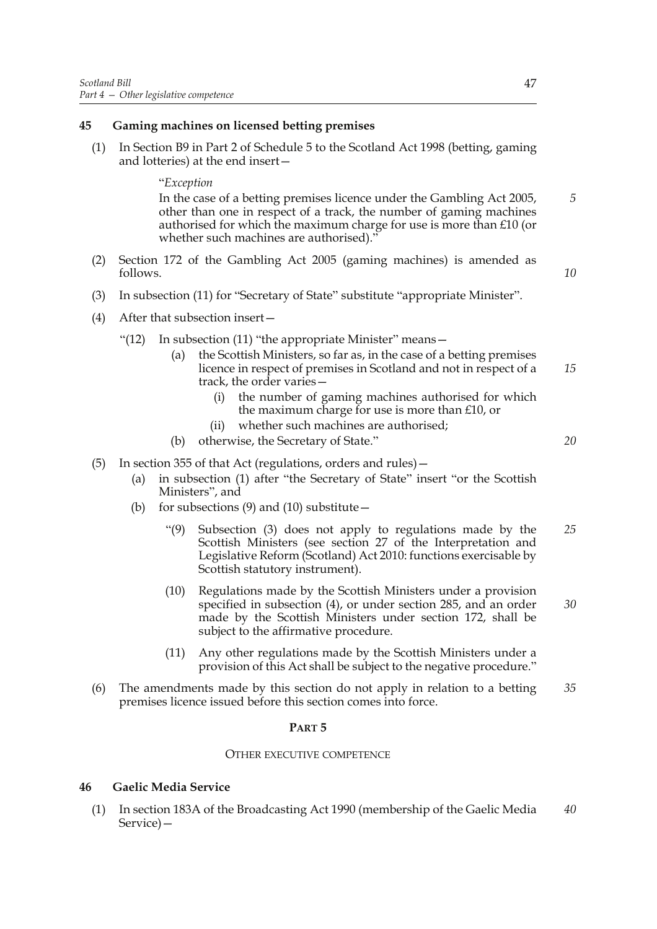### **45 Gaming machines on licensed betting premises**

(1) In Section B9 in Part 2 of Schedule 5 to the Scotland Act 1998 (betting, gaming and lotteries) at the end insert—

#### "*Exception*

In the case of a betting premises licence under the Gambling Act 2005, other than one in respect of a track, the number of gaming machines authorised for which the maximum charge for use is more than £10 (or whether such machines are authorised)."

- (2) Section 172 of the Gambling Act 2005 (gaming machines) is amended as follows.
- (3) In subsection (11) for "Secretary of State" substitute "appropriate Minister".
- (4) After that subsection insert—
	- "(12) In subsection (11) "the appropriate Minister" means
		- the Scottish Ministers, so far as, in the case of a betting premises licence in respect of premises in Scotland and not in respect of a track, the order varies— *15*
			- (i) the number of gaming machines authorised for which the maximum charge for use is more than £10, or
			- (ii) whether such machines are authorised;
		- (b) otherwise, the Secretary of State."
- (5) In section 355 of that Act (regulations, orders and rules)—
	- (a) in subsection (1) after "the Secretary of State" insert "or the Scottish Ministers", and
	- (b) for subsections  $(9)$  and  $(10)$  substitute  $-$ 
		- "(9) Subsection (3) does not apply to regulations made by the Scottish Ministers (see section 27 of the Interpretation and Legislative Reform (Scotland) Act 2010: functions exercisable by Scottish statutory instrument). *25*
		- (10) Regulations made by the Scottish Ministers under a provision specified in subsection (4), or under section 285, and an order made by the Scottish Ministers under section 172, shall be subject to the affirmative procedure. *30*
		- (11) Any other regulations made by the Scottish Ministers under a provision of this Act shall be subject to the negative procedure."
- (6) The amendments made by this section do not apply in relation to a betting premises licence issued before this section comes into force. *35*

#### **PART 5**

#### OTHER EXECUTIVE COMPETENCE

#### **46 Gaelic Media Service**

(1) In section 183A of the Broadcasting Act 1990 (membership of the Gaelic Media Service)— *40*

*5*

*10*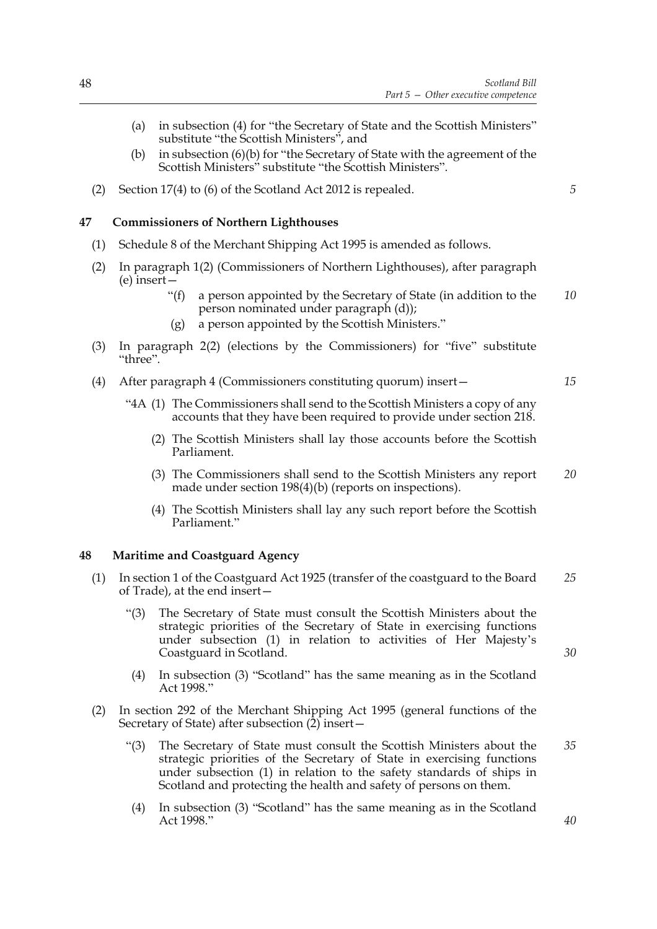- (a) in subsection (4) for "the Secretary of State and the Scottish Ministers" substitute "the Scottish Ministers", and
- (b) in subsection (6)(b) for "the Secretary of State with the agreement of the Scottish Ministers" substitute "the Scottish Ministers".
- (2) Section 17(4) to (6) of the Scotland Act 2012 is repealed.

# **47 Commissioners of Northern Lighthouses**

- (1) Schedule 8 of the Merchant Shipping Act 1995 is amended as follows.
- (2) In paragraph 1(2) (Commissioners of Northern Lighthouses), after paragraph (e) insert—
	- "(f) a person appointed by the Secretary of State (in addition to the person nominated under paragraph (d)); *10*
	- (g) a person appointed by the Scottish Ministers."
- (3) In paragraph 2(2) (elections by the Commissioners) for "five" substitute "three".
- (4) After paragraph 4 (Commissioners constituting quorum) insert—
	- "4A (1) The Commissioners shall send to the Scottish Ministers a copy of any accounts that they have been required to provide under section 218.
		- (2) The Scottish Ministers shall lay those accounts before the Scottish Parliament.
		- (3) The Commissioners shall send to the Scottish Ministers any report made under section 198(4)(b) (reports on inspections). *20*
		- (4) The Scottish Ministers shall lay any such report before the Scottish Parliament."

# **48 Maritime and Coastguard Agency**

- (1) In section 1 of the Coastguard Act 1925 (transfer of the coastguard to the Board of Trade), at the end insert— *25*
	- "(3) The Secretary of State must consult the Scottish Ministers about the strategic priorities of the Secretary of State in exercising functions under subsection (1) in relation to activities of Her Majesty's Coastguard in Scotland.
- *30*
- (4) In subsection (3) "Scotland" has the same meaning as in the Scotland Act 1998."
- (2) In section 292 of the Merchant Shipping Act 1995 (general functions of the Secretary of State) after subsection (2) insert—
	- "(3) The Secretary of State must consult the Scottish Ministers about the strategic priorities of the Secretary of State in exercising functions under subsection (1) in relation to the safety standards of ships in Scotland and protecting the health and safety of persons on them. *35*
	- (4) In subsection (3) "Scotland" has the same meaning as in the Scotland Act 1998."

*15*

*5*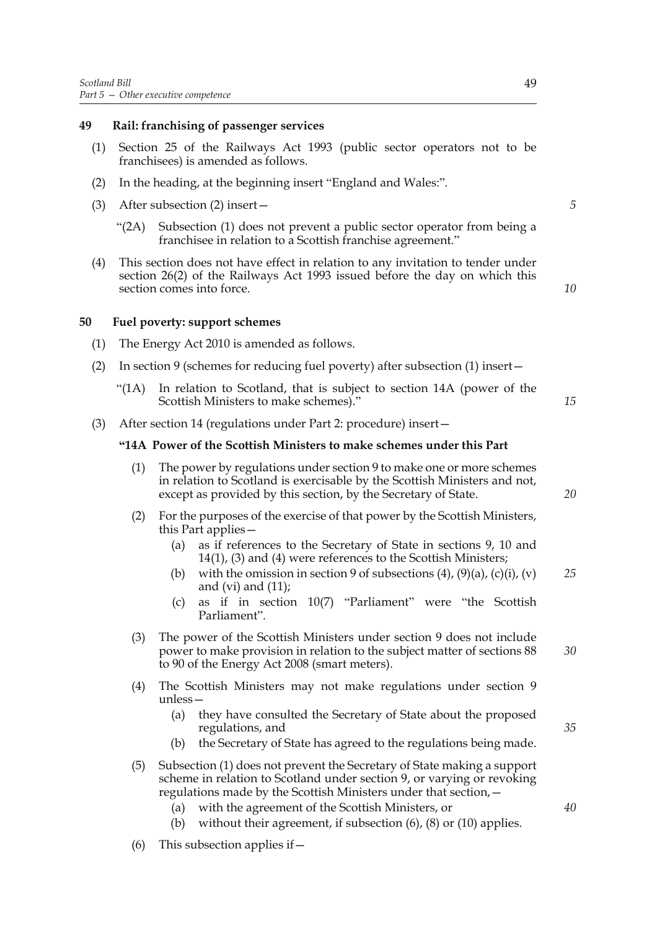#### **49 Rail: franchising of passenger services**

- (1) Section 25 of the Railways Act 1993 (public sector operators not to be franchisees) is amended as follows.
- (2) In the heading, at the beginning insert "England and Wales:".
- (3) After subsection (2) insert—
	- "(2A) Subsection (1) does not prevent a public sector operator from being a franchisee in relation to a Scottish franchise agreement."
- (4) This section does not have effect in relation to any invitation to tender under section 26(2) of the Railways Act 1993 issued before the day on which this section comes into force.

*5*

*10*

#### **50 Fuel poverty: support schemes**

- (1) The Energy Act 2010 is amended as follows.
- (2) In section 9 (schemes for reducing fuel poverty) after subsection (1) insert—
	- "(1A) In relation to Scotland, that is subject to section 14A (power of the Scottish Ministers to make schemes)."
- (3) After section 14 (regulations under Part 2: procedure) insert—

#### **"14A Power of the Scottish Ministers to make schemes under this Part**

- (1) The power by regulations under section 9 to make one or more schemes in relation to Scotland is exercisable by the Scottish Ministers and not, except as provided by this section, by the Secretary of State.
- (2) For the purposes of the exercise of that power by the Scottish Ministers, this Part applies—
	- (a) as if references to the Secretary of State in sections 9, 10 and 14(1), (3) and (4) were references to the Scottish Ministers;
	- (b) with the omission in section 9 of subsections  $(4)$ ,  $(9)(a)$ ,  $(c)(i)$ ,  $(v)$ and (vi) and  $(11)$ ; *25*
	- (c) as if in section 10(7) "Parliament" were "the Scottish Parliament".
- (3) The power of the Scottish Ministers under section 9 does not include power to make provision in relation to the subject matter of sections 88 to 90 of the Energy Act 2008 (smart meters). *30*
- (4) The Scottish Ministers may not make regulations under section 9 unless—
	- (a) they have consulted the Secretary of State about the proposed regulations, and
	- (b) the Secretary of State has agreed to the regulations being made.
- (5) Subsection (1) does not prevent the Secretary of State making a support scheme in relation to Scotland under section 9, or varying or revoking regulations made by the Scottish Ministers under that section,—
	- (a) with the agreement of the Scottish Ministers, or
	- (b) without their agreement, if subsection  $(6)$ ,  $(8)$  or  $(10)$  applies.
- (6) This subsection applies if  $-$

*15*

*35*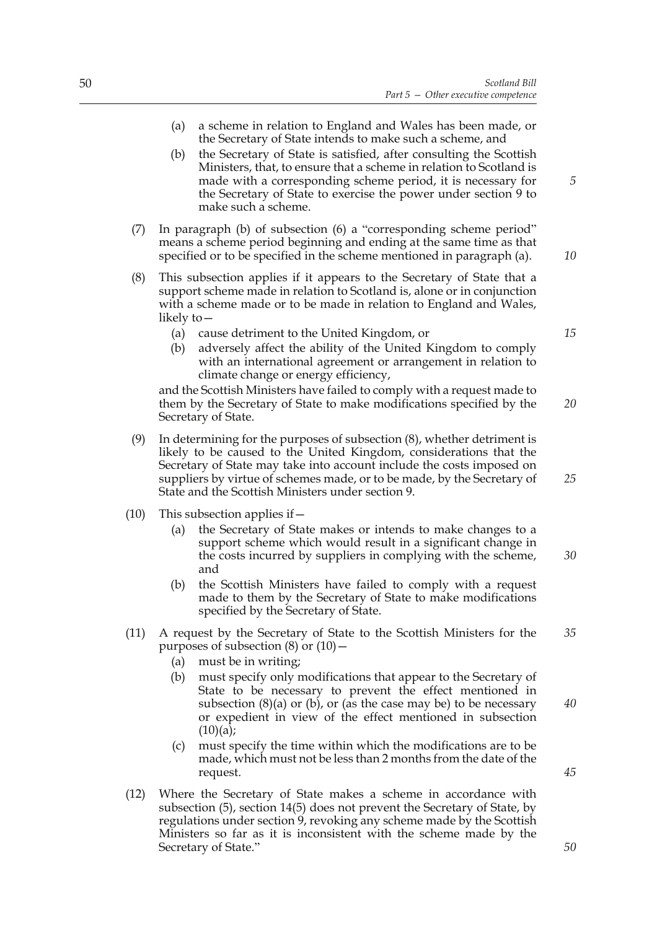- (a) a scheme in relation to England and Wales has been made, or the Secretary of State intends to make such a scheme, and
- (b) the Secretary of State is satisfied, after consulting the Scottish Ministers, that, to ensure that a scheme in relation to Scotland is made with a corresponding scheme period, it is necessary for the Secretary of State to exercise the power under section 9 to make such a scheme.
- (7) In paragraph (b) of subsection (6) a "corresponding scheme period" means a scheme period beginning and ending at the same time as that specified or to be specified in the scheme mentioned in paragraph (a).
- (8) This subsection applies if it appears to the Secretary of State that a support scheme made in relation to Scotland is, alone or in conjunction with a scheme made or to be made in relation to England and Wales, likely to—
	- (a) cause detriment to the United Kingdom, or
	- (b) adversely affect the ability of the United Kingdom to comply with an international agreement or arrangement in relation to climate change or energy efficiency,

and the Scottish Ministers have failed to comply with a request made to them by the Secretary of State to make modifications specified by the Secretary of State.

- (9) In determining for the purposes of subsection (8), whether detriment is likely to be caused to the United Kingdom, considerations that the Secretary of State may take into account include the costs imposed on suppliers by virtue of schemes made, or to be made, by the Secretary of State and the Scottish Ministers under section 9.
- (10) This subsection applies if  $-$ 
	- (a) the Secretary of State makes or intends to make changes to a support scheme which would result in a significant change in the costs incurred by suppliers in complying with the scheme, and
	- (b) the Scottish Ministers have failed to comply with a request made to them by the Secretary of State to make modifications specified by the Secretary of State.
- (11) A request by the Secretary of State to the Scottish Ministers for the purposes of subsection  $(8)$  or  $(10)$  – *35*
	- (a) must be in writing;
	- (b) must specify only modifications that appear to the Secretary of State to be necessary to prevent the effect mentioned in subsection  $(8)(a)$  or  $(b)$ , or (as the case may be) to be necessary or expedient in view of the effect mentioned in subsection  $(10)(a);$ *40*
	- (c) must specify the time within which the modifications are to be made, which must not be less than 2 months from the date of the request.
- (12) Where the Secretary of State makes a scheme in accordance with subsection (5), section 14(5) does not prevent the Secretary of State, by regulations under section 9, revoking any scheme made by the Scottish Ministers so far as it is inconsistent with the scheme made by the Secretary of State."

*15*

*10*

*5*

*20*

*25*

*30*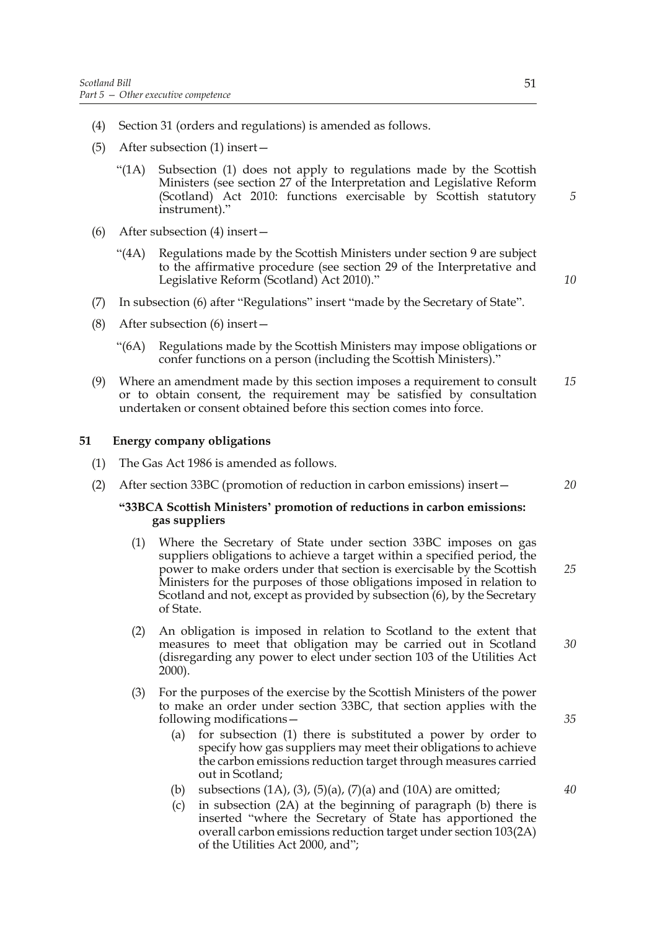- (4) Section 31 (orders and regulations) is amended as follows.
- (5) After subsection (1) insert—
	- "(1A) Subsection (1) does not apply to regulations made by the Scottish Ministers (see section 27 of the Interpretation and Legislative Reform (Scotland) Act 2010: functions exercisable by Scottish statutory instrument)."
- (6) After subsection (4) insert—
	- "(4A) Regulations made by the Scottish Ministers under section 9 are subject to the affirmative procedure (see section 29 of the Interpretative and Legislative Reform (Scotland) Act 2010)."
- (7) In subsection (6) after "Regulations" insert "made by the Secretary of State".
- (8) After subsection (6) insert—
	- "(6A) Regulations made by the Scottish Ministers may impose obligations or confer functions on a person (including the Scottish Ministers)."
- (9) Where an amendment made by this section imposes a requirement to consult or to obtain consent, the requirement may be satisfied by consultation undertaken or consent obtained before this section comes into force. *15*

#### **51 Energy company obligations**

- (1) The Gas Act 1986 is amended as follows.
- (2) After section 33BC (promotion of reduction in carbon emissions) insert—

#### **"33BCA Scottish Ministers' promotion of reductions in carbon emissions: gas suppliers**

- (1) Where the Secretary of State under section 33BC imposes on gas suppliers obligations to achieve a target within a specified period, the power to make orders under that section is exercisable by the Scottish Ministers for the purposes of those obligations imposed in relation to Scotland and not, except as provided by subsection (6), by the Secretary of State. *25*
- (2) An obligation is imposed in relation to Scotland to the extent that measures to meet that obligation may be carried out in Scotland (disregarding any power to elect under section 103 of the Utilities Act  $2000$ ).
- (3) For the purposes of the exercise by the Scottish Ministers of the power to make an order under section 33BC, that section applies with the following modifications—
	- (a) for subsection (1) there is substituted a power by order to specify how gas suppliers may meet their obligations to achieve the carbon emissions reduction target through measures carried out in Scotland;
	- (b) subsections  $(1A)$ ,  $(3)$ ,  $(5)(a)$ ,  $(7)(a)$  and  $(10A)$  are omitted;
	- (c) in subsection (2A) at the beginning of paragraph (b) there is inserted "where the Secretary of State has apportioned the overall carbon emissions reduction target under section 103(2A) of the Utilities Act 2000, and";

*20*

*5*

*10*

*30*

*35*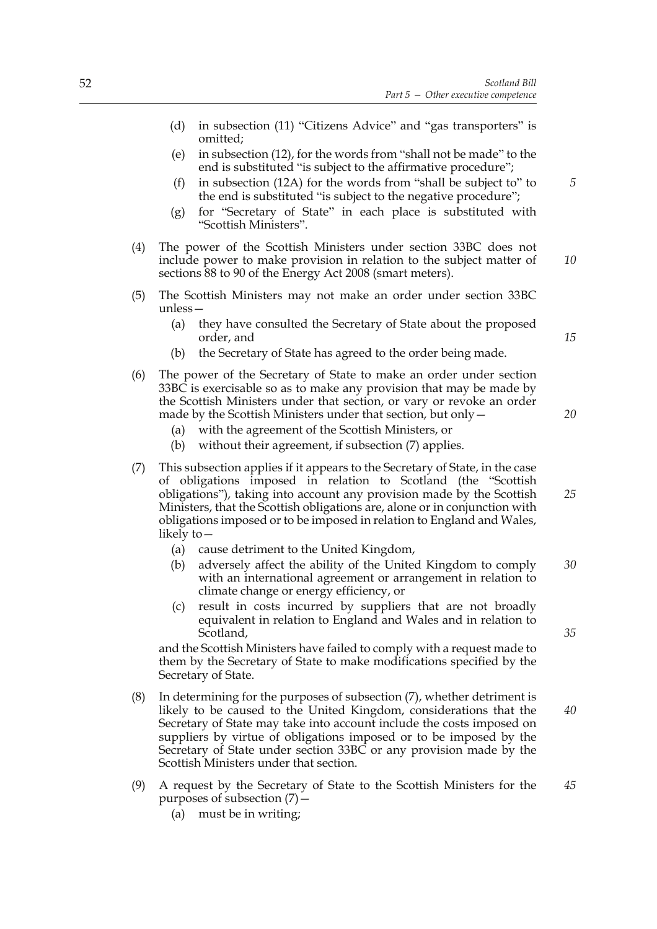- (d) in subsection (11) "Citizens Advice" and "gas transporters" is omitted;
- (e) in subsection (12), for the words from "shall not be made" to the end is substituted "is subject to the affirmative procedure";
- (f) in subsection (12A) for the words from "shall be subject to" to the end is substituted "is subject to the negative procedure";
- (g) for "Secretary of State" in each place is substituted with "Scottish Ministers".
- (4) The power of the Scottish Ministers under section 33BC does not include power to make provision in relation to the subject matter of sections 88 to 90 of the Energy Act 2008 (smart meters). *10*
- (5) The Scottish Ministers may not make an order under section 33BC unless—
	- (a) they have consulted the Secretary of State about the proposed order, and
	- (b) the Secretary of State has agreed to the order being made.
- (6) The power of the Secretary of State to make an order under section 33BC is exercisable so as to make any provision that may be made by the Scottish Ministers under that section, or vary or revoke an order made by the Scottish Ministers under that section, but only—
	- (a) with the agreement of the Scottish Ministers, or
	- (b) without their agreement, if subsection (7) applies.
- (7) This subsection applies if it appears to the Secretary of State, in the case of obligations imposed in relation to Scotland (the "Scottish obligations"), taking into account any provision made by the Scottish Ministers, that the Scottish obligations are, alone or in conjunction with obligations imposed or to be imposed in relation to England and Wales, likely to— *25*
	- (a) cause detriment to the United Kingdom,
	- (b) adversely affect the ability of the United Kingdom to comply with an international agreement or arrangement in relation to climate change or energy efficiency, or *30*
	- (c) result in costs incurred by suppliers that are not broadly equivalent in relation to England and Wales and in relation to Scotland,

and the Scottish Ministers have failed to comply with a request made to them by the Secretary of State to make modifications specified by the Secretary of State.

- (8) In determining for the purposes of subsection (7), whether detriment is likely to be caused to the United Kingdom, considerations that the Secretary of State may take into account include the costs imposed on suppliers by virtue of obligations imposed or to be imposed by the Secretary of State under section 33BC or any provision made by the Scottish Ministers under that section.
- (9) A request by the Secretary of State to the Scottish Ministers for the purposes of subsection  $(7)$  – *45*
	- (a) must be in writing;

*15*

*20*

*35*

*40*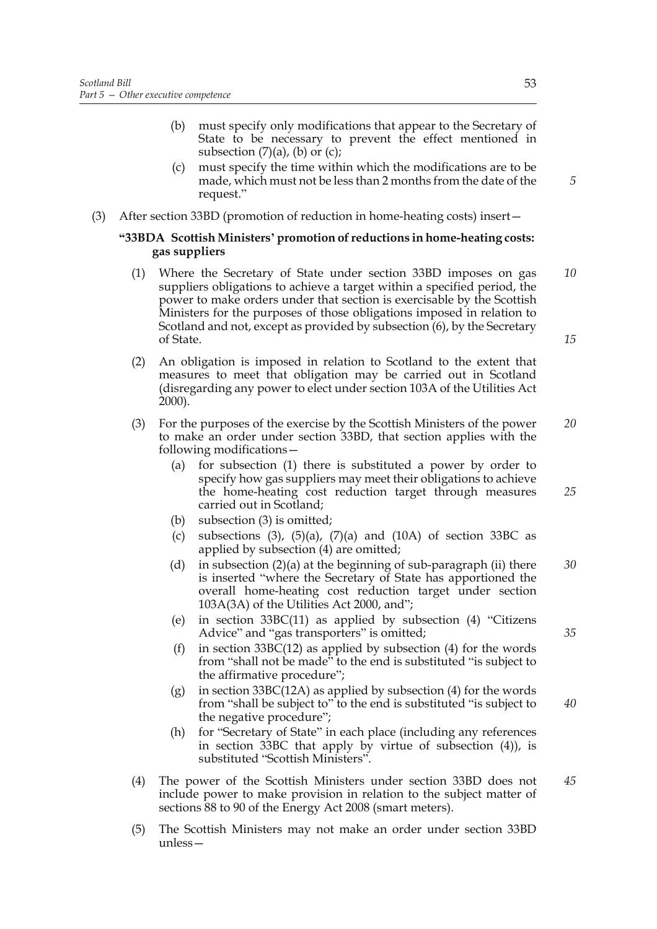- (b) must specify only modifications that appear to the Secretary of State to be necessary to prevent the effect mentioned in subsection  $(7)(a)$ ,  $(b)$  or  $(c)$ ;
- (c) must specify the time within which the modifications are to be made, which must not be less than 2 months from the date of the request."
- (3) After section 33BD (promotion of reduction in home-heating costs) insert—

#### **"33BDA Scottish Ministers' promotion of reductions in home-heating costs: gas suppliers**

- (1) Where the Secretary of State under section 33BD imposes on gas suppliers obligations to achieve a target within a specified period, the power to make orders under that section is exercisable by the Scottish Ministers for the purposes of those obligations imposed in relation to Scotland and not, except as provided by subsection (6), by the Secretary of State. *10 15*
- (2) An obligation is imposed in relation to Scotland to the extent that measures to meet that obligation may be carried out in Scotland (disregarding any power to elect under section 103A of the Utilities Act 2000).
- (3) For the purposes of the exercise by the Scottish Ministers of the power to make an order under section 33BD, that section applies with the following modifications— *20*
	- (a) for subsection (1) there is substituted a power by order to specify how gas suppliers may meet their obligations to achieve the home-heating cost reduction target through measures carried out in Scotland;
	- (b) subsection (3) is omitted;
	- (c) subsections (3), (5)(a), (7)(a) and (10A) of section 33BC as applied by subsection (4) are omitted;
	- (d) in subsection  $(2)(a)$  at the beginning of sub-paragraph (ii) there is inserted "where the Secretary of State has apportioned the overall home-heating cost reduction target under section 103A(3A) of the Utilities Act 2000, and"; *30*
	- (e) in section 33BC(11) as applied by subsection (4) "Citizens Advice" and "gas transporters" is omitted;
	- (f) in section 33BC(12) as applied by subsection (4) for the words from "shall not be made" to the end is substituted "is subject to the affirmative procedure";
	- (g) in section 33BC(12A) as applied by subsection (4) for the words from "shall be subject to" to the end is substituted "is subject to the negative procedure"; *40*
	- (h) for "Secretary of State" in each place (including any references in section 33BC that apply by virtue of subsection (4)), is substituted "Scottish Ministers".
- (4) The power of the Scottish Ministers under section 33BD does not include power to make provision in relation to the subject matter of sections 88 to 90 of the Energy Act 2008 (smart meters). *45*
- (5) The Scottish Ministers may not make an order under section 33BD unless—

*5*

*25*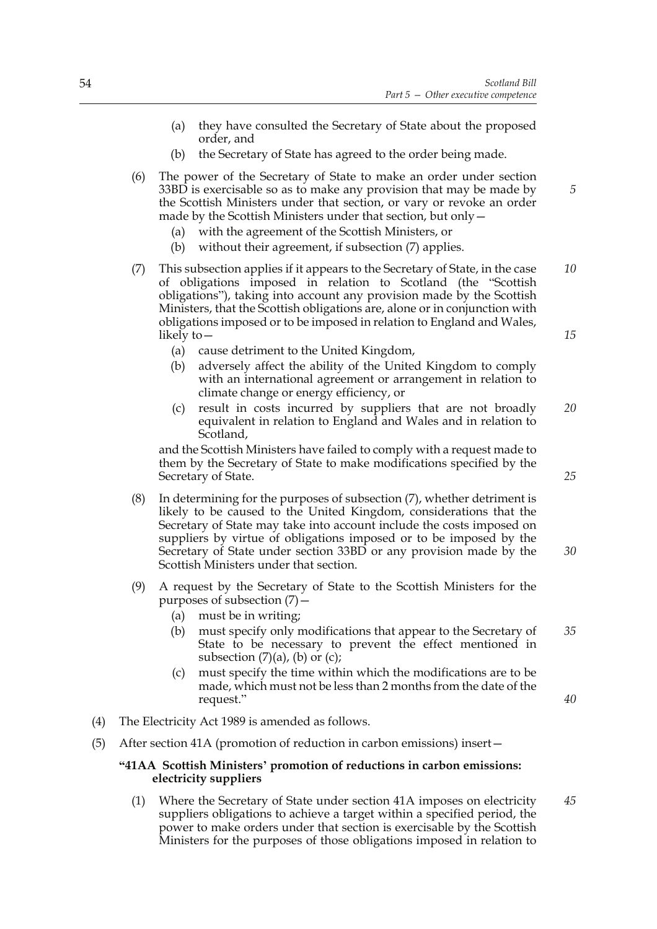- (a) they have consulted the Secretary of State about the proposed order, and
- (b) the Secretary of State has agreed to the order being made.
- (6) The power of the Secretary of State to make an order under section 33BD is exercisable so as to make any provision that may be made by the Scottish Ministers under that section, or vary or revoke an order made by the Scottish Ministers under that section, but only—
	- (a) with the agreement of the Scottish Ministers, or
	- (b) without their agreement, if subsection (7) applies.
- (7) This subsection applies if it appears to the Secretary of State, in the case of obligations imposed in relation to Scotland (the "Scottish obligations"), taking into account any provision made by the Scottish Ministers, that the Scottish obligations are, alone or in conjunction with obligations imposed or to be imposed in relation to England and Wales, likely to— *10*
	- (a) cause detriment to the United Kingdom,
	- (b) adversely affect the ability of the United Kingdom to comply with an international agreement or arrangement in relation to climate change or energy efficiency, or
	- (c) result in costs incurred by suppliers that are not broadly equivalent in relation to England and Wales and in relation to Scotland, *20*

and the Scottish Ministers have failed to comply with a request made to them by the Secretary of State to make modifications specified by the Secretary of State.

- (8) In determining for the purposes of subsection (7), whether detriment is likely to be caused to the United Kingdom, considerations that the Secretary of State may take into account include the costs imposed on suppliers by virtue of obligations imposed or to be imposed by the Secretary of State under section 33BD or any provision made by the Scottish Ministers under that section.
- (9) A request by the Secretary of State to the Scottish Ministers for the purposes of subsection (7)—
	- (a) must be in writing;
	- (b) must specify only modifications that appear to the Secretary of State to be necessary to prevent the effect mentioned in subsection  $(7)(a)$ ,  $(b)$  or  $(c)$ ; *35*
	- (c) must specify the time within which the modifications are to be made, which must not be less than 2 months from the date of the request."
- (4) The Electricity Act 1989 is amended as follows.
- (5) After section 41A (promotion of reduction in carbon emissions) insert—

#### **"41AA Scottish Ministers' promotion of reductions in carbon emissions: electricity suppliers**

(1) Where the Secretary of State under section 41A imposes on electricity suppliers obligations to achieve a target within a specified period, the power to make orders under that section is exercisable by the Scottish Ministers for the purposes of those obligations imposed in relation to *45*

*15*

*25*

*30*

*40*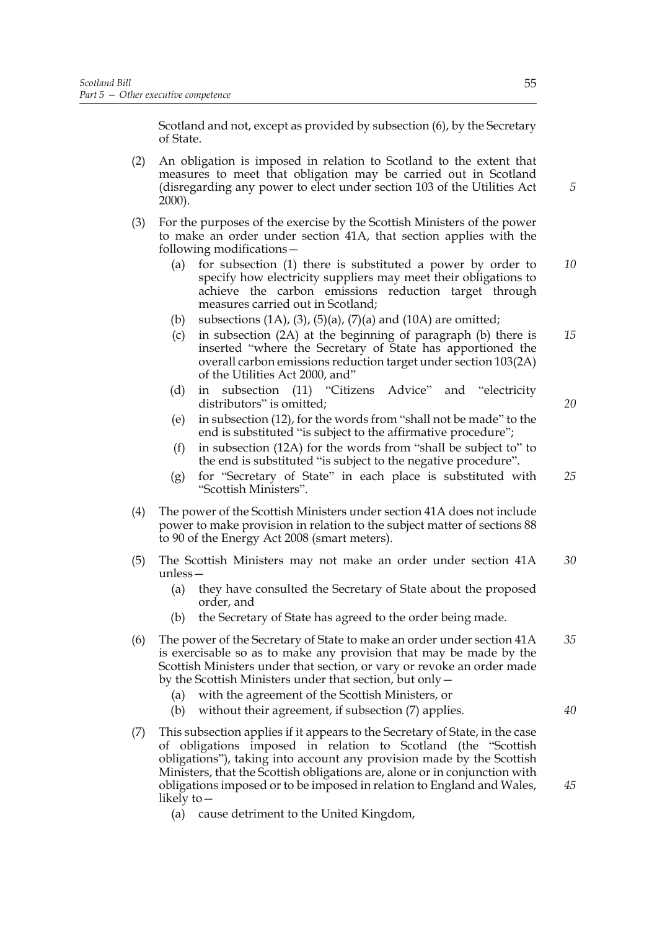Scotland and not, except as provided by subsection (6), by the Secretary of State.

- (2) An obligation is imposed in relation to Scotland to the extent that measures to meet that obligation may be carried out in Scotland (disregarding any power to elect under section 103 of the Utilities Act 2000).
- (3) For the purposes of the exercise by the Scottish Ministers of the power to make an order under section 41A, that section applies with the following modifications—
	- (a) for subsection (1) there is substituted a power by order to specify how electricity suppliers may meet their obligations to achieve the carbon emissions reduction target through measures carried out in Scotland; *10*
	- (b) subsections  $(1A)$ ,  $(3)$ ,  $(5)(a)$ ,  $(7)(a)$  and  $(10A)$  are omitted;
	- (c) in subsection (2A) at the beginning of paragraph (b) there is inserted "where the Secretary of State has apportioned the overall carbon emissions reduction target under section 103(2A) of the Utilities Act 2000, and" *15*
	- (d) in subsection (11) "Citizens Advice" and "electricity distributors" is omitted;
	- (e) in subsection (12), for the words from "shall not be made" to the end is substituted "is subject to the affirmative procedure";
	- (f) in subsection (12A) for the words from "shall be subject to" to the end is substituted "is subject to the negative procedure".
	- (g) for "Secretary of State" in each place is substituted with "Scottish Ministers". *25*
- (4) The power of the Scottish Ministers under section 41A does not include power to make provision in relation to the subject matter of sections 88 to 90 of the Energy Act 2008 (smart meters).
- (5) The Scottish Ministers may not make an order under section 41A unless— *30*
	- (a) they have consulted the Secretary of State about the proposed order, and
	- (b) the Secretary of State has agreed to the order being made.
- (6) The power of the Secretary of State to make an order under section 41A is exercisable so as to make any provision that may be made by the Scottish Ministers under that section, or vary or revoke an order made by the Scottish Ministers under that section, but only— *35*
	- (a) with the agreement of the Scottish Ministers, or
	- (b) without their agreement, if subsection (7) applies.
- (7) This subsection applies if it appears to the Secretary of State, in the case of obligations imposed in relation to Scotland (the "Scottish obligations"), taking into account any provision made by the Scottish Ministers, that the Scottish obligations are, alone or in conjunction with obligations imposed or to be imposed in relation to England and Wales, likely to—
	- (a) cause detriment to the United Kingdom,

*5*

*20*

*40*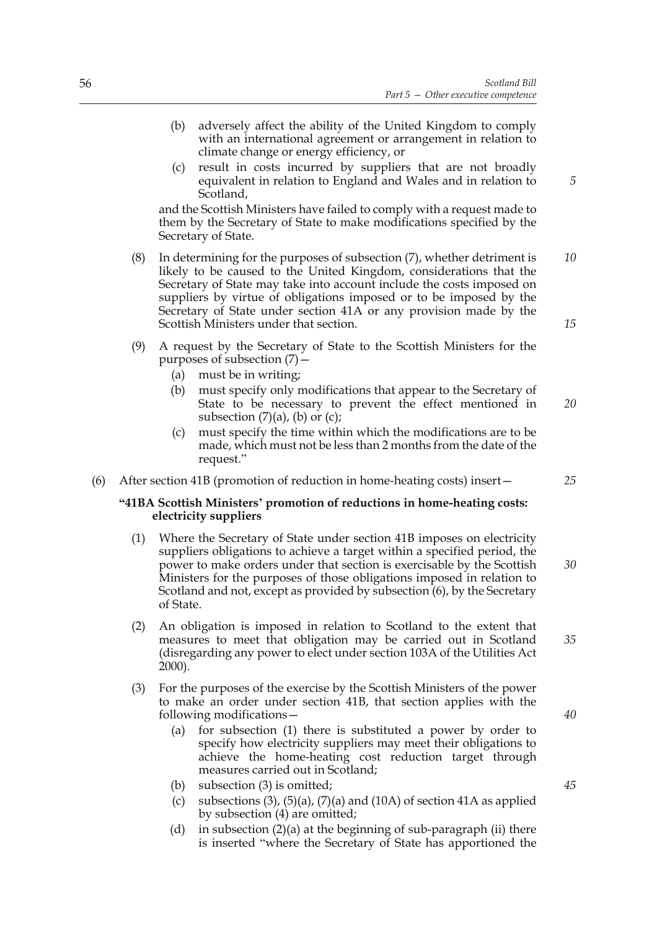- (b) adversely affect the ability of the United Kingdom to comply with an international agreement or arrangement in relation to climate change or energy efficiency, or
- (c) result in costs incurred by suppliers that are not broadly equivalent in relation to England and Wales and in relation to Scotland,

and the Scottish Ministers have failed to comply with a request made to them by the Secretary of State to make modifications specified by the Secretary of State.

- (8) In determining for the purposes of subsection (7), whether detriment is likely to be caused to the United Kingdom, considerations that the Secretary of State may take into account include the costs imposed on suppliers by virtue of obligations imposed or to be imposed by the Secretary of State under section 41A or any provision made by the Scottish Ministers under that section. *10 15*
- (9) A request by the Secretary of State to the Scottish Ministers for the purposes of subsection  $(7)$  –
	- (a) must be in writing;
	- (b) must specify only modifications that appear to the Secretary of State to be necessary to prevent the effect mentioned in subsection  $(7)(a)$ ,  $(b)$  or  $(c)$ ; *20*
	- (c) must specify the time within which the modifications are to be made, which must not be less than 2 months from the date of the request."
- (6) After section 41B (promotion of reduction in home-heating costs) insert—

#### **"41BA Scottish Ministers' promotion of reductions in home-heating costs: electricity suppliers**

- (1) Where the Secretary of State under section 41B imposes on electricity suppliers obligations to achieve a target within a specified period, the power to make orders under that section is exercisable by the Scottish Ministers for the purposes of those obligations imposed in relation to Scotland and not, except as provided by subsection (6), by the Secretary of State. *30*
- (2) An obligation is imposed in relation to Scotland to the extent that measures to meet that obligation may be carried out in Scotland (disregarding any power to elect under section 103A of the Utilities Act 2000).
- (3) For the purposes of the exercise by the Scottish Ministers of the power to make an order under section 41B, that section applies with the following modifications—
	- (a) for subsection (1) there is substituted a power by order to specify how electricity suppliers may meet their obligations to achieve the home-heating cost reduction target through measures carried out in Scotland;
	- (b) subsection (3) is omitted;
	- (c) subsections  $(3)$ ,  $(5)(a)$ ,  $(7)(a)$  and  $(10A)$  of section 41A as applied by subsection (4) are omitted;
	- (d) in subsection  $(2)(a)$  at the beginning of sub-paragraph (ii) there is inserted "where the Secretary of State has apportioned the

*25*

*5*

*40*

*35*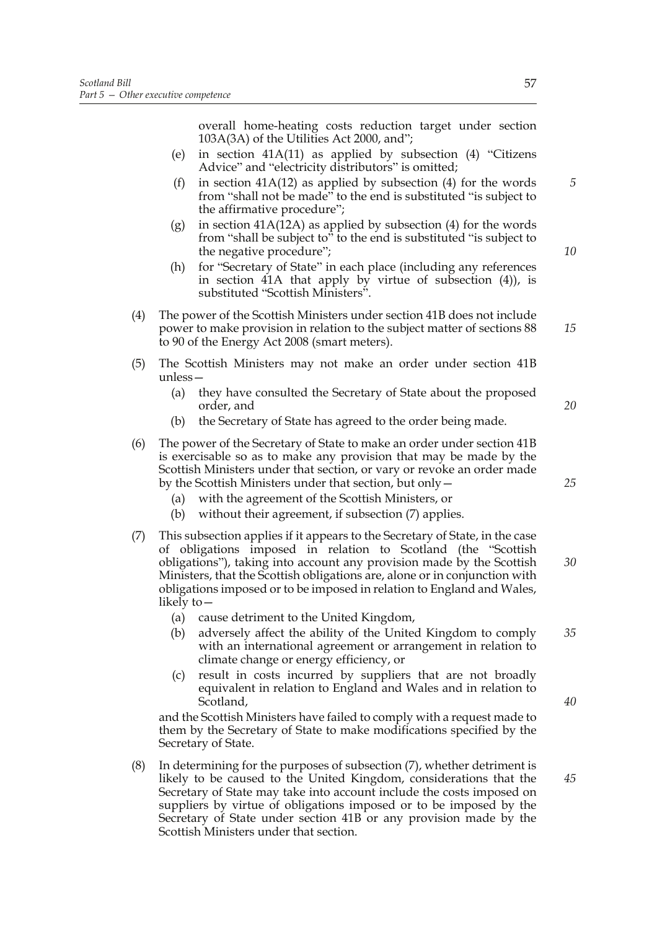overall home-heating costs reduction target under section 103A(3A) of the Utilities Act 2000, and";

- (e) in section 41A(11) as applied by subsection (4) "Citizens Advice" and "electricity distributors" is omitted;
- (f) in section  $41A(12)$  as applied by subsection (4) for the words from "shall not be made" to the end is substituted "is subject to the affirmative procedure";
- (g) in section  $41A(12A)$  as applied by subsection (4) for the words from "shall be subject to" to the end is substituted "is subject to the negative procedure";
- (h) for "Secretary of State" in each place (including any references in section 41A that apply by virtue of subsection (4)), is substituted "Scottish Ministers".
- (4) The power of the Scottish Ministers under section 41B does not include power to make provision in relation to the subject matter of sections 88 to 90 of the Energy Act 2008 (smart meters).
- (5) The Scottish Ministers may not make an order under section 41B unless—
	- (a) they have consulted the Secretary of State about the proposed order, and
	- (b) the Secretary of State has agreed to the order being made.
- (6) The power of the Secretary of State to make an order under section 41B is exercisable so as to make any provision that may be made by the Scottish Ministers under that section, or vary or revoke an order made by the Scottish Ministers under that section, but only—
	- (a) with the agreement of the Scottish Ministers, or
	- (b) without their agreement, if subsection (7) applies.
- (7) This subsection applies if it appears to the Secretary of State, in the case of obligations imposed in relation to Scotland (the "Scottish obligations"), taking into account any provision made by the Scottish Ministers, that the Scottish obligations are, alone or in conjunction with obligations imposed or to be imposed in relation to England and Wales, likely to— *30*
	- (a) cause detriment to the United Kingdom,
	- (b) adversely affect the ability of the United Kingdom to comply with an international agreement or arrangement in relation to climate change or energy efficiency, or *35*
	- (c) result in costs incurred by suppliers that are not broadly equivalent in relation to England and Wales and in relation to Scotland,

and the Scottish Ministers have failed to comply with a request made to them by the Secretary of State to make modifications specified by the Secretary of State.

(8) In determining for the purposes of subsection (7), whether detriment is likely to be caused to the United Kingdom, considerations that the Secretary of State may take into account include the costs imposed on suppliers by virtue of obligations imposed or to be imposed by the Secretary of State under section 41B or any provision made by the Scottish Ministers under that section.

*5*

*10*

*15*

*25*

*20*

*40*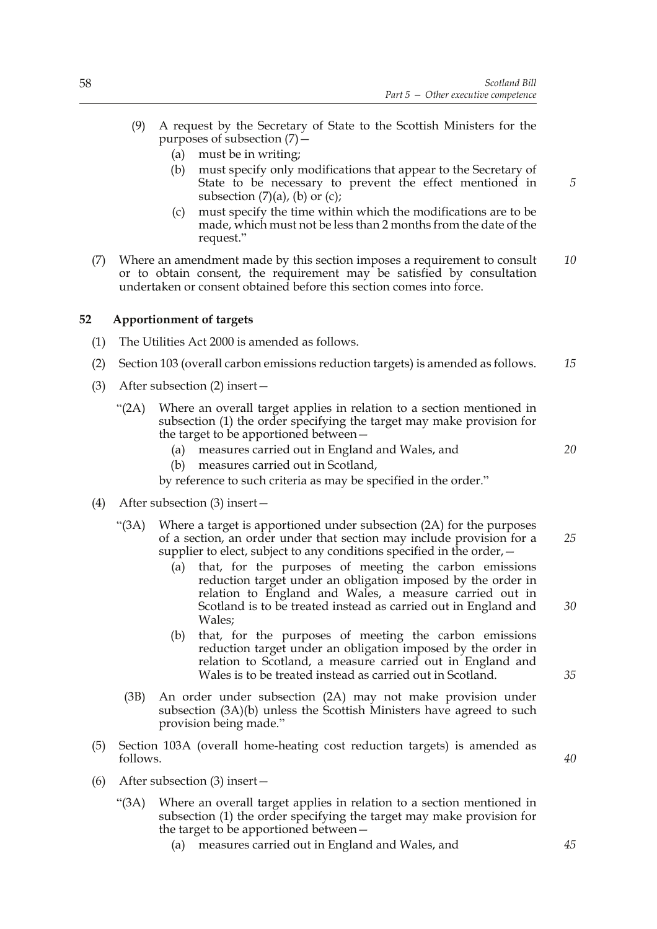- (9) A request by the Secretary of State to the Scottish Ministers for the purposes of subsection (7)—
	- (a) must be in writing;
	- (b) must specify only modifications that appear to the Secretary of State to be necessary to prevent the effect mentioned in subsection  $(7)(a)$ ,  $(b)$  or  $(c)$ ;
	- (c) must specify the time within which the modifications are to be made, which must not be less than 2 months from the date of the request."
- (7) Where an amendment made by this section imposes a requirement to consult or to obtain consent, the requirement may be satisfied by consultation undertaken or consent obtained before this section comes into force. *10*

# **52 Apportionment of targets**

- (1) The Utilities Act 2000 is amended as follows.
- (2) Section 103 (overall carbon emissions reduction targets) is amended as follows. *15*
- (3) After subsection (2) insert—
	- "(2A) Where an overall target applies in relation to a section mentioned in subsection (1) the order specifying the target may make provision for the target to be apportioned between—
		- (a) measures carried out in England and Wales, and
		- (b) measures carried out in Scotland,
		- by reference to such criteria as may be specified in the order."
- (4) After subsection (3) insert—
	- "(3A) Where a target is apportioned under subsection (2A) for the purposes of a section, an order under that section may include provision for a supplier to elect, subject to any conditions specified in the order, —
		- (a) that, for the purposes of meeting the carbon emissions reduction target under an obligation imposed by the order in relation to England and Wales, a measure carried out in Scotland is to be treated instead as carried out in England and Wales; *30*
		- (b) that, for the purposes of meeting the carbon emissions reduction target under an obligation imposed by the order in relation to Scotland, a measure carried out in England and Wales is to be treated instead as carried out in Scotland.
		- (3B) An order under subsection (2A) may not make provision under subsection (3A)(b) unless the Scottish Ministers have agreed to such provision being made."
- (5) Section 103A (overall home-heating cost reduction targets) is amended as follows.
- (6) After subsection (3) insert—
	- "(3A) Where an overall target applies in relation to a section mentioned in subsection (1) the order specifying the target may make provision for the target to be apportioned between—
		- (a) measures carried out in England and Wales, and

*25*

*20*

*5*

*35*

*40*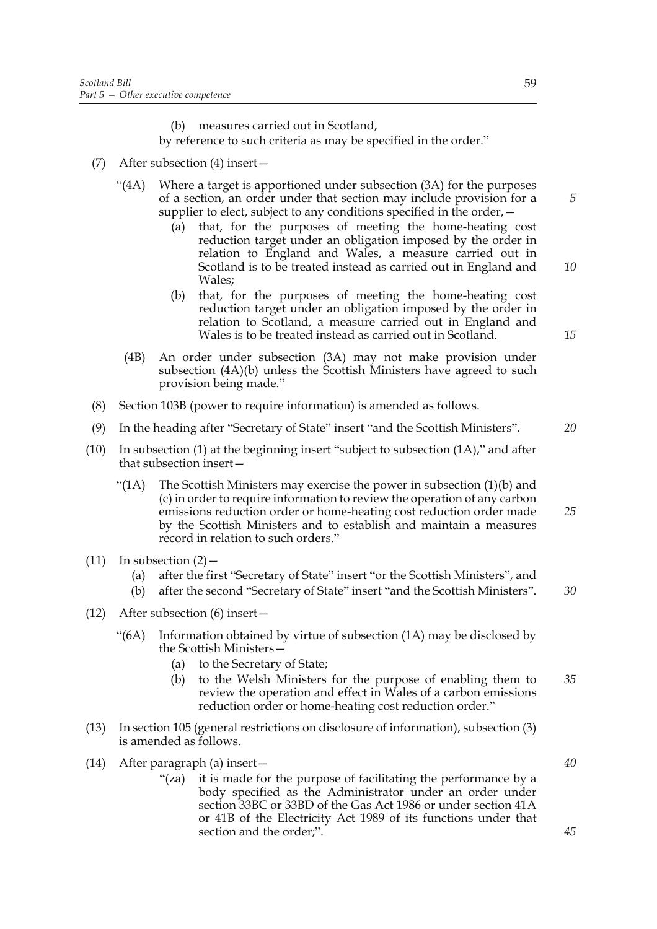(b) measures carried out in Scotland,

by reference to such criteria as may be specified in the order."

- (7) After subsection (4) insert—
	- "(4A) Where a target is apportioned under subsection (3A) for the purposes of a section, an order under that section may include provision for a supplier to elect, subject to any conditions specified in the order, -
		- (a) that, for the purposes of meeting the home-heating cost reduction target under an obligation imposed by the order in relation to England and Wales, a measure carried out in Scotland is to be treated instead as carried out in England and Wales;
		- (b) that, for the purposes of meeting the home-heating cost reduction target under an obligation imposed by the order in relation to Scotland, a measure carried out in England and Wales is to be treated instead as carried out in Scotland.
		- (4B) An order under subsection (3A) may not make provision under subsection (4A)(b) unless the Scottish Ministers have agreed to such provision being made."
- (8) Section 103B (power to require information) is amended as follows.
- (9) In the heading after "Secretary of State" insert "and the Scottish Ministers".
- (10) In subsection (1) at the beginning insert "subject to subsection (1A)," and after that subsection insert—
	- "(1A) The Scottish Ministers may exercise the power in subsection  $(1)(b)$  and (c) in order to require information to review the operation of any carbon emissions reduction order or home-heating cost reduction order made by the Scottish Ministers and to establish and maintain a measures record in relation to such orders." *25*
- (11) In subsection  $(2)$ 
	- (a) after the first "Secretary of State" insert "or the Scottish Ministers", and
	- (b) after the second "Secretary of State" insert "and the Scottish Ministers".
- (12) After subsection (6) insert—
	- " $(6A)$  Information obtained by virtue of subsection  $(1A)$  may be disclosed by the Scottish Ministers—
		- (a) to the Secretary of State;
		- (b) to the Welsh Ministers for the purpose of enabling them to review the operation and effect in Wales of a carbon emissions reduction order or home-heating cost reduction order." *35*
- (13) In section 105 (general restrictions on disclosure of information), subsection (3) is amended as follows.

(14) After paragraph (a) insert—

"(za) it is made for the purpose of facilitating the performance by a body specified as the Administrator under an order under section 33BC or 33BD of the Gas Act 1986 or under section 41A or 41B of the Electricity Act 1989 of its functions under that section and the order;".

*40*

*45*

*15*

*5*

*10*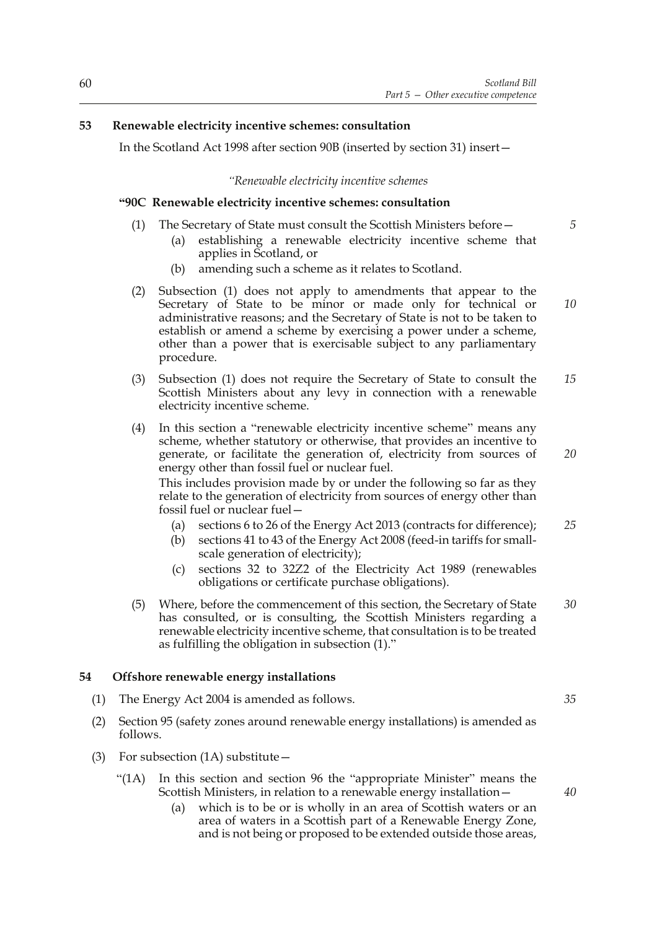#### **53 Renewable electricity incentive schemes: consultation**

In the Scotland Act 1998 after section 90B (inserted by section 31) insert—

#### *"Renewable electricity incentive schemes*

#### **"90C Renewable electricity incentive schemes: consultation**

- (1) The Secretary of State must consult the Scottish Ministers before—
	- (a) establishing a renewable electricity incentive scheme that applies in Scotland, or
	- (b) amending such a scheme as it relates to Scotland.
- (2) Subsection (1) does not apply to amendments that appear to the Secretary of State to be minor or made only for technical or administrative reasons; and the Secretary of State is not to be taken to establish or amend a scheme by exercising a power under a scheme, other than a power that is exercisable subject to any parliamentary procedure.
- (3) Subsection (1) does not require the Secretary of State to consult the Scottish Ministers about any levy in connection with a renewable electricity incentive scheme. *15*
- (4) In this section a "renewable electricity incentive scheme" means any scheme, whether statutory or otherwise, that provides an incentive to generate, or facilitate the generation of, electricity from sources of energy other than fossil fuel or nuclear fuel. This includes provision made by or under the following so far as they relate to the generation of electricity from sources of energy other than *20*

fossil fuel or nuclear fuel—

- (a) sections 6 to 26 of the Energy Act 2013 (contracts for difference); *25*
- (b) sections 41 to 43 of the Energy Act 2008 (feed-in tariffs for smallscale generation of electricity);
- (c) sections 32 to 32Z2 of the Electricity Act 1989 (renewables obligations or certificate purchase obligations).
- (5) Where, before the commencement of this section, the Secretary of State has consulted, or is consulting, the Scottish Ministers regarding a renewable electricity incentive scheme, that consultation is to be treated as fulfilling the obligation in subsection (1)." *30*

#### **54 Offshore renewable energy installations**

- (1) The Energy Act 2004 is amended as follows.
- (2) Section 95 (safety zones around renewable energy installations) is amended as follows.
- (3) For subsection (1A) substitute—
	- "(1A) In this section and section 96 the "appropriate Minister" means the Scottish Ministers, in relation to a renewable energy installation—
		- (a) which is to be or is wholly in an area of Scottish waters or an area of waters in a Scottish part of a Renewable Energy Zone, and is not being or proposed to be extended outside those areas,

*10*

*35*

*40*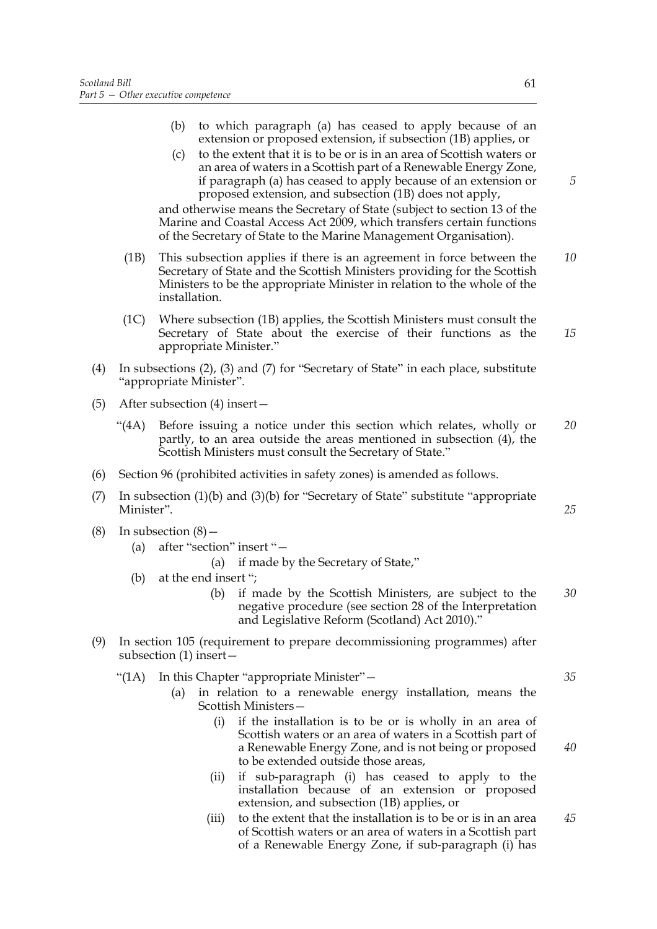- (b) to which paragraph (a) has ceased to apply because of an extension or proposed extension, if subsection (1B) applies, or
- (c) to the extent that it is to be or is in an area of Scottish waters or an area of waters in a Scottish part of a Renewable Energy Zone, if paragraph (a) has ceased to apply because of an extension or proposed extension, and subsection (1B) does not apply,

and otherwise means the Secretary of State (subject to section 13 of the Marine and Coastal Access Act 2009, which transfers certain functions of the Secretary of State to the Marine Management Organisation).

- (1B) This subsection applies if there is an agreement in force between the Secretary of State and the Scottish Ministers providing for the Scottish Ministers to be the appropriate Minister in relation to the whole of the installation. *10*
- (1C) Where subsection (1B) applies, the Scottish Ministers must consult the Secretary of State about the exercise of their functions as the appropriate Minister." *15*
- (4) In subsections (2), (3) and (7) for "Secretary of State" in each place, substitute "appropriate Minister".
- (5) After subsection (4) insert—
	- "(4A) Before issuing a notice under this section which relates, wholly or partly, to an area outside the areas mentioned in subsection (4), the Scottish Ministers must consult the Secretary of State." *20*
- (6) Section 96 (prohibited activities in safety zones) is amended as follows.
- (7) In subsection (1)(b) and (3)(b) for "Secretary of State" substitute "appropriate Minister".
- (8) In subsection  $(8)$ 
	- (a) after "section" insert "—
		- (a) if made by the Secretary of State,"
	- (b) at the end insert ";
		- (b) if made by the Scottish Ministers, are subject to the negative procedure (see section 28 of the Interpretation and Legislative Reform (Scotland) Act 2010)." *30*
- (9) In section 105 (requirement to prepare decommissioning programmes) after subsection (1) insert—
	- "(1A) In this Chapter "appropriate Minister"—
		- (a) in relation to a renewable energy installation, means the Scottish Ministers—
			- (i) if the installation is to be or is wholly in an area of Scottish waters or an area of waters in a Scottish part of a Renewable Energy Zone, and is not being or proposed to be extended outside those areas,
			- (ii) if sub-paragraph (i) has ceased to apply to the installation because of an extension or proposed extension, and subsection (1B) applies, or
			- (iii) to the extent that the installation is to be or is in an area of Scottish waters or an area of waters in a Scottish part of a Renewable Energy Zone, if sub-paragraph (i) has *45*

*5*

*35*

*40*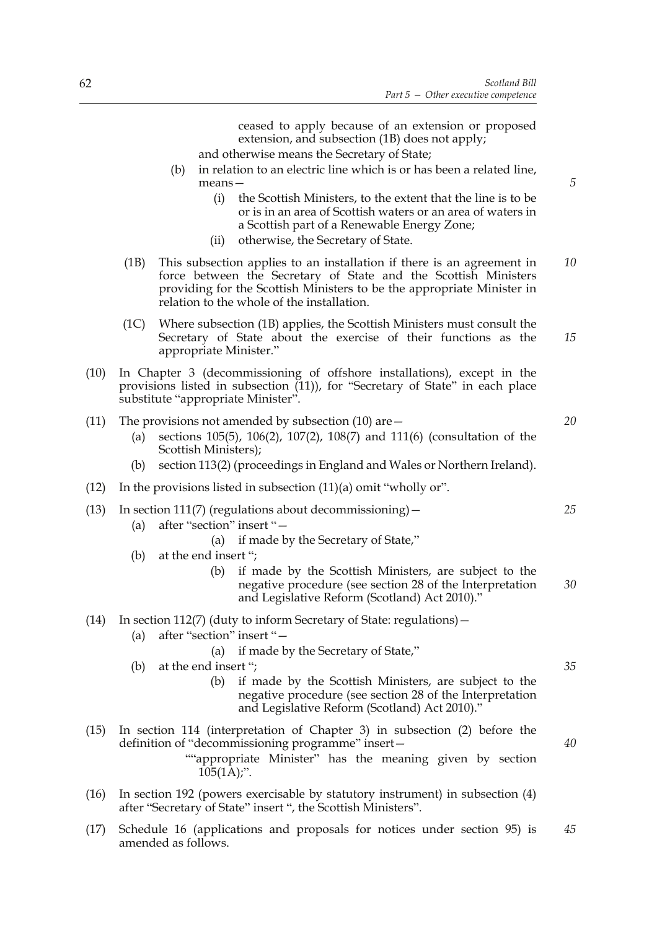ceased to apply because of an extension or proposed extension, and subsection (1B) does not apply; and otherwise means the Secretary of State; (b) in relation to an electric line which is or has been a related line, means— (i) the Scottish Ministers, to the extent that the line is to be or is in an area of Scottish waters or an area of waters in a Scottish part of a Renewable Energy Zone; (ii) otherwise, the Secretary of State. (1B) This subsection applies to an installation if there is an agreement in force between the Secretary of State and the Scottish Ministers providing for the Scottish Ministers to be the appropriate Minister in relation to the whole of the installation. (1C) Where subsection (1B) applies, the Scottish Ministers must consult the Secretary of State about the exercise of their functions as the appropriate Minister." (10) In Chapter 3 (decommissioning of offshore installations), except in the provisions listed in subsection (11)), for "Secretary of State" in each place substitute "appropriate Minister". (11) The provisions not amended by subsection (10) are  $-$ (a) sections 105(5), 106(2), 107(2), 108(7) and 111(6) (consultation of the Scottish Ministers); (b) section 113(2) (proceedings in England and Wales or Northern Ireland). (12) In the provisions listed in subsection (11)(a) omit "wholly or". (13) In section 111(7) (regulations about decommissioning)  $-$ (a) after "section" insert "— (a) if made by the Secretary of State," (b) at the end insert "; (b) if made by the Scottish Ministers, are subject to the negative procedure (see section 28 of the Interpretation and Legislative Reform (Scotland) Act 2010)." (14) In section 112(7) (duty to inform Secretary of State: regulations)— (a) after "section" insert "— (a) if made by the Secretary of State," (b) at the end insert "; (b) if made by the Scottish Ministers, are subject to the negative procedure (see section 28 of the Interpretation and Legislative Reform (Scotland) Act 2010)." (15) In section 114 (interpretation of Chapter 3) in subsection (2) before the definition of "decommissioning programme" insert— ""appropriate Minister" has the meaning given by section  $105(1A)$ ;". *10 15 25 30 35 40*

- (16) In section 192 (powers exercisable by statutory instrument) in subsection (4) after "Secretary of State" insert ", the Scottish Ministers".
- (17) Schedule 16 (applications and proposals for notices under section 95) is amended as follows. *45*

*20*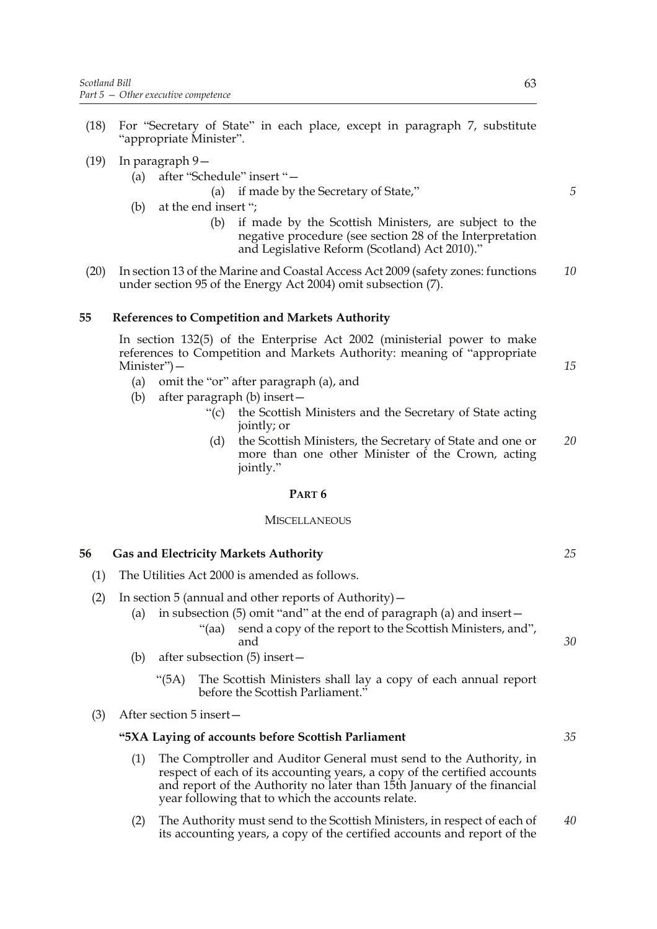- (18) For "Secretary of State" in each place, except in paragraph 7, substitute "appropriate Minister".
- (19) In paragraph 9—
	- (a) after "Schedule" insert "—

(a) if made by the Secretary of State,"

- (b) at the end insert ";
	- (b) if made by the Scottish Ministers, are subject to the negative procedure (see section 28 of the Interpretation and Legislative Reform (Scotland) Act 2010)."
- (20) In section 13 of the Marine and Coastal Access Act 2009 (safety zones: functions under section 95 of the Energy Act 2004) omit subsection (7). *10*

#### **55 References to Competition and Markets Authority**

In section 132(5) of the Enterprise Act 2002 (ministerial power to make references to Competition and Markets Authority: meaning of "appropriate Minister")—

- (a) omit the "or" after paragraph (a), and
- (b) after paragraph (b) insert—
	- "(c) the Scottish Ministers and the Secretary of State acting jointly; or
	- (d) the Scottish Ministers, the Secretary of State and one or more than one other Minister of the Crown, acting jointly." *20*

#### **PART 6**

#### **MISCELLANEOUS**

#### **56 Gas and Electricity Markets Authority**

- (1) The Utilities Act 2000 is amended as follows.
- (2) In section 5 (annual and other reports of Authority)—
	- (a) in subsection (5) omit "and" at the end of paragraph (a) and insert—
		- "(aa) send a copy of the report to the Scottish Ministers, and", and
	- (b) after subsection (5) insert—
		- "(5A) The Scottish Ministers shall lay a copy of each annual report before the Scottish Parliament."
- (3) After section 5 insert—

### **"5XA Laying of accounts before Scottish Parliament**

- (1) The Comptroller and Auditor General must send to the Authority, in respect of each of its accounting years, a copy of the certified accounts and report of the Authority no later than 15th January of the financial year following that to which the accounts relate.
- (2) The Authority must send to the Scottish Ministers, in respect of each of its accounting years, a copy of the certified accounts and report of the *40*

*15*

*5*

*25*

*30*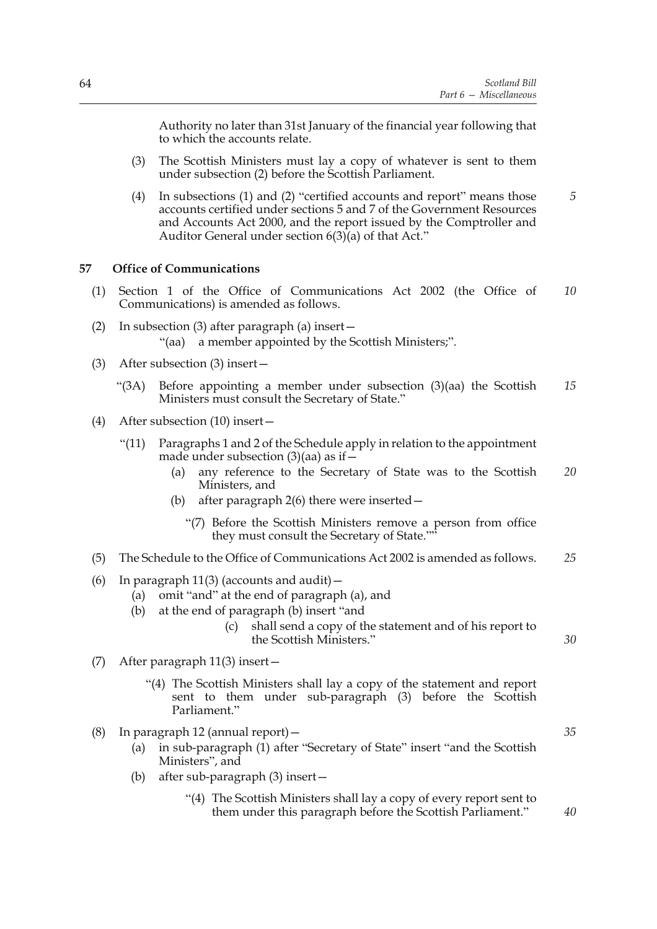Authority no later than 31st January of the financial year following that to which the accounts relate.

- (3) The Scottish Ministers must lay a copy of whatever is sent to them under subsection (2) before the Scottish Parliament.
- (4) In subsections (1) and (2) "certified accounts and report" means those accounts certified under sections 5 and 7 of the Government Resources and Accounts Act 2000, and the report issued by the Comptroller and Auditor General under section  $6(3)(a)$  of that Act." *5*

#### **57 Office of Communications**

- (1) Section 1 of the Office of Communications Act 2002 (the Office of Communications) is amended as follows. *10*
- (2) In subsection (3) after paragraph (a) insert— "(aa) a member appointed by the Scottish Ministers;".
- (3) After subsection (3) insert—
	- "(3A) Before appointing a member under subsection (3)(aa) the Scottish Ministers must consult the Secretary of State." *15*
- (4) After subsection (10) insert—
	- "(11) Paragraphs 1 and 2 of the Schedule apply in relation to the appointment made under subsection  $(3)(aa)$  as if  $-$ 
		- (a) any reference to the Secretary of State was to the Scottish Ministers, and *20*
		- (b) after paragraph 2(6) there were inserted—
			- "(7) Before the Scottish Ministers remove a person from office they must consult the Secretary of State.""
- (5) The Schedule to the Office of Communications Act 2002 is amended as follows. *25*
- (6) In paragraph  $11(3)$  (accounts and audit)  $-$ 
	- (a) omit "and" at the end of paragraph (a), and
	- (b) at the end of paragraph (b) insert "and
		- (c) shall send a copy of the statement and of his report to the Scottish Ministers."
- (7) After paragraph 11(3) insert—
	- "(4) The Scottish Ministers shall lay a copy of the statement and report sent to them under sub-paragraph (3) before the Scottish Parliament."
- (8) In paragraph 12 (annual report)—
	- (a) in sub-paragraph (1) after "Secretary of State" insert "and the Scottish Ministers", and
	- (b) after sub-paragraph (3) insert—
		- "(4) The Scottish Ministers shall lay a copy of every report sent to them under this paragraph before the Scottish Parliament."

*35*

*30*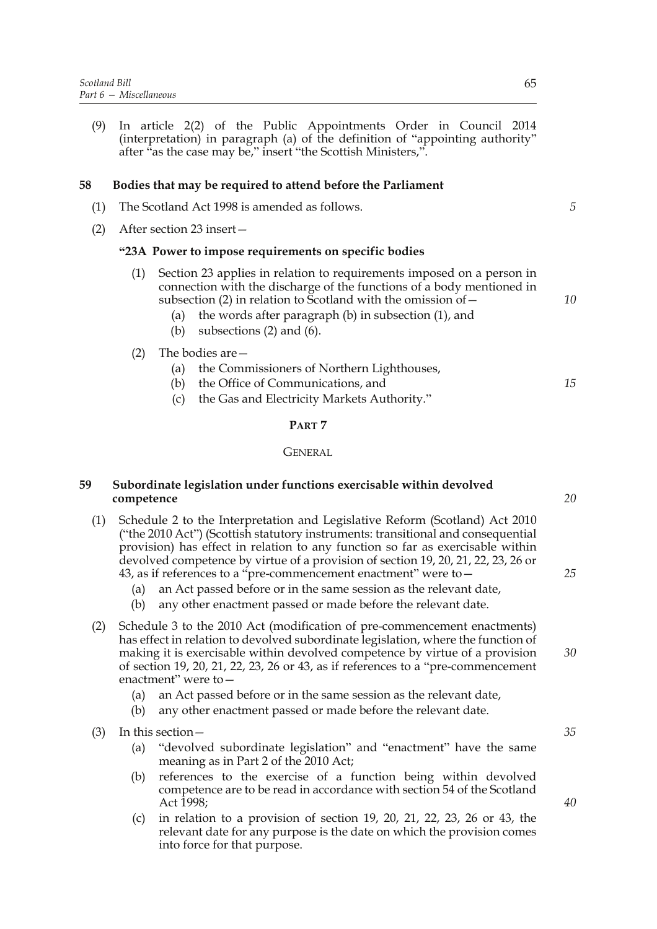(9) In article 2(2) of the Public Appointments Order in Council 2014 (interpretation) in paragraph (a) of the definition of "appointing authority" after "as the case may be," insert "the Scottish Ministers,".

#### **58 Bodies that may be required to attend before the Parliament**

- (1) The Scotland Act 1998 is amended as follows.
- (2) After section 23 insert—

#### **"23A Power to impose requirements on specific bodies**

- (1) Section 23 applies in relation to requirements imposed on a person in connection with the discharge of the functions of a body mentioned in subsection (2) in relation to Scotland with the omission of  $-$ 
	- (a) the words after paragraph (b) in subsection (1), and
	- (b) subsections (2) and (6).

#### (2) The bodies are—

- (a) the Commissioners of Northern Lighthouses,
- (b) the Office of Communications, and
- (c) the Gas and Electricity Markets Authority."

#### **PART 7**

#### **GENERAL**

#### **59 Subordinate legislation under functions exercisable within devolved competence**

- (1) Schedule 2 to the Interpretation and Legislative Reform (Scotland) Act 2010 ("the 2010 Act") (Scottish statutory instruments: transitional and consequential provision) has effect in relation to any function so far as exercisable within devolved competence by virtue of a provision of section 19, 20, 21, 22, 23, 26 or 43, as if references to a "pre-commencement enactment" were to—
	- (a) an Act passed before or in the same session as the relevant date,
	- (b) any other enactment passed or made before the relevant date.
- (2) Schedule 3 to the 2010 Act (modification of pre-commencement enactments) has effect in relation to devolved subordinate legislation, where the function of making it is exercisable within devolved competence by virtue of a provision of section 19, 20, 21, 22, 23, 26 or 43, as if references to a "pre-commencement enactment" were to—
	- (a) an Act passed before or in the same session as the relevant date,
	- (b) any other enactment passed or made before the relevant date.
- (3) In this section—
	- (a) "devolved subordinate legislation" and "enactment" have the same meaning as in Part 2 of the 2010 Act;
	- (b) references to the exercise of a function being within devolved competence are to be read in accordance with section 54 of the Scotland Act 1998;
	- (c) in relation to a provision of section 19, 20, 21, 22, 23, 26 or 43, the relevant date for any purpose is the date on which the provision comes into force for that purpose.

*5*

*10*

*15*

*20*

*25*

*30*

*35*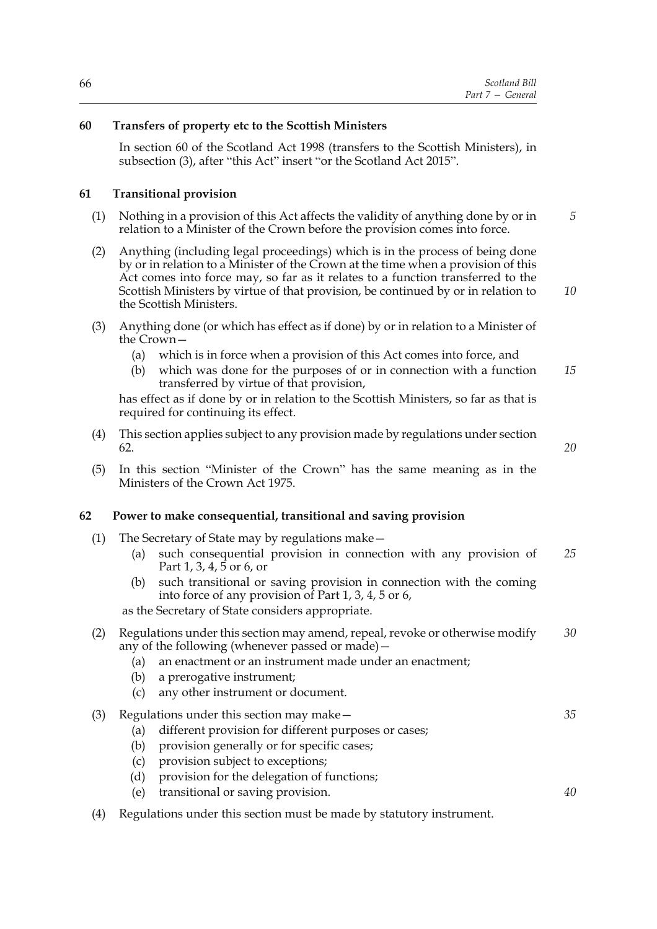|  | Scotland Bill    |
|--|------------------|
|  | Part 7 – General |

# **60 Transfers of property etc to the Scottish Ministers**

In section 60 of the Scotland Act 1998 (transfers to the Scottish Ministers), in subsection (3), after "this Act" insert "or the Scotland Act 2015".

### **61 Transitional provision**

- (1) Nothing in a provision of this Act affects the validity of anything done by or in relation to a Minister of the Crown before the provision comes into force. *5*
- (2) Anything (including legal proceedings) which is in the process of being done by or in relation to a Minister of the Crown at the time when a provision of this Act comes into force may, so far as it relates to a function transferred to the Scottish Ministers by virtue of that provision, be continued by or in relation to the Scottish Ministers.
- (3) Anything done (or which has effect as if done) by or in relation to a Minister of the Crown—
	- (a) which is in force when a provision of this Act comes into force, and
	- (b) which was done for the purposes of or in connection with a function transferred by virtue of that provision, *15*

has effect as if done by or in relation to the Scottish Ministers, so far as that is required for continuing its effect.

- (4) This section applies subject to any provision made by regulations under section 62.
- (5) In this section "Minister of the Crown" has the same meaning as in the Ministers of the Crown Act 1975.

#### **62 Power to make consequential, transitional and saving provision**

- (1) The Secretary of State may by regulations make—
	- (a) such consequential provision in connection with any provision of Part 1, 3, 4, 5 or 6, or *25*
	- (b) such transitional or saving provision in connection with the coming into force of any provision of Part 1, 3, 4, 5 or 6,

as the Secretary of State considers appropriate.

#### (2) Regulations under this section may amend, repeal, revoke or otherwise modify any of the following (whenever passed or made)— *30*

- (a) an enactment or an instrument made under an enactment;
- (b) a prerogative instrument;
- (c) any other instrument or document.
- (3) Regulations under this section may make—
	- (a) different provision for different purposes or cases;
	- (b) provision generally or for specific cases;
	- (c) provision subject to exceptions;
	- (d) provision for the delegation of functions;
	- (e) transitional or saving provision.
- (4) Regulations under this section must be made by statutory instrument.

*20*

*35*

*40*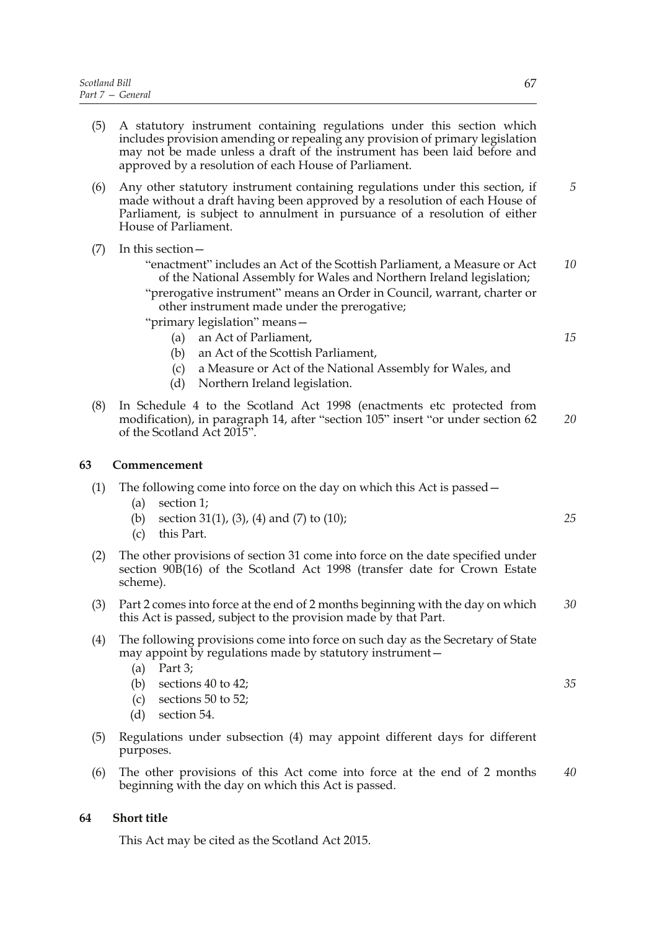**63** 

| (5) | A statutory instrument containing regulations under this section which<br>includes provision amending or repealing any provision of primary legislation<br>may not be made unless a draft of the instrument has been laid before and<br>approved by a resolution of each House of Parliament.                                    |    |
|-----|----------------------------------------------------------------------------------------------------------------------------------------------------------------------------------------------------------------------------------------------------------------------------------------------------------------------------------|----|
| (6) | Any other statutory instrument containing regulations under this section, if<br>made without a draft having been approved by a resolution of each House of<br>Parliament, is subject to annulment in pursuance of a resolution of either<br>House of Parliament.                                                                 | 5  |
| (7) | In this section -<br>"enactment" includes an Act of the Scottish Parliament, a Measure or Act<br>of the National Assembly for Wales and Northern Ireland legislation;<br>"prerogative instrument" means an Order in Council, warrant, charter or<br>other instrument made under the prerogative;<br>"primary legislation" means- | 10 |
|     | an Act of Parliament,<br>(a)<br>an Act of the Scottish Parliament,<br>(b)<br>a Measure or Act of the National Assembly for Wales, and<br>(c)<br>Northern Ireland legislation.<br>(d)                                                                                                                                             | 15 |
| (8) | In Schedule 4 to the Scotland Act 1998 (enactments etc protected from<br>modification), in paragraph 14, after "section 105" insert "or under section 62<br>of the Scotland Act 2015".                                                                                                                                           | 20 |
|     | Commencement                                                                                                                                                                                                                                                                                                                     |    |
| (1) | The following come into force on the day on which this Act is passed –<br>section 1;<br>(a)<br>section 31(1), (3), (4) and (7) to (10);<br>(b)<br>this Part.<br>(c)                                                                                                                                                              | 25 |
| (2) | The other provisions of section 31 come into force on the date specified under<br>section 90B(16) of the Scotland Act 1998 (transfer date for Crown Estate<br>scheme).                                                                                                                                                           |    |
| (3) | Part 2 comes into force at the end of 2 months beginning with the day on which<br>this Act is passed, subject to the provision made by that Part.                                                                                                                                                                                | 30 |
| (4) | The following provisions come into force on such day as the Secretary of State<br>may appoint by regulations made by statutory instrument -<br>Part 3;<br>(a)                                                                                                                                                                    |    |
|     | sections 40 to 42;<br>(b)<br>sections 50 to 52;<br>(c)<br>section 54.<br>(d)                                                                                                                                                                                                                                                     | 35 |
| (5) | Regulations under subsection (4) may appoint different days for different<br>purposes.                                                                                                                                                                                                                                           |    |
| (6) | The other provisions of this Act come into force at the end of 2 months<br>beginning with the day on which this Act is passed.                                                                                                                                                                                                   | 40 |

# **64 Short title**

This Act may be cited as the Scotland Act 2015.

- 
- *35*
-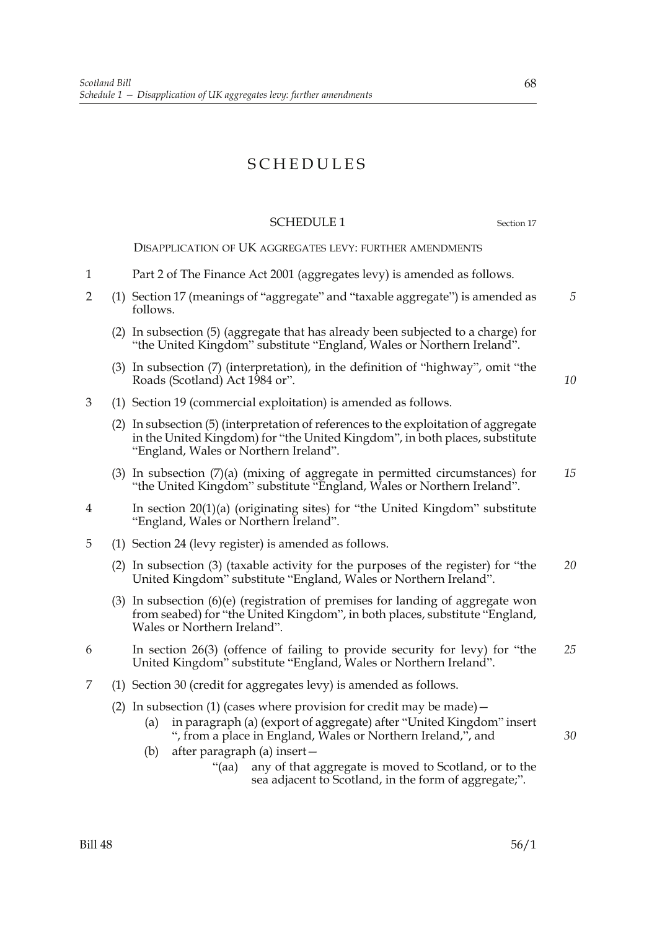# SCHEDULES

# SCHEDULE 1 Section 17

*5*

*10*

DISAPPLICATION OF UK AGGREGATES LEVY: FURTHER AMENDMENTS

- 1 Part 2 of The Finance Act 2001 (aggregates levy) is amended as follows.
- 2 (1) Section 17 (meanings of "aggregate" and "taxable aggregate") is amended as follows.
	- (2) In subsection (5) (aggregate that has already been subjected to a charge) for "the United Kingdom" substitute "England, Wales or Northern Ireland".
	- (3) In subsection (7) (interpretation), in the definition of "highway", omit "the Roads (Scotland) Act 1984 or".
- 3 (1) Section 19 (commercial exploitation) is amended as follows.
	- (2) In subsection (5) (interpretation of references to the exploitation of aggregate in the United Kingdom) for "the United Kingdom", in both places, substitute "England, Wales or Northern Ireland".
	- (3) In subsection (7)(a) (mixing of aggregate in permitted circumstances) for "the United Kingdom" substitute "England, Wales or Northern Ireland". *15*
- 4 In section 20(1)(a) (originating sites) for "the United Kingdom" substitute "England, Wales or Northern Ireland".
- 5 (1) Section 24 (levy register) is amended as follows.
	- (2) In subsection (3) (taxable activity for the purposes of the register) for "the United Kingdom" substitute "England, Wales or Northern Ireland". *20*
	- (3) In subsection (6)(e) (registration of premises for landing of aggregate won from seabed) for "the United Kingdom", in both places, substitute "England, Wales or Northern Ireland".
- 6 In section 26(3) (offence of failing to provide security for levy) for "the United Kingdom" substitute "England, Wales or Northern Ireland". *25*
- 7 (1) Section 30 (credit for aggregates levy) is amended as follows.
	- (2) In subsection (1) (cases where provision for credit may be made)  $-$ 
		- (a) in paragraph (a) (export of aggregate) after "United Kingdom" insert ", from a place in England, Wales or Northern Ireland,", and
		- (b) after paragraph (a) insert—
			- "(aa) any of that aggregate is moved to Scotland, or to the sea adjacent to Scotland, in the form of aggregate;".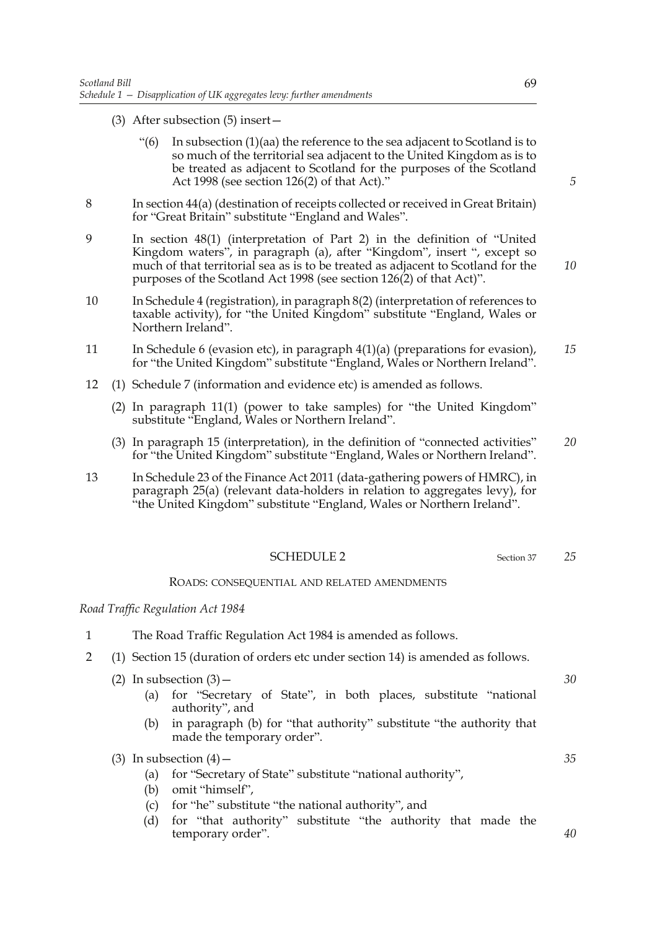- (3) After subsection (5) insert—
	- "(6) In subsection (1)(aa) the reference to the sea adjacent to Scotland is to so much of the territorial sea adjacent to the United Kingdom as is to be treated as adjacent to Scotland for the purposes of the Scotland Act 1998 (see section 126(2) of that Act)."
- 8 In section 44(a) (destination of receipts collected or received in Great Britain) for "Great Britain" substitute "England and Wales".
- 9 In section 48(1) (interpretation of Part 2) in the definition of "United Kingdom waters", in paragraph (a), after "Kingdom", insert ", except so much of that territorial sea as is to be treated as adjacent to Scotland for the purposes of the Scotland Act 1998 (see section 126(2) of that Act)".
- 10 In Schedule 4 (registration), in paragraph 8(2) (interpretation of references to taxable activity), for "the United Kingdom" substitute "England, Wales or Northern Ireland".
- 11 In Schedule 6 (evasion etc), in paragraph 4(1)(a) (preparations for evasion), for "the United Kingdom" substitute "England, Wales or Northern Ireland". *15*
- 12 (1) Schedule 7 (information and evidence etc) is amended as follows.
	- (2) In paragraph 11(1) (power to take samples) for "the United Kingdom" substitute "England, Wales or Northern Ireland".
	- (3) In paragraph 15 (interpretation), in the definition of "connected activities" for "the United Kingdom" substitute "England, Wales or Northern Ireland". *20*
- 13 In Schedule 23 of the Finance Act 2011 (data-gathering powers of HMRC), in paragraph 25(a) (relevant data-holders in relation to aggregates levy), for "the United Kingdom" substitute "England, Wales or Northern Ireland".

#### SCHEDULE 2 Section 37

#### ROADS: CONSEQUENTIAL AND RELATED AMENDMENTS

#### *Road Traffic Regulation Act 1984*

- 1 The Road Traffic Regulation Act 1984 is amended as follows.
- 2 (1) Section 15 (duration of orders etc under section 14) is amended as follows.
	- (2) In subsection  $(3)$  -
		- (a) for "Secretary of State", in both places, substitute "national authority", and
		- (b) in paragraph (b) for "that authority" substitute "the authority that made the temporary order".

(3) In subsection  $(4)$  –

- (a) for "Secretary of State" substitute "national authority",
- (b) omit "himself",
- (c) for "he" substitute "the national authority", and
- (d) for "that authority" substitute "the authority that made the temporary order".

*5*

*10*

*30*

*25*

*35*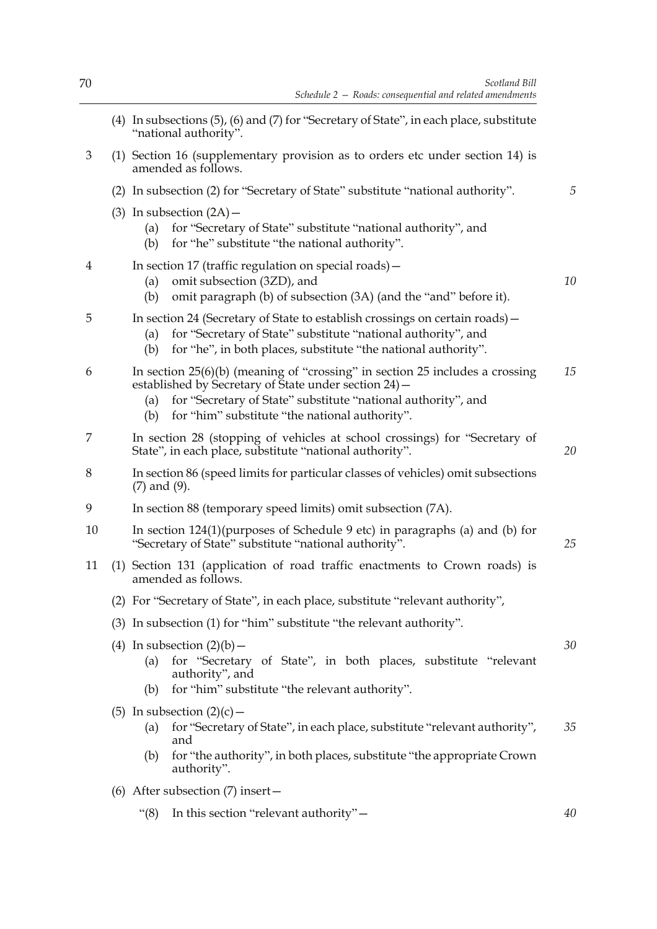|    |  | (4) In subsections (5), (6) and (7) for "Secretary of State", in each place, substitute<br>"national authority".                                                                                                                                                         |  |    |  |
|----|--|--------------------------------------------------------------------------------------------------------------------------------------------------------------------------------------------------------------------------------------------------------------------------|--|----|--|
| 3  |  | (1) Section 16 (supplementary provision as to orders etc under section 14) is<br>amended as follows.                                                                                                                                                                     |  |    |  |
|    |  | (2) In subsection (2) for "Secretary of State" substitute "national authority".                                                                                                                                                                                          |  | 5  |  |
|    |  | (3) In subsection $(2A)$ –<br>for "Secretary of State" substitute "national authority", and<br>(a)<br>for "he" substitute "the national authority".<br>(b)                                                                                                               |  |    |  |
| 4  |  | In section 17 (traffic regulation on special roads) –<br>omit subsection (3ZD), and<br>(a)<br>omit paragraph (b) of subsection (3A) (and the "and" before it).<br>(b)                                                                                                    |  | 10 |  |
| 5  |  | In section 24 (Secretary of State to establish crossings on certain roads) –<br>for "Secretary of State" substitute "national authority", and<br>(a)<br>for "he", in both places, substitute "the national authority".<br>(b)                                            |  |    |  |
| 6  |  | In section $25(6)(b)$ (meaning of "crossing" in section 25 includes a crossing<br>established by Secretary of State under section 24) -<br>for "Secretary of State" substitute "national authority", and<br>(a)<br>for "him" substitute "the national authority".<br>(b) |  | 15 |  |
| 7  |  | In section 28 (stopping of vehicles at school crossings) for "Secretary of<br>State", in each place, substitute "national authority".                                                                                                                                    |  | 20 |  |
| 8  |  | In section 86 (speed limits for particular classes of vehicles) omit subsections<br>$(7)$ and $(9)$ .                                                                                                                                                                    |  |    |  |
| 9  |  | In section 88 (temporary speed limits) omit subsection (7A).                                                                                                                                                                                                             |  |    |  |
| 10 |  | In section $124(1)$ (purposes of Schedule 9 etc) in paragraphs (a) and (b) for<br>"Secretary of State" substitute "national authority".                                                                                                                                  |  | 25 |  |
| 11 |  | (1) Section 131 (application of road traffic enactments to Crown roads) is<br>amended as follows.                                                                                                                                                                        |  |    |  |
|    |  | (2) For "Secretary of State", in each place, substitute "relevant authority",                                                                                                                                                                                            |  |    |  |
|    |  | (3) In subsection (1) for "him" substitute "the relevant authority".                                                                                                                                                                                                     |  |    |  |
|    |  | (4) In subsection $(2)(b)$ –<br>for "Secretary of State", in both places, substitute "relevant<br>(a)<br>authority", and<br>for "him" substitute "the relevant authority".<br>(b)                                                                                        |  | 30 |  |
|    |  | (5) In subsection $(2)(c)$ –<br>for "Secretary of State", in each place, substitute "relevant authority",<br>(a)<br>and<br>for "the authority", in both places, substitute "the appropriate Crown<br>(b)<br>authority".                                                  |  | 35 |  |
|    |  | (6) After subsection $(7)$ insert -                                                                                                                                                                                                                                      |  |    |  |
|    |  | In this section "relevant authority" -<br>" $(8)$                                                                                                                                                                                                                        |  | 40 |  |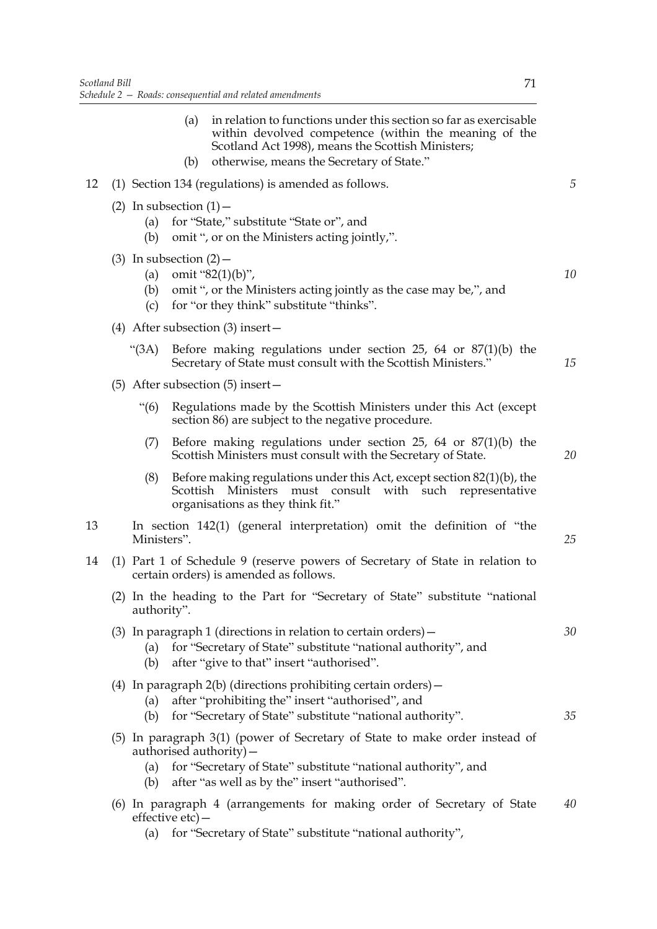|    |                   | (a)<br>(b)                  | in relation to functions under this section so far as exercisable<br>within devolved competence (within the meaning of the<br>Scotland Act 1998), means the Scottish Ministers;<br>otherwise, means the Secretary of State." |    |
|----|-------------------|-----------------------------|------------------------------------------------------------------------------------------------------------------------------------------------------------------------------------------------------------------------------|----|
| 12 |                   |                             | (1) Section 134 (regulations) is amended as follows.                                                                                                                                                                         | 5  |
|    | (a)<br>(b)        | (2) In subsection $(1)$ –   | for "State," substitute "State or", and<br>omit ", or on the Ministers acting jointly,".                                                                                                                                     |    |
|    | (a)<br>(b)<br>(c) | $(3)$ In subsection $(2)$ – | omit "82(1)(b)",<br>omit ", or the Ministers acting jointly as the case may be,", and<br>for "or they think" substitute "thinks".                                                                                            | 10 |
|    |                   |                             | (4) After subsection $(3)$ insert –                                                                                                                                                                                          |    |
|    | " $(3A)$          |                             | Before making regulations under section 25, 64 or $87(1)(b)$ the<br>Secretary of State must consult with the Scottish Ministers."                                                                                            | 15 |
|    |                   |                             | $(5)$ After subsection $(5)$ insert –                                                                                                                                                                                        |    |
|    | $\cdot\cdot(6)$   |                             | Regulations made by the Scottish Ministers under this Act (except<br>section 86) are subject to the negative procedure.                                                                                                      |    |
|    | (7)               |                             | Before making regulations under section 25, 64 or $87(1)(b)$ the<br>Scottish Ministers must consult with the Secretary of State.                                                                                             | 20 |
|    | (8)               |                             | Before making regulations under this Act, except section $82(1)(b)$ , the<br>Scottish Ministers must consult with such representative<br>organisations as they think fit."                                                   |    |
| 13 | Ministers".       |                             | In section 142(1) (general interpretation) omit the definition of "the                                                                                                                                                       | 25 |
| 14 |                   |                             | (1) Part 1 of Schedule 9 (reserve powers of Secretary of State in relation to<br>certain orders) is amended as follows.                                                                                                      |    |
|    | authority".       |                             | (2) In the heading to the Part for "Secretary of State" substitute "national                                                                                                                                                 |    |
|    | (a)<br>(b)        |                             | (3) In paragraph 1 (directions in relation to certain orders) $-$<br>for "Secretary of State" substitute "national authority", and<br>after "give to that" insert "authorised".                                              | 30 |
|    | (a)<br>(b)        |                             | (4) In paragraph $2(b)$ (directions prohibiting certain orders) $-$<br>after "prohibiting the" insert "authorised", and<br>for "Secretary of State" substitute "national authority".                                         | 35 |
|    | (a)<br>(b)        |                             | (5) In paragraph 3(1) (power of Secretary of State to make order instead of<br>authorised authority)-<br>for "Secretary of State" substitute "national authority", and<br>after "as well as by the" insert "authorised".     |    |
|    |                   | $effective etc$ ) —         | (6) In paragraph 4 (arrangements for making order of Secretary of State                                                                                                                                                      | 40 |

(a) for "Secretary of State" substitute "national authority",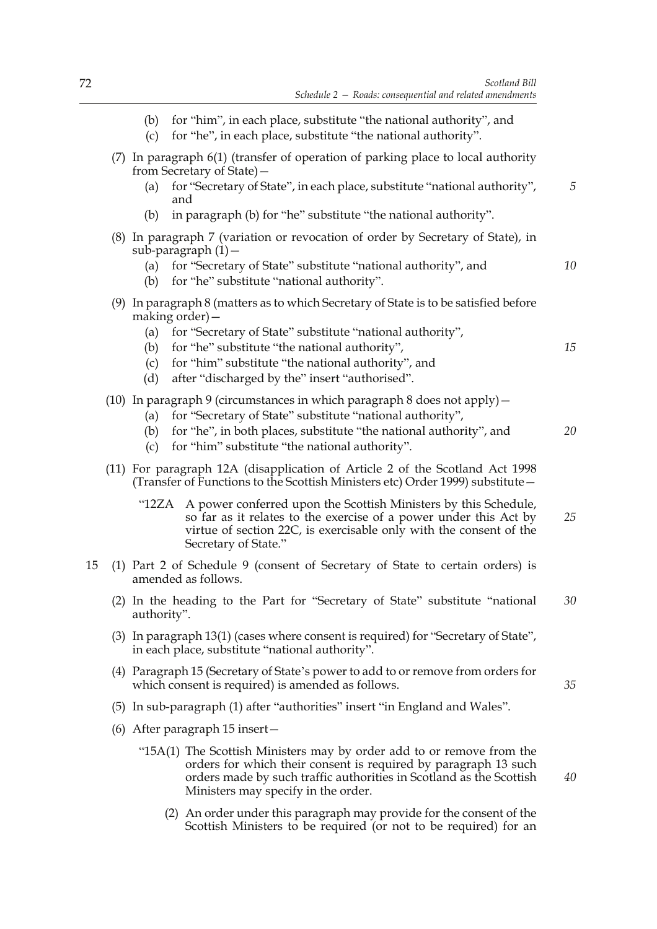(c) for "he", in each place, substitute "the national authority".

|    |  | (7) In paragraph 6(1) (transfer of operation of parking place to local authority<br>from Secretary of State) - |                                                                                                                                                                                                                                                                                                            |    |  |  |
|----|--|----------------------------------------------------------------------------------------------------------------|------------------------------------------------------------------------------------------------------------------------------------------------------------------------------------------------------------------------------------------------------------------------------------------------------------|----|--|--|
|    |  | (a)                                                                                                            | for "Secretary of State", in each place, substitute "national authority",<br>and                                                                                                                                                                                                                           | 5  |  |  |
|    |  | (b)                                                                                                            | in paragraph (b) for "he" substitute "the national authority".                                                                                                                                                                                                                                             |    |  |  |
|    |  | (a)<br>(b)                                                                                                     | (8) In paragraph 7 (variation or revocation of order by Secretary of State), in<br>sub-paragraph $(1)$ -<br>for "Secretary of State" substitute "national authority", and<br>for "he" substitute "national authority".                                                                                     | 10 |  |  |
|    |  | making order) –<br>(a)<br>(b)<br>(c)<br>(d)                                                                    | (9) In paragraph 8 (matters as to which Secretary of State is to be satisfied before<br>for "Secretary of State" substitute "national authority",<br>for "he" substitute "the national authority",<br>for "him" substitute "the national authority", and<br>after "discharged by the" insert "authorised". | 15 |  |  |
|    |  | (a)<br>(b)<br>(c)                                                                                              | (10) In paragraph 9 (circumstances in which paragraph 8 does not apply) -<br>for "Secretary of State" substitute "national authority",<br>for "he", in both places, substitute "the national authority", and<br>for "him" substitute "the national authority".                                             | 20 |  |  |
|    |  |                                                                                                                | (11) For paragraph 12A (disapplication of Article 2 of the Scotland Act 1998<br>(Transfer of Functions to the Scottish Ministers etc) Order 1999) substitute -                                                                                                                                             |    |  |  |
|    |  | "12ZA                                                                                                          | A power conferred upon the Scottish Ministers by this Schedule,<br>so far as it relates to the exercise of a power under this Act by<br>virtue of section 22C, is exercisable only with the consent of the<br>Secretary of State."                                                                         | 25 |  |  |
| 15 |  |                                                                                                                | (1) Part 2 of Schedule 9 (consent of Secretary of State to certain orders) is<br>amended as follows.                                                                                                                                                                                                       |    |  |  |
|    |  | authority".                                                                                                    | (2) In the heading to the Part for "Secretary of State" substitute "national                                                                                                                                                                                                                               | 30 |  |  |
|    |  |                                                                                                                | (3) In paragraph 13(1) (cases where consent is required) for "Secretary of State",<br>in each place, substitute "national authority".                                                                                                                                                                      |    |  |  |
|    |  |                                                                                                                | (4) Paragraph 15 (Secretary of State's power to add to or remove from orders for<br>which consent is required) is amended as follows.                                                                                                                                                                      | 35 |  |  |
|    |  |                                                                                                                | (5) In sub-paragraph (1) after "authorities" insert "in England and Wales".                                                                                                                                                                                                                                |    |  |  |
|    |  |                                                                                                                | (6) After paragraph $15$ insert $-$                                                                                                                                                                                                                                                                        |    |  |  |
|    |  |                                                                                                                | "15A(1) The Scottish Ministers may by order add to or remove from the<br>orders for which their consent is required by paragraph 13 such<br>orders made by such traffic authorities in Scotland as the Scottish<br>Ministers may specify in the order.                                                     | 40 |  |  |

(2) An order under this paragraph may provide for the consent of the Scottish Ministers to be required (or not to be required) for an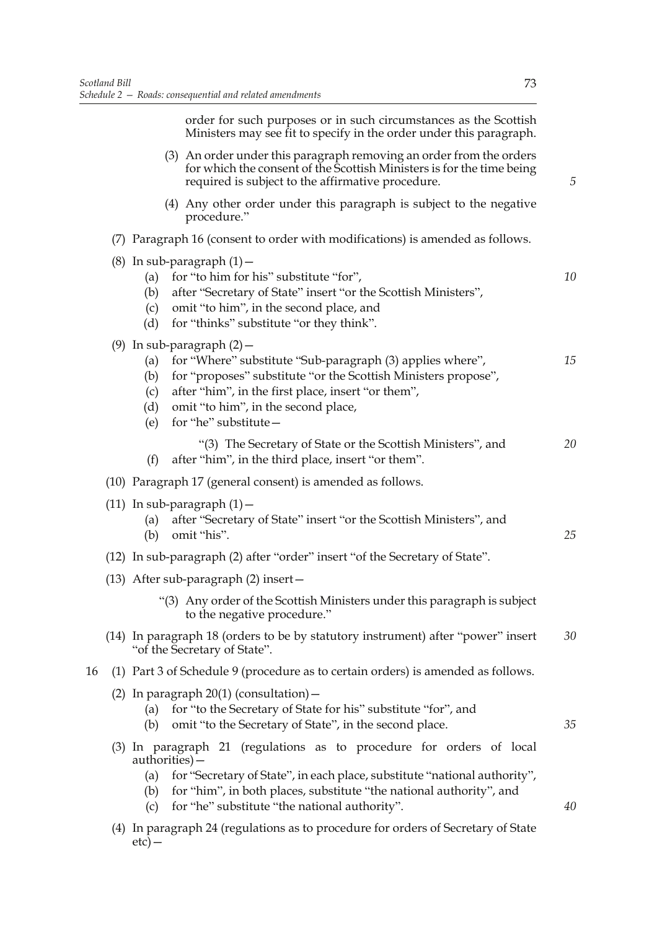order for such purposes or in such circumstances as the Scottish Ministers may see fit to specify in the order under this paragraph.

- (3) An order under this paragraph removing an order from the orders for which the consent of the Scottish Ministers is for the time being required is subject to the affirmative procedure.
	- (4) Any other order under this paragraph is subject to the negative procedure."
- (7) Paragraph 16 (consent to order with modifications) is amended as follows.

|    | (8) In sub-paragraph $(1)$ -<br>for "to him for his" substitute "for",<br>(a)<br>after "Secretary of State" insert "or the Scottish Ministers",<br>(b)<br>omit "to him", in the second place, and<br>(c)<br>for "thinks" substitute "or they think".<br>(d)                                                         | 10 |
|----|---------------------------------------------------------------------------------------------------------------------------------------------------------------------------------------------------------------------------------------------------------------------------------------------------------------------|----|
|    | (9) In sub-paragraph $(2)$ –<br>for "Where" substitute "Sub-paragraph (3) applies where",<br>(a)<br>for "proposes" substitute "or the Scottish Ministers propose",<br>(b)<br>after "him", in the first place, insert "or them",<br>(c)<br>omit "to him", in the second place,<br>(d)<br>for "he" substitute-<br>(e) | 15 |
|    | "(3) The Secretary of State or the Scottish Ministers", and<br>(f)<br>after "him", in the third place, insert "or them".                                                                                                                                                                                            | 20 |
|    | (10) Paragraph 17 (general consent) is amended as follows.                                                                                                                                                                                                                                                          |    |
|    | $(11)$ In sub-paragraph $(1)$ –<br>after "Secretary of State" insert "or the Scottish Ministers", and<br>(a)<br>omit "his".<br>(b)                                                                                                                                                                                  | 25 |
|    | (12) In sub-paragraph (2) after "order" insert "of the Secretary of State".                                                                                                                                                                                                                                         |    |
|    | (13) After sub-paragraph (2) insert-                                                                                                                                                                                                                                                                                |    |
|    | "(3) Any order of the Scottish Ministers under this paragraph is subject<br>to the negative procedure."                                                                                                                                                                                                             |    |
|    | (14) In paragraph 18 (orders to be by statutory instrument) after "power" insert<br>"of the Secretary of State".                                                                                                                                                                                                    | 30 |
| 16 | (1) Part 3 of Schedule 9 (procedure as to certain orders) is amended as follows.                                                                                                                                                                                                                                    |    |
|    | (2) In paragraph $20(1)$ (consultation) –<br>for "to the Secretary of State for his" substitute "for", and<br>(a)<br>omit "to the Secretary of State", in the second place.<br>(b)                                                                                                                                  | 35 |
|    | (3) In paragraph 21 (regulations as to procedure for orders of local<br>authorities) –<br>for "Secretary of State", in each place, substitute "national authority",<br>(a)<br>for "him", in both places, substitute "the national authority", and<br>(b)<br>for "he" substitute "the national authority".<br>(c)    | 40 |
|    |                                                                                                                                                                                                                                                                                                                     |    |

(4) In paragraph 24 (regulations as to procedure for orders of Secretary of State  $etc)$  —

*5*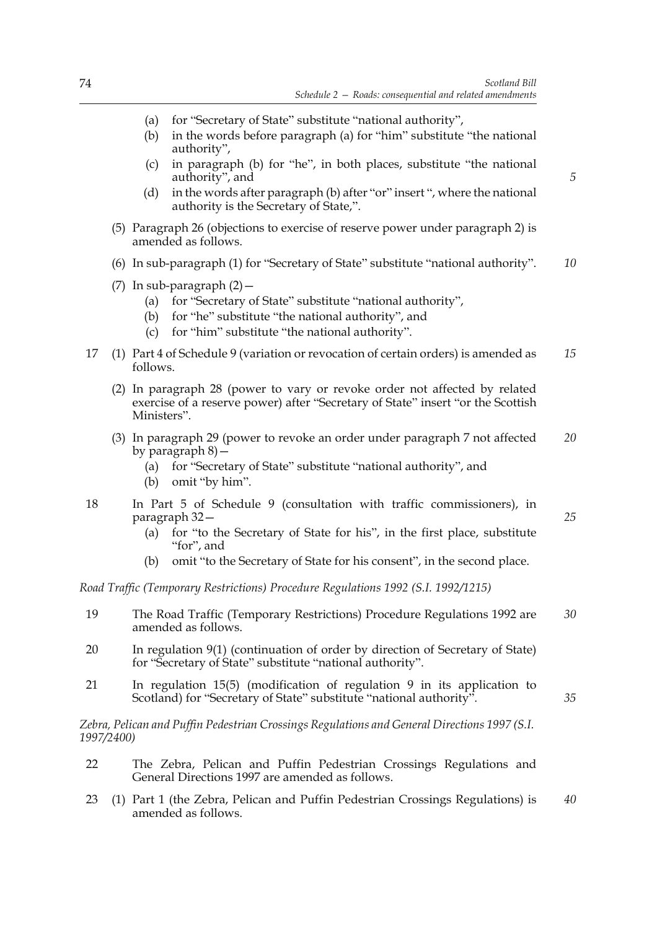*5*

*25*

*35*

- (a) for "Secretary of State" substitute "national authority",
- (b) in the words before paragraph (a) for "him" substitute "the national authority",
- (c) in paragraph (b) for "he", in both places, substitute "the national authority", and
- (d) in the words after paragraph (b) after "or" insert ", where the national authority is the Secretary of State,".
- (5) Paragraph 26 (objections to exercise of reserve power under paragraph 2) is amended as follows.
- (6) In sub-paragraph (1) for "Secretary of State" substitute "national authority". *10*
- (7) In sub-paragraph  $(2)$  -
	- (a) for "Secretary of State" substitute "national authority",
	- (b) for "he" substitute "the national authority", and
	- (c) for "him" substitute "the national authority".
- 17 (1) Part 4 of Schedule 9 (variation or revocation of certain orders) is amended as follows. *15*
	- (2) In paragraph 28 (power to vary or revoke order not affected by related exercise of a reserve power) after "Secretary of State" insert "or the Scottish Ministers".
	- (3) In paragraph 29 (power to revoke an order under paragraph 7 not affected by paragraph 8)— *20*
		- (a) for "Secretary of State" substitute "national authority", and
		- (b) omit "by him".
- 18 In Part 5 of Schedule 9 (consultation with traffic commissioners), in paragraph 32—
	- (a) for "to the Secretary of State for his", in the first place, substitute "for", and
	- (b) omit "to the Secretary of State for his consent", in the second place.

*Road Traffic (Temporary Restrictions) Procedure Regulations 1992 (S.I. 1992/1215)*

- 19 The Road Traffic (Temporary Restrictions) Procedure Regulations 1992 are amended as follows. *30*
- 20 In regulation 9(1) (continuation of order by direction of Secretary of State) for "Secretary of State" substitute "national authority".
- 21 In regulation 15(5) (modification of regulation 9 in its application to Scotland) for "Secretary of State" substitute "national authority".

*Zebra, Pelican and Puffin Pedestrian Crossings Regulations and General Directions 1997 (S.I. 1997/2400)*

- 22 The Zebra, Pelican and Puffin Pedestrian Crossings Regulations and General Directions 1997 are amended as follows.
- 23 (1) Part 1 (the Zebra, Pelican and Puffin Pedestrian Crossings Regulations) is amended as follows. *40*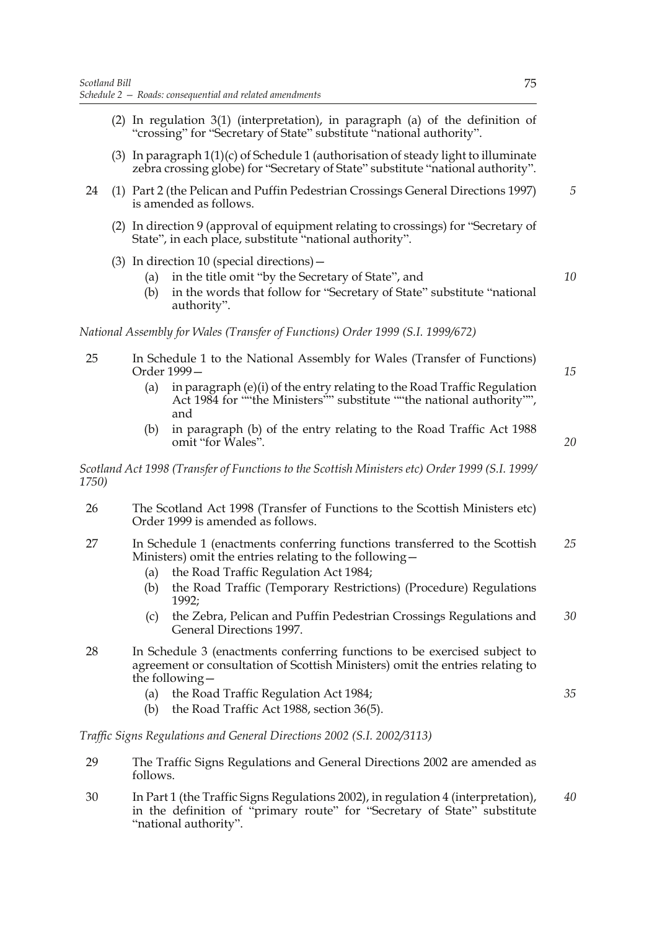- (2) In regulation 3(1) (interpretation), in paragraph (a) of the definition of "crossing" for "Secretary of State" substitute "national authority".
- (3) In paragraph 1(1)(c) of Schedule 1 (authorisation of steady light to illuminate zebra crossing globe) for "Secretary of State" substitute "national authority".
- 24 (1) Part 2 (the Pelican and Puffin Pedestrian Crossings General Directions 1997) is amended as follows. *5*
	- (2) In direction 9 (approval of equipment relating to crossings) for "Secretary of State", in each place, substitute "national authority".
	- (3) In direction 10 (special directions)—
		- (a) in the title omit "by the Secretary of State", and
		- (b) in the words that follow for "Secretary of State" substitute "national authority".

*National Assembly for Wales (Transfer of Functions) Order 1999 (S.I. 1999/672)*

- 25 In Schedule 1 to the National Assembly for Wales (Transfer of Functions) Order 1999—
	- (a) in paragraph (e)(i) of the entry relating to the Road Traffic Regulation Act 1984 for ""the Ministers"" substitute ""the national authority"", and
	- (b) in paragraph (b) of the entry relating to the Road Traffic Act 1988 omit "for Wales".

*Scotland Act 1998 (Transfer of Functions to the Scottish Ministers etc) Order 1999 (S.I. 1999/ 1750)*

- 26 The Scotland Act 1998 (Transfer of Functions to the Scottish Ministers etc) Order 1999 is amended as follows.
- 27 In Schedule 1 (enactments conferring functions transferred to the Scottish Ministers) omit the entries relating to the following— *25*
	- (a) the Road Traffic Regulation Act 1984;
	- (b) the Road Traffic (Temporary Restrictions) (Procedure) Regulations 1992;
	- (c) the Zebra, Pelican and Puffin Pedestrian Crossings Regulations and General Directions 1997. *30*
- 28 In Schedule 3 (enactments conferring functions to be exercised subject to agreement or consultation of Scottish Ministers) omit the entries relating to the following—
	- (a) the Road Traffic Regulation Act 1984;
	- (b) the Road Traffic Act 1988, section 36(5).

*Traffic Signs Regulations and General Directions 2002 (S.I. 2002/3113)*

- 29 The Traffic Signs Regulations and General Directions 2002 are amended as follows.
- 30 In Part 1 (the Traffic Signs Regulations 2002), in regulation 4 (interpretation), in the definition of "primary route" for "Secretary of State" substitute "national authority". *40*

*10*

*15*

*20*

*35*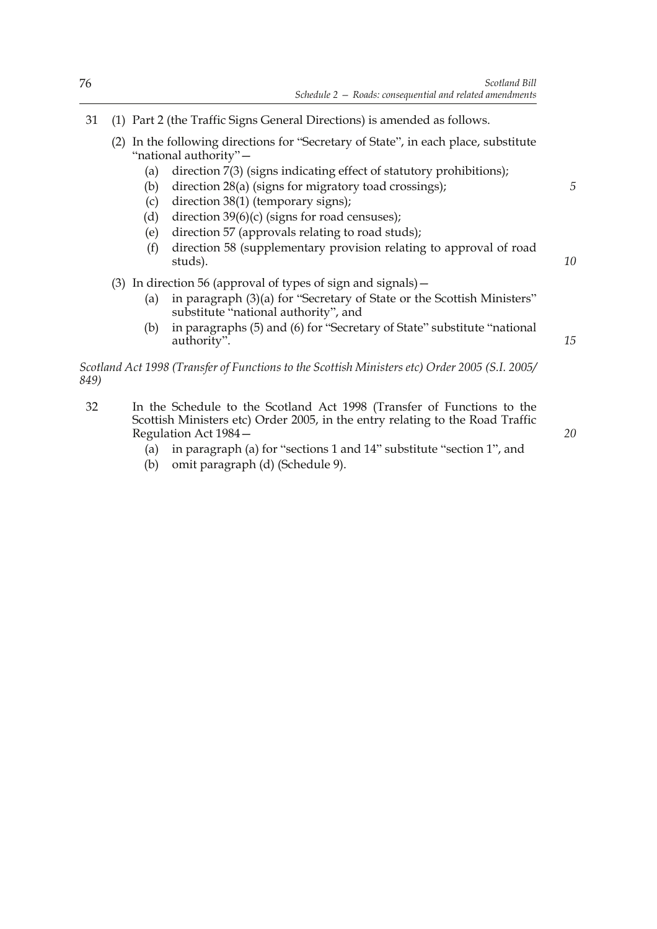- 31 (1) Part 2 (the Traffic Signs General Directions) is amended as follows.
	- (2) In the following directions for "Secretary of State", in each place, substitute "national authority"—
		- (a) direction 7(3) (signs indicating effect of statutory prohibitions);
		- (b) direction 28(a) (signs for migratory toad crossings);
		- (c) direction 38(1) (temporary signs);
		- (d) direction  $39(6)(c)$  (signs for road censuses);
		- (e) direction 57 (approvals relating to road studs);
		- (f) direction 58 (supplementary provision relating to approval of road studs).
	- (3) In direction 56 (approval of types of sign and signals)—
		- (a) in paragraph (3)(a) for "Secretary of State or the Scottish Ministers" substitute "national authority", and
		- (b) in paragraphs (5) and (6) for "Secretary of State" substitute "national authority".

*Scotland Act 1998 (Transfer of Functions to the Scottish Ministers etc) Order 2005 (S.I. 2005/ 849)*

- 32 In the Schedule to the Scotland Act 1998 (Transfer of Functions to the Scottish Ministers etc) Order 2005, in the entry relating to the Road Traffic Regulation Act 1984—
	- (a) in paragraph (a) for "sections 1 and 14" substitute "section 1", and
	- (b) omit paragraph (d) (Schedule 9).

*20*

*5*

*10*

*15*